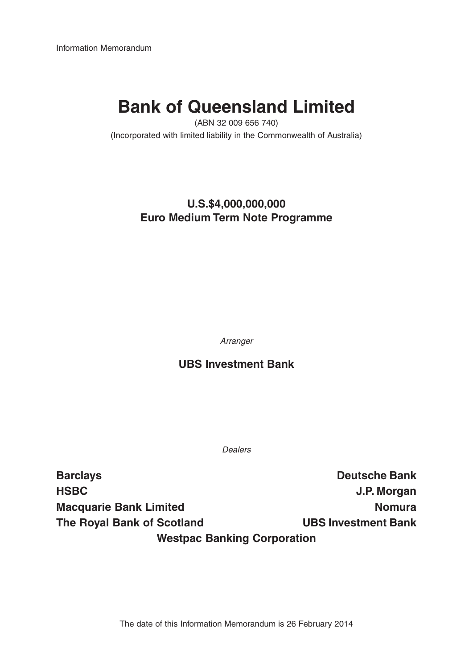Information Memorandum

# **Bank of Queensland Limited**

(ABN 32 009 656 740)

(Incorporated with limited liability in the Commonwealth of Australia)

### **U.S.\$4,000,000,000 Euro Medium Term Note Programme**

Arranger

### **UBS Investment Bank**

Dealers

**Barclays Deutsche Bank HSBC J.P. Morgan Macquarie Bank Limited Nomura** Nomura **The Royal Bank of Scotland UBS Investment Bank Westpac Banking Corporation**

The date of this Information Memorandum is 26 February 2014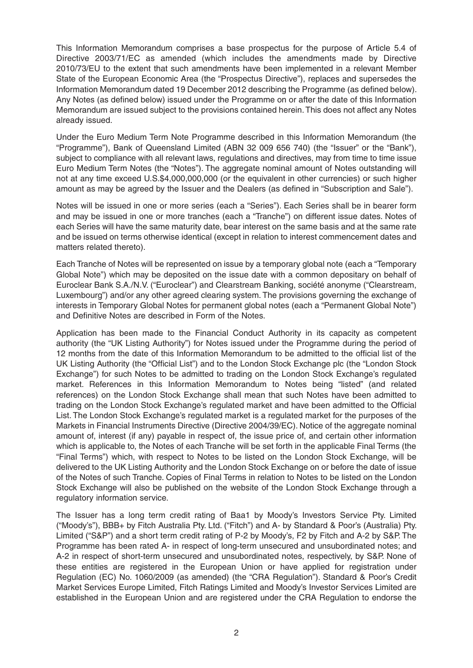This Information Memorandum comprises a base prospectus for the purpose of Article 5.4 of Directive 2003/71/EC as amended (which includes the amendments made by Directive 2010/73/EU to the extent that such amendments have been implemented in a relevant Member State of the European Economic Area (the "Prospectus Directive"), replaces and supersedes the Information Memorandum dated 19 December 2012 describing the Programme (as defined below). Any Notes (as defined below) issued under the Programme on or after the date of this Information Memorandum are issued subject to the provisions contained herein. This does not affect any Notes already issued.

Under the Euro Medium Term Note Programme described in this Information Memorandum (the "Programme"), Bank of Queensland Limited (ABN 32 009 656 740) (the "Issuer" or the "Bank"), subject to compliance with all relevant laws, regulations and directives, may from time to time issue Euro Medium Term Notes (the "Notes"). The aggregate nominal amount of Notes outstanding will not at any time exceed U.S.\$4,000,000,000 (or the equivalent in other currencies) or such higher amount as may be agreed by the Issuer and the Dealers (as defined in "Subscription and Sale").

Notes will be issued in one or more series (each a "Series"). Each Series shall be in bearer form and may be issued in one or more tranches (each a "Tranche") on different issue dates. Notes of each Series will have the same maturity date, bear interest on the same basis and at the same rate and be issued on terms otherwise identical (except in relation to interest commencement dates and matters related thereto).

Each Tranche of Notes will be represented on issue by a temporary global note (each a "Temporary Global Note") which may be deposited on the issue date with a common depositary on behalf of Euroclear Bank S.A./N.V. ("Euroclear") and Clearstream Banking, société anonyme ("Clearstream, Luxembourg") and/or any other agreed clearing system. The provisions governing the exchange of interests in Temporary Global Notes for permanent global notes (each a "Permanent Global Note") and Definitive Notes are described in Form of the Notes.

Application has been made to the Financial Conduct Authority in its capacity as competent authority (the "UK Listing Authority") for Notes issued under the Programme during the period of 12 months from the date of this Information Memorandum to be admitted to the official list of the UK Listing Authority (the "Official List") and to the London Stock Exchange plc (the "London Stock Exchange") for such Notes to be admitted to trading on the London Stock Exchange's regulated market. References in this Information Memorandum to Notes being "listed" (and related references) on the London Stock Exchange shall mean that such Notes have been admitted to trading on the London Stock Exchange's regulated market and have been admitted to the Official List. The London Stock Exchange's regulated market is a regulated market for the purposes of the Markets in Financial Instruments Directive (Directive 2004/39/EC). Notice of the aggregate nominal amount of, interest (if any) payable in respect of, the issue price of, and certain other information which is applicable to, the Notes of each Tranche will be set forth in the applicable Final Terms (the "Final Terms") which, with respect to Notes to be listed on the London Stock Exchange, will be delivered to the UK Listing Authority and the London Stock Exchange on or before the date of issue of the Notes of such Tranche. Copies of Final Terms in relation to Notes to be listed on the London Stock Exchange will also be published on the website of the London Stock Exchange through a regulatory information service.

The Issuer has a long term credit rating of Baa1 by Moody's Investors Service Pty. Limited ("Moody's"), BBB+ by Fitch Australia Pty. Ltd. ("Fitch") and A- by Standard & Poor's (Australia) Pty. Limited ("S&P") and a short term credit rating of P-2 by Moody's, F2 by Fitch and A-2 by S&P. The Programme has been rated A- in respect of long-term unsecured and unsubordinated notes; and A-2 in respect of short-term unsecured and unsubordinated notes, respectively, by S&P. None of these entities are registered in the European Union or have applied for registration under Regulation (EC) No. 1060/2009 (as amended) (the "CRA Regulation"). Standard & Poor's Credit Market Services Europe Limited, Fitch Ratings Limited and Moody's Investor Services Limited are established in the European Union and are registered under the CRA Regulation to endorse the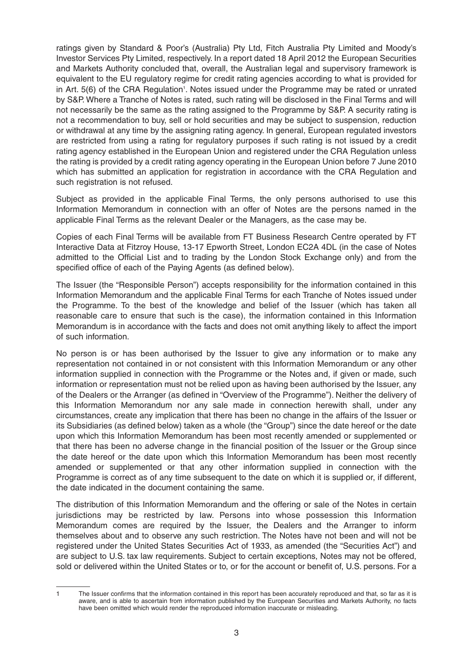ratings given by Standard & Poor's (Australia) Pty Ltd, Fitch Australia Pty Limited and Moody's Investor Services Pty Limited, respectively. In a report dated 18 April 2012 the European Securities and Markets Authority concluded that, overall, the Australian legal and supervisory framework is equivalent to the EU regulatory regime for credit rating agencies according to what is provided for in Art. 5(6) of the CRA Regulation<sup>1</sup>. Notes issued under the Programme may be rated or unrated by S&P. Where a Tranche of Notes is rated, such rating will be disclosed in the Final Terms and will not necessarily be the same as the rating assigned to the Programme by S&P. A security rating is not a recommendation to buy, sell or hold securities and may be subject to suspension, reduction or withdrawal at any time by the assigning rating agency. In general, European regulated investors are restricted from using a rating for regulatory purposes if such rating is not issued by a credit rating agency established in the European Union and registered under the CRA Regulation unless the rating is provided by a credit rating agency operating in the European Union before 7 June 2010 which has submitted an application for registration in accordance with the CRA Regulation and such registration is not refused.

Subject as provided in the applicable Final Terms, the only persons authorised to use this Information Memorandum in connection with an offer of Notes are the persons named in the applicable Final Terms as the relevant Dealer or the Managers, as the case may be.

Copies of each Final Terms will be available from FT Business Research Centre operated by FT Interactive Data at Fitzroy House, 13-17 Epworth Street, London EC2A 4DL (in the case of Notes admitted to the Official List and to trading by the London Stock Exchange only) and from the specified office of each of the Paying Agents (as defined below).

The Issuer (the "Responsible Person") accepts responsibility for the information contained in this Information Memorandum and the applicable Final Terms for each Tranche of Notes issued under the Programme. To the best of the knowledge and belief of the Issuer (which has taken all reasonable care to ensure that such is the case), the information contained in this Information Memorandum is in accordance with the facts and does not omit anything likely to affect the import of such information.

No person is or has been authorised by the Issuer to give any information or to make any representation not contained in or not consistent with this Information Memorandum or any other information supplied in connection with the Programme or the Notes and, if given or made, such information or representation must not be relied upon as having been authorised by the Issuer, any of the Dealers or the Arranger (as defined in "Overview of the Programme"). Neither the delivery of this Information Memorandum nor any sale made in connection herewith shall, under any circumstances, create any implication that there has been no change in the affairs of the Issuer or its Subsidiaries (as defined below) taken as a whole (the "Group") since the date hereof or the date upon which this Information Memorandum has been most recently amended or supplemented or that there has been no adverse change in the financial position of the Issuer or the Group since the date hereof or the date upon which this Information Memorandum has been most recently amended or supplemented or that any other information supplied in connection with the Programme is correct as of any time subsequent to the date on which it is supplied or, if different, the date indicated in the document containing the same.

The distribution of this Information Memorandum and the offering or sale of the Notes in certain jurisdictions may be restricted by law. Persons into whose possession this Information Memorandum comes are required by the Issuer, the Dealers and the Arranger to inform themselves about and to observe any such restriction. The Notes have not been and will not be registered under the United States Securities Act of 1933, as amended (the "Securities Act") and are subject to U.S. tax law requirements. Subject to certain exceptions, Notes may not be offered, sold or delivered within the United States or to, or for the account or benefit of, U.S. persons. For a

<sup>1</sup> The Issuer confirms that the information contained in this report has been accurately reproduced and that, so far as it is aware, and is able to ascertain from information published by the European Securities and Markets Authority, no facts have been omitted which would render the reproduced information inaccurate or misleading.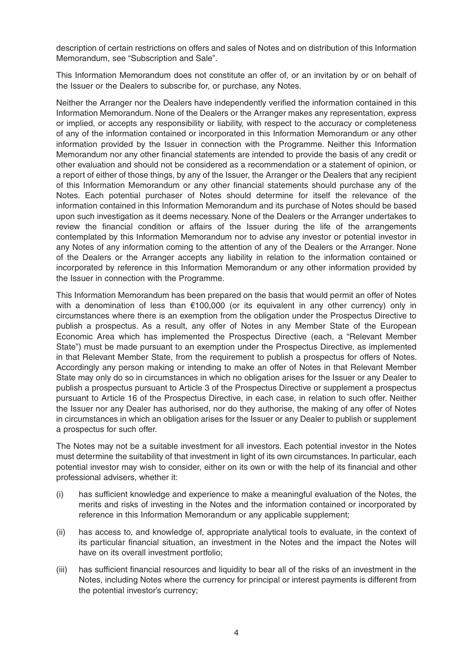description of certain restrictions on offers and sales of Notes and on distribution of this Information Memorandum, see "Subscription and Sale".

This Information Memorandum does not constitute an offer of, or an invitation by or on behalf of the Issuer or the Dealers to subscribe for, or purchase, any Notes.

Neither the Arranger nor the Dealers have independently verified the information contained in this Information Memorandum. None of the Dealers or the Arranger makes any representation, express or implied, or accepts any responsibility or liability, with respect to the accuracy or completeness of any of the information contained or incorporated in this Information Memorandum or any other information provided by the Issuer in connection with the Programme. Neither this Information Memorandum nor any other financial statements are intended to provide the basis of any credit or other evaluation and should not be considered as a recommendation or a statement of opinion, or a report of either of those things, by any of the Issuer, the Arranger or the Dealers that any recipient of this Information Memorandum or any other financial statements should purchase any of the Notes. Each potential purchaser of Notes should determine for itself the relevance of the information contained in this Information Memorandum and its purchase of Notes should be based upon such investigation as it deems necessary. None of the Dealers or the Arranger undertakes to review the financial condition or affairs of the Issuer during the life of the arrangements contemplated by this Information Memorandum nor to advise any investor or potential investor in any Notes of any information coming to the attention of any of the Dealers or the Arranger. None of the Dealers or the Arranger accepts any liability in relation to the information contained or incorporated by reference in this Information Memorandum or any other information provided by the Issuer in connection with the Programme.

This Information Memorandum has been prepared on the basis that would permit an offer of Notes with a denomination of less than €100,000 (or its equivalent in any other currency) only in circumstances where there is an exemption from the obligation under the Prospectus Directive to publish a prospectus. As a result, any offer of Notes in any Member State of the European Economic Area which has implemented the Prospectus Directive (each, a "Relevant Member State") must be made pursuant to an exemption under the Prospectus Directive, as implemented in that Relevant Member State, from the requirement to publish a prospectus for offers of Notes. Accordingly any person making or intending to make an offer of Notes in that Relevant Member State may only do so in circumstances in which no obligation arises for the Issuer or any Dealer to publish a prospectus pursuant to Article 3 of the Prospectus Directive or supplement a prospectus pursuant to Article 16 of the Prospectus Directive, in each case, in relation to such offer. Neither the Issuer nor any Dealer has authorised, nor do they authorise, the making of any offer of Notes in circumstances in which an obligation arises for the Issuer or any Dealer to publish or supplement a prospectus for such offer.

The Notes may not be a suitable investment for all investors. Each potential investor in the Notes must determine the suitability of that investment in light of its own circumstances. In particular, each potential investor may wish to consider, either on its own or with the help of its financial and other professional advisers, whether it:

- (i) has sufficient knowledge and experience to make a meaningful evaluation of the Notes, the merits and risks of investing in the Notes and the information contained or incorporated by reference in this Information Memorandum or any applicable supplement;
- (ii) has access to, and knowledge of, appropriate analytical tools to evaluate, in the context of its particular financial situation, an investment in the Notes and the impact the Notes will have on its overall investment portfolio;
- (iii) has sufficient financial resources and liquidity to bear all of the risks of an investment in the Notes, including Notes where the currency for principal or interest payments is different from the potential investor's currency;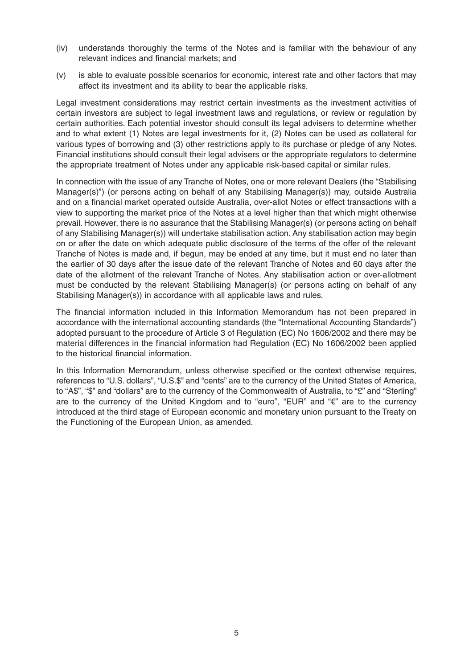- (iv) understands thoroughly the terms of the Notes and is familiar with the behaviour of any relevant indices and financial markets; and
- (v) is able to evaluate possible scenarios for economic, interest rate and other factors that may affect its investment and its ability to bear the applicable risks.

Legal investment considerations may restrict certain investments as the investment activities of certain investors are subject to legal investment laws and regulations, or review or regulation by certain authorities. Each potential investor should consult its legal advisers to determine whether and to what extent (1) Notes are legal investments for it, (2) Notes can be used as collateral for various types of borrowing and (3) other restrictions apply to its purchase or pledge of any Notes. Financial institutions should consult their legal advisers or the appropriate regulators to determine the appropriate treatment of Notes under any applicable risk-based capital or similar rules.

In connection with the issue of any Tranche of Notes, one or more relevant Dealers (the "Stabilising Manager(s)") (or persons acting on behalf of any Stabilising Manager(s)) may, outside Australia and on a financial market operated outside Australia, over-allot Notes or effect transactions with a view to supporting the market price of the Notes at a level higher than that which might otherwise prevail. However, there is no assurance that the Stabilising Manager(s) (or persons acting on behalf of any Stabilising Manager(s)) will undertake stabilisation action. Any stabilisation action may begin on or after the date on which adequate public disclosure of the terms of the offer of the relevant Tranche of Notes is made and, if begun, may be ended at any time, but it must end no later than the earlier of 30 days after the issue date of the relevant Tranche of Notes and 60 days after the date of the allotment of the relevant Tranche of Notes. Any stabilisation action or over-allotment must be conducted by the relevant Stabilising Manager(s) (or persons acting on behalf of any Stabilising Manager(s)) in accordance with all applicable laws and rules.

The financial information included in this Information Memorandum has not been prepared in accordance with the international accounting standards (the "International Accounting Standards") adopted pursuant to the procedure of Article 3 of Regulation (EC) No 1606/2002 and there may be material differences in the financial information had Regulation (EC) No 1606/2002 been applied to the historical financial information.

In this Information Memorandum, unless otherwise specified or the context otherwise requires, references to "U.S. dollars", "U.S.\$" and "cents" are to the currency of the United States of America, to "A\$", "\$" and "dollars" are to the currency of the Commonwealth of Australia, to "£" and "Sterling" are to the currency of the United Kingdom and to "euro", "EUR" and "€" are to the currency introduced at the third stage of European economic and monetary union pursuant to the Treaty on the Functioning of the European Union, as amended.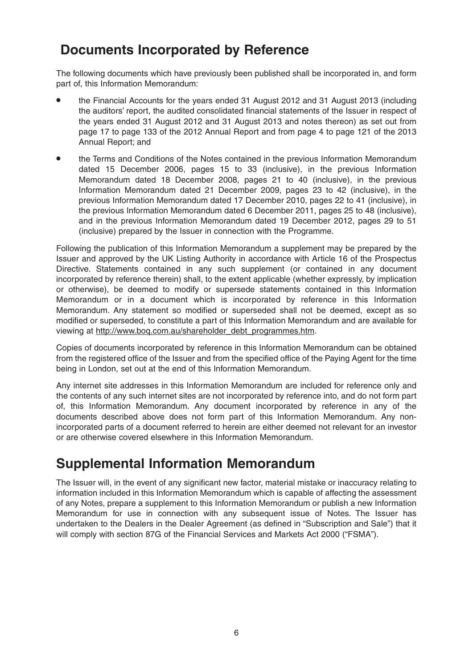### **Documents Incorporated by Reference**

The following documents which have previously been published shall be incorporated in, and form part of, this Information Memorandum:

- the Financial Accounts for the years ended 31 August 2012 and 31 August 2013 (including the auditors' report, the audited consolidated financial statements of the Issuer in respect of the years ended 31 August 2012 and 31 August 2013 and notes thereon) as set out from page 17 to page 133 of the 2012 Annual Report and from page 4 to page 121 of the 2013 Annual Report; and
- the Terms and Conditions of the Notes contained in the previous Information Memorandum dated 15 December 2006, pages 15 to 33 (inclusive), in the previous Information Memorandum dated 18 December 2008, pages 21 to 40 (inclusive), in the previous Information Memorandum dated 21 December 2009, pages 23 to 42 (inclusive), in the previous Information Memorandum dated 17 December 2010, pages 22 to 41 (inclusive), in the previous Information Memorandum dated 6 December 2011, pages 25 to 48 (inclusive), and in the previous Information Memorandum dated 19 December 2012, pages 29 to 51 (inclusive) prepared by the Issuer in connection with the Programme.

Following the publication of this Information Memorandum a supplement may be prepared by the Issuer and approved by the UK Listing Authority in accordance with Article 16 of the Prospectus Directive. Statements contained in any such supplement (or contained in any document incorporated by reference therein) shall, to the extent applicable (whether expressly, by implication or otherwise), be deemed to modify or supersede statements contained in this Information Memorandum or in a document which is incorporated by reference in this Information Memorandum. Any statement so modified or superseded shall not be deemed, except as so modified or superseded, to constitute a part of this Information Memorandum and are available for viewing at http://www.boq.com.au/shareholder\_debt\_programmes.htm.

Copies of documents incorporated by reference in this Information Memorandum can be obtained from the registered office of the Issuer and from the specified office of the Paying Agent for the time being in London, set out at the end of this Information Memorandum.

Any internet site addresses in this Information Memorandum are included for reference only and the contents of any such internet sites are not incorporated by reference into, and do not form part of, this Information Memorandum. Any document incorporated by reference in any of the documents described above does not form part of this Information Memorandum. Any nonincorporated parts of a document referred to herein are either deemed not relevant for an investor or are otherwise covered elsewhere in this Information Memorandum.

### **Supplemental Information Memorandum**

The Issuer will, in the event of any significant new factor, material mistake or inaccuracy relating to information included in this Information Memorandum which is capable of affecting the assessment of any Notes, prepare a supplement to this Information Memorandum or publish a new Information Memorandum for use in connection with any subsequent issue of Notes. The Issuer has undertaken to the Dealers in the Dealer Agreement (as defined in "Subscription and Sale") that it will comply with section 87G of the Financial Services and Markets Act 2000 ("FSMA").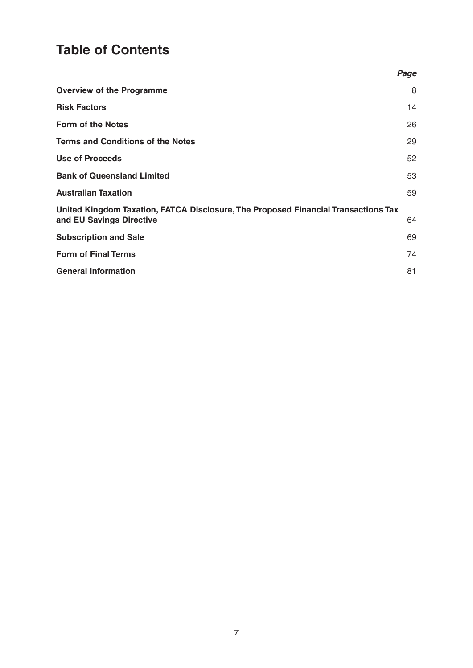## **Table of Contents**

|                                                                                                                | Page |
|----------------------------------------------------------------------------------------------------------------|------|
| <b>Overview of the Programme</b>                                                                               | 8    |
| <b>Risk Factors</b>                                                                                            | 14   |
| <b>Form of the Notes</b>                                                                                       | 26   |
| <b>Terms and Conditions of the Notes</b>                                                                       | 29   |
| <b>Use of Proceeds</b>                                                                                         | 52   |
| <b>Bank of Queensland Limited</b>                                                                              | 53   |
| <b>Australian Taxation</b>                                                                                     | 59   |
| United Kingdom Taxation, FATCA Disclosure, The Proposed Financial Transactions Tax<br>and EU Savings Directive | 64   |
| <b>Subscription and Sale</b>                                                                                   | 69   |
| <b>Form of Final Terms</b>                                                                                     | 74   |
| <b>General Information</b>                                                                                     | 81   |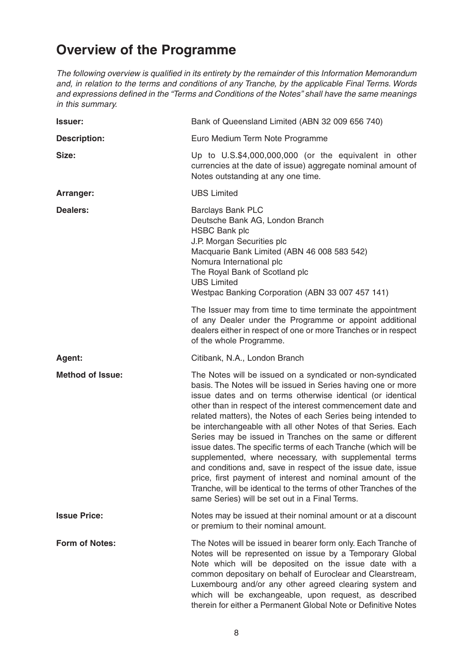## **Overview of the Programme**

The following overview is qualified in its entirety by the remainder of this Information Memorandum and, in relation to the terms and conditions of any Tranche, by the applicable Final Terms. Words and expressions defined in the "Terms and Conditions of the Notes" shall have the same meanings in this summary.

| <b>Issuer:</b>          | Bank of Queensland Limited (ABN 32 009 656 740)                                                                                                                                                                                                                                                                                                                                                                                                                                                                                                                                                                                                                                                                                                                                                                                      |
|-------------------------|--------------------------------------------------------------------------------------------------------------------------------------------------------------------------------------------------------------------------------------------------------------------------------------------------------------------------------------------------------------------------------------------------------------------------------------------------------------------------------------------------------------------------------------------------------------------------------------------------------------------------------------------------------------------------------------------------------------------------------------------------------------------------------------------------------------------------------------|
| <b>Description:</b>     | Euro Medium Term Note Programme                                                                                                                                                                                                                                                                                                                                                                                                                                                                                                                                                                                                                                                                                                                                                                                                      |
| Size:                   | Up to U.S.\$4,000,000,000 (or the equivalent in other<br>currencies at the date of issue) aggregate nominal amount of<br>Notes outstanding at any one time.                                                                                                                                                                                                                                                                                                                                                                                                                                                                                                                                                                                                                                                                          |
| Arranger:               | <b>UBS Limited</b>                                                                                                                                                                                                                                                                                                                                                                                                                                                                                                                                                                                                                                                                                                                                                                                                                   |
| <b>Dealers:</b>         | <b>Barclays Bank PLC</b><br>Deutsche Bank AG, London Branch<br><b>HSBC Bank plc</b><br>J.P. Morgan Securities plc<br>Macquarie Bank Limited (ABN 46 008 583 542)<br>Nomura International plc<br>The Royal Bank of Scotland plc<br><b>UBS Limited</b><br>Westpac Banking Corporation (ABN 33 007 457 141)                                                                                                                                                                                                                                                                                                                                                                                                                                                                                                                             |
|                         | The Issuer may from time to time terminate the appointment<br>of any Dealer under the Programme or appoint additional<br>dealers either in respect of one or more Tranches or in respect<br>of the whole Programme.                                                                                                                                                                                                                                                                                                                                                                                                                                                                                                                                                                                                                  |
| Agent:                  | Citibank, N.A., London Branch                                                                                                                                                                                                                                                                                                                                                                                                                                                                                                                                                                                                                                                                                                                                                                                                        |
| <b>Method of Issue:</b> | The Notes will be issued on a syndicated or non-syndicated<br>basis. The Notes will be issued in Series having one or more<br>issue dates and on terms otherwise identical (or identical<br>other than in respect of the interest commencement date and<br>related matters), the Notes of each Series being intended to<br>be interchangeable with all other Notes of that Series. Each<br>Series may be issued in Tranches on the same or different<br>issue dates. The specific terms of each Tranche (which will be<br>supplemented, where necessary, with supplemental terms<br>and conditions and, save in respect of the issue date, issue<br>price, first payment of interest and nominal amount of the<br>Tranche, will be identical to the terms of other Tranches of the<br>same Series) will be set out in a Final Terms. |
| <b>Issue Price:</b>     | Notes may be issued at their nominal amount or at a discount<br>or premium to their nominal amount.                                                                                                                                                                                                                                                                                                                                                                                                                                                                                                                                                                                                                                                                                                                                  |
| <b>Form of Notes:</b>   | The Notes will be issued in bearer form only. Each Tranche of<br>Notes will be represented on issue by a Temporary Global<br>Note which will be deposited on the issue date with a<br>common depositary on behalf of Euroclear and Clearstream,<br>Luxembourg and/or any other agreed clearing system and<br>which will be exchangeable, upon request, as described<br>therein for either a Permanent Global Note or Definitive Notes                                                                                                                                                                                                                                                                                                                                                                                                |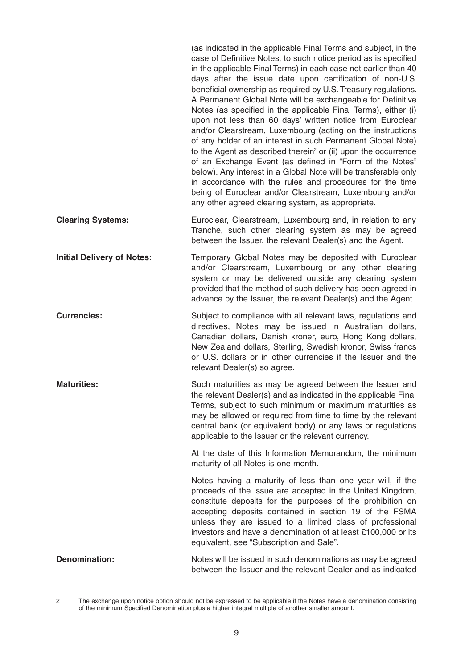|                                   | (as indicated in the applicable Final Terms and subject, in the<br>case of Definitive Notes, to such notice period as is specified<br>in the applicable Final Terms) in each case not earlier than 40<br>days after the issue date upon certification of non-U.S.<br>beneficial ownership as required by U.S. Treasury regulations.<br>A Permanent Global Note will be exchangeable for Definitive<br>Notes (as specified in the applicable Final Terms), either (i)<br>upon not less than 60 days' written notice from Euroclear<br>and/or Clearstream, Luxembourg (acting on the instructions<br>of any holder of an interest in such Permanent Global Note)<br>to the Agent as described therein <sup>2</sup> or (ii) upon the occurrence<br>of an Exchange Event (as defined in "Form of the Notes"<br>below). Any interest in a Global Note will be transferable only<br>in accordance with the rules and procedures for the time<br>being of Euroclear and/or Clearstream, Luxembourg and/or<br>any other agreed clearing system, as appropriate. |
|-----------------------------------|---------------------------------------------------------------------------------------------------------------------------------------------------------------------------------------------------------------------------------------------------------------------------------------------------------------------------------------------------------------------------------------------------------------------------------------------------------------------------------------------------------------------------------------------------------------------------------------------------------------------------------------------------------------------------------------------------------------------------------------------------------------------------------------------------------------------------------------------------------------------------------------------------------------------------------------------------------------------------------------------------------------------------------------------------------|
| <b>Clearing Systems:</b>          | Euroclear, Clearstream, Luxembourg and, in relation to any<br>Tranche, such other clearing system as may be agreed<br>between the Issuer, the relevant Dealer(s) and the Agent.                                                                                                                                                                                                                                                                                                                                                                                                                                                                                                                                                                                                                                                                                                                                                                                                                                                                         |
| <b>Initial Delivery of Notes:</b> | Temporary Global Notes may be deposited with Euroclear<br>and/or Clearstream, Luxembourg or any other clearing<br>system or may be delivered outside any clearing system<br>provided that the method of such delivery has been agreed in<br>advance by the Issuer, the relevant Dealer(s) and the Agent.                                                                                                                                                                                                                                                                                                                                                                                                                                                                                                                                                                                                                                                                                                                                                |
| <b>Currencies:</b>                | Subject to compliance with all relevant laws, regulations and<br>directives, Notes may be issued in Australian dollars,<br>Canadian dollars, Danish kroner, euro, Hong Kong dollars,<br>New Zealand dollars, Sterling, Swedish kronor, Swiss francs<br>or U.S. dollars or in other currencies if the Issuer and the<br>relevant Dealer(s) so agree.                                                                                                                                                                                                                                                                                                                                                                                                                                                                                                                                                                                                                                                                                                     |
| <b>Maturities:</b>                | Such maturities as may be agreed between the Issuer and<br>the relevant Dealer(s) and as indicated in the applicable Final<br>Terms, subject to such minimum or maximum maturities as<br>may be allowed or required from time to time by the relevant<br>central bank (or equivalent body) or any laws or regulations<br>applicable to the Issuer or the relevant currency.                                                                                                                                                                                                                                                                                                                                                                                                                                                                                                                                                                                                                                                                             |
|                                   | At the date of this Information Memorandum, the minimum<br>maturity of all Notes is one month.                                                                                                                                                                                                                                                                                                                                                                                                                                                                                                                                                                                                                                                                                                                                                                                                                                                                                                                                                          |
|                                   | Notes having a maturity of less than one year will, if the<br>proceeds of the issue are accepted in the United Kingdom,<br>constitute deposits for the purposes of the prohibition on<br>accepting deposits contained in section 19 of the FSMA<br>unless they are issued to a limited class of professional<br>investors and have a denomination of at least £100,000 or its<br>equivalent, see "Subscription and Sale".                                                                                                                                                                                                                                                                                                                                                                                                                                                                                                                                                                                                                               |
| <b>Denomination:</b>              | Notes will be issued in such denominations as may be agreed<br>between the Issuer and the relevant Dealer and as indicated                                                                                                                                                                                                                                                                                                                                                                                                                                                                                                                                                                                                                                                                                                                                                                                                                                                                                                                              |

<sup>2</sup> The exchange upon notice option should not be expressed to be applicable if the Notes have a denomination consisting of the minimum Specified Denomination plus a higher integral multiple of another smaller amount.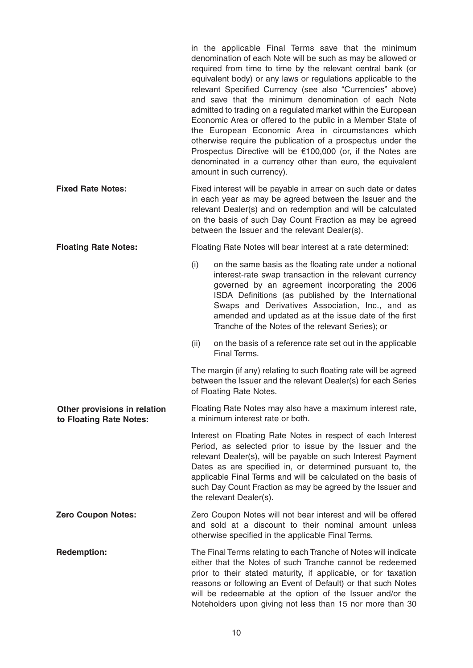|                                                         | in the applicable Final Terms save that the minimum<br>denomination of each Note will be such as may be allowed or<br>required from time to time by the relevant central bank (or<br>equivalent body) or any laws or regulations applicable to the<br>relevant Specified Currency (see also "Currencies" above)<br>and save that the minimum denomination of each Note<br>admitted to trading on a regulated market within the European<br>Economic Area or offered to the public in a Member State of<br>the European Economic Area in circumstances which<br>otherwise require the publication of a prospectus under the<br>Prospectus Directive will be $€100,000$ (or, if the Notes are<br>denominated in a currency other than euro, the equivalent<br>amount in such currency). |
|---------------------------------------------------------|---------------------------------------------------------------------------------------------------------------------------------------------------------------------------------------------------------------------------------------------------------------------------------------------------------------------------------------------------------------------------------------------------------------------------------------------------------------------------------------------------------------------------------------------------------------------------------------------------------------------------------------------------------------------------------------------------------------------------------------------------------------------------------------|
| <b>Fixed Rate Notes:</b>                                | Fixed interest will be payable in arrear on such date or dates<br>in each year as may be agreed between the Issuer and the<br>relevant Dealer(s) and on redemption and will be calculated<br>on the basis of such Day Count Fraction as may be agreed<br>between the Issuer and the relevant Dealer(s).                                                                                                                                                                                                                                                                                                                                                                                                                                                                               |
| <b>Floating Rate Notes:</b>                             | Floating Rate Notes will bear interest at a rate determined:                                                                                                                                                                                                                                                                                                                                                                                                                                                                                                                                                                                                                                                                                                                          |
|                                                         | (i)<br>on the same basis as the floating rate under a notional<br>interest-rate swap transaction in the relevant currency<br>governed by an agreement incorporating the 2006<br>ISDA Definitions (as published by the International<br>Swaps and Derivatives Association, Inc., and as<br>amended and updated as at the issue date of the first<br>Tranche of the Notes of the relevant Series); or                                                                                                                                                                                                                                                                                                                                                                                   |
|                                                         | (ii)<br>on the basis of a reference rate set out in the applicable<br>Final Terms.                                                                                                                                                                                                                                                                                                                                                                                                                                                                                                                                                                                                                                                                                                    |
|                                                         | The margin (if any) relating to such floating rate will be agreed<br>between the Issuer and the relevant Dealer(s) for each Series<br>of Floating Rate Notes.                                                                                                                                                                                                                                                                                                                                                                                                                                                                                                                                                                                                                         |
| Other provisions in relation<br>to Floating Rate Notes: | Floating Rate Notes may also have a maximum interest rate,<br>a minimum interest rate or both.                                                                                                                                                                                                                                                                                                                                                                                                                                                                                                                                                                                                                                                                                        |
|                                                         | Interest on Floating Rate Notes in respect of each Interest<br>Period, as selected prior to issue by the Issuer and the<br>relevant Dealer(s), will be payable on such Interest Payment<br>Dates as are specified in, or determined pursuant to, the<br>applicable Final Terms and will be calculated on the basis of<br>such Day Count Fraction as may be agreed by the Issuer and<br>the relevant Dealer(s).                                                                                                                                                                                                                                                                                                                                                                        |
| <b>Zero Coupon Notes:</b>                               | Zero Coupon Notes will not bear interest and will be offered<br>and sold at a discount to their nominal amount unless<br>otherwise specified in the applicable Final Terms.                                                                                                                                                                                                                                                                                                                                                                                                                                                                                                                                                                                                           |
| <b>Redemption:</b>                                      | The Final Terms relating to each Tranche of Notes will indicate<br>either that the Notes of such Tranche cannot be redeemed<br>prior to their stated maturity, if applicable, or for taxation<br>reasons or following an Event of Default) or that such Notes<br>will be redeemable at the option of the Issuer and/or the<br>Noteholders upon giving not less than 15 nor more than 30                                                                                                                                                                                                                                                                                                                                                                                               |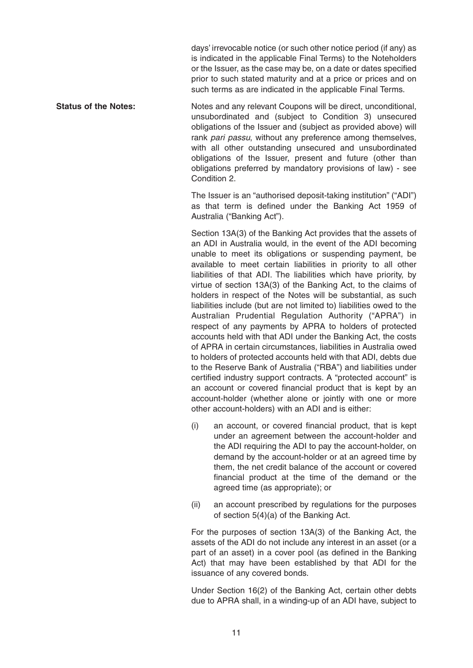days' irrevocable notice (or such other notice period (if any) as is indicated in the applicable Final Terms) to the Noteholders or the Issuer, as the case may be, on a date or dates specified prior to such stated maturity and at a price or prices and on such terms as are indicated in the applicable Final Terms.

**Status of the Notes:** Notes and any relevant Coupons will be direct, unconditional, unsubordinated and (subject to Condition 3) unsecured obligations of the Issuer and (subject as provided above) will rank pari passu, without any preference among themselves, with all other outstanding unsecured and unsubordinated obligations of the Issuer, present and future (other than obligations preferred by mandatory provisions of law) - see Condition 2.

> The Issuer is an "authorised deposit-taking institution" ("ADI") as that term is defined under the Banking Act 1959 of Australia ("Banking Act").

> Section 13A(3) of the Banking Act provides that the assets of an ADI in Australia would, in the event of the ADI becoming unable to meet its obligations or suspending payment, be available to meet certain liabilities in priority to all other liabilities of that ADI. The liabilities which have priority, by virtue of section 13A(3) of the Banking Act, to the claims of holders in respect of the Notes will be substantial, as such liabilities include (but are not limited to) liabilities owed to the Australian Prudential Regulation Authority ("APRA") in respect of any payments by APRA to holders of protected accounts held with that ADI under the Banking Act, the costs of APRA in certain circumstances, liabilities in Australia owed to holders of protected accounts held with that ADI, debts due to the Reserve Bank of Australia ("RBA") and liabilities under certified industry support contracts. A "protected account" is an account or covered financial product that is kept by an account-holder (whether alone or jointly with one or more other account-holders) with an ADI and is either:

- (i) an account, or covered financial product, that is kept under an agreement between the account-holder and the ADI requiring the ADI to pay the account-holder, on demand by the account-holder or at an agreed time by them, the net credit balance of the account or covered financial product at the time of the demand or the agreed time (as appropriate); or
- (ii) an account prescribed by regulations for the purposes of section 5(4)(a) of the Banking Act.

For the purposes of section 13A(3) of the Banking Act, the assets of the ADI do not include any interest in an asset (or a part of an asset) in a cover pool (as defined in the Banking Act) that may have been established by that ADI for the issuance of any covered bonds.

Under Section 16(2) of the Banking Act, certain other debts due to APRA shall, in a winding-up of an ADI have, subject to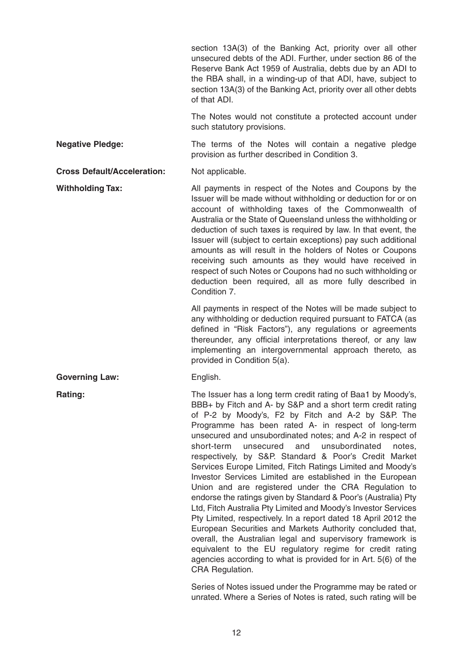section 13A(3) of the Banking Act, priority over all other unsecured debts of the ADI. Further, under section 86 of the Reserve Bank Act 1959 of Australia, debts due by an ADI to the RBA shall, in a winding-up of that ADI, have, subject to section 13A(3) of the Banking Act, priority over all other debts of that ADI.

The Notes would not constitute a protected account under such statutory provisions.

**Negative Pledge:** The terms of the Notes will contain a negative pledge provision as further described in Condition 3.

**Cross Default/Acceleration:** Not applicable.

**Withholding Tax:** All payments in respect of the Notes and Coupons by the Issuer will be made without withholding or deduction for or on account of withholding taxes of the Commonwealth of Australia or the State of Queensland unless the withholding or deduction of such taxes is required by law. In that event, the Issuer will (subject to certain exceptions) pay such additional amounts as will result in the holders of Notes or Coupons receiving such amounts as they would have received in respect of such Notes or Coupons had no such withholding or deduction been required, all as more fully described in Condition 7.

> All payments in respect of the Notes will be made subject to any withholding or deduction required pursuant to FATCA (as defined in "Risk Factors"), any regulations or agreements thereunder, any official interpretations thereof, or any law implementing an intergovernmental approach thereto, as provided in Condition 5(a).

#### Governing Law: English.

**Rating:** The Issuer has a long term credit rating of Baa1 by Moody's, BBB+ by Fitch and A- by S&P and a short term credit rating of P-2 by Moody's, F2 by Fitch and A-2 by S&P. The Programme has been rated A- in respect of long-term unsecured and unsubordinated notes; and A-2 in respect of short-term unsecured and unsubordinated notes, respectively, by S&P. Standard & Poor's Credit Market Services Europe Limited, Fitch Ratings Limited and Moody's Investor Services Limited are established in the European Union and are registered under the CRA Regulation to endorse the ratings given by Standard & Poor's (Australia) Pty Ltd, Fitch Australia Pty Limited and Moody's Investor Services Pty Limited, respectively. In a report dated 18 April 2012 the European Securities and Markets Authority concluded that, overall, the Australian legal and supervisory framework is equivalent to the EU regulatory regime for credit rating agencies according to what is provided for in Art. 5(6) of the CRA Regulation.

> Series of Notes issued under the Programme may be rated or unrated. Where a Series of Notes is rated, such rating will be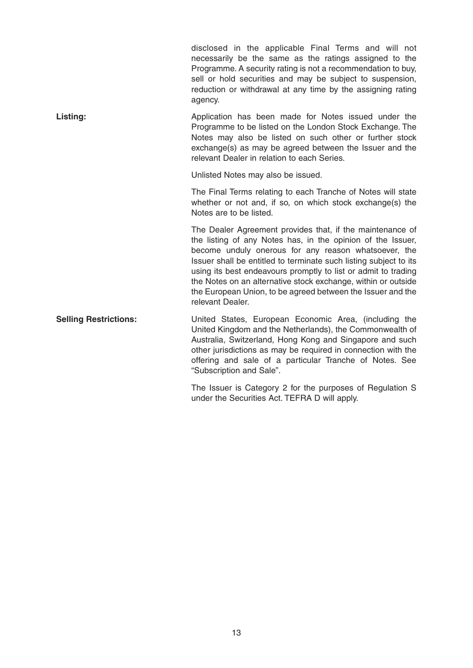|                              | disclosed in the applicable Final Terms and will not<br>necessarily be the same as the ratings assigned to the<br>Programme. A security rating is not a recommendation to buy,<br>sell or hold securities and may be subject to suspension,<br>reduction or withdrawal at any time by the assigning rating<br>agency.                                                                                                                                                       |
|------------------------------|-----------------------------------------------------------------------------------------------------------------------------------------------------------------------------------------------------------------------------------------------------------------------------------------------------------------------------------------------------------------------------------------------------------------------------------------------------------------------------|
| <b>Listing:</b>              | Application has been made for Notes issued under the<br>Programme to be listed on the London Stock Exchange. The<br>Notes may also be listed on such other or further stock<br>exchange(s) as may be agreed between the Issuer and the<br>relevant Dealer in relation to each Series.                                                                                                                                                                                       |
|                              | Unlisted Notes may also be issued.                                                                                                                                                                                                                                                                                                                                                                                                                                          |
|                              | The Final Terms relating to each Tranche of Notes will state<br>whether or not and, if so, on which stock exchange(s) the<br>Notes are to be listed.                                                                                                                                                                                                                                                                                                                        |
|                              | The Dealer Agreement provides that, if the maintenance of<br>the listing of any Notes has, in the opinion of the Issuer,<br>become unduly onerous for any reason whatsoever, the<br>Issuer shall be entitled to terminate such listing subject to its<br>using its best endeavours promptly to list or admit to trading<br>the Notes on an alternative stock exchange, within or outside<br>the European Union, to be agreed between the Issuer and the<br>relevant Dealer. |
| <b>Selling Restrictions:</b> | United States, European Economic Area, (including the<br>United Kingdom and the Netherlands), the Commonwealth of                                                                                                                                                                                                                                                                                                                                                           |

United Kingdom and the Netherlands), the Commonwealth of Australia, Switzerland, Hong Kong and Singapore and such other jurisdictions as may be required in connection with the offering and sale of a particular Tranche of Notes. See "Subscription and Sale".

> The Issuer is Category 2 for the purposes of Regulation S under the Securities Act. TEFRA D will apply.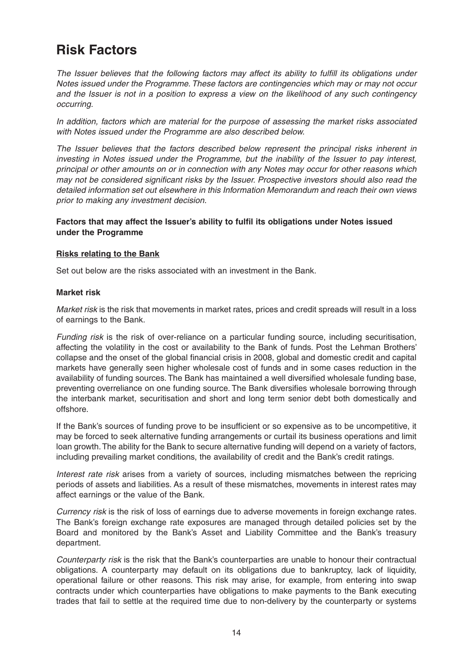### **Risk Factors**

The Issuer believes that the following factors may affect its ability to fulfill its obligations under Notes issued under the Programme. These factors are contingencies which may or may not occur and the Issuer is not in a position to express a view on the likelihood of any such contingency occurring.

In addition, factors which are material for the purpose of assessing the market risks associated with Notes issued under the Programme are also described below.

The Issuer believes that the factors described below represent the principal risks inherent in investing in Notes issued under the Programme, but the inability of the Issuer to pay interest, principal or other amounts on or in connection with any Notes may occur for other reasons which may not be considered significant risks by the Issuer. Prospective investors should also read the detailed information set out elsewhere in this Information Memorandum and reach their own views prior to making any investment decision.

#### **Factors that may affect the Issuer's ability to fulfil its obligations under Notes issued under the Programme**

#### **Risks relating to the Bank**

Set out below are the risks associated with an investment in the Bank.

#### **Market risk**

Market risk is the risk that movements in market rates, prices and credit spreads will result in a loss of earnings to the Bank.

Funding risk is the risk of over-reliance on a particular funding source, including securitisation, affecting the volatility in the cost or availability to the Bank of funds. Post the Lehman Brothers' collapse and the onset of the global financial crisis in 2008, global and domestic credit and capital markets have generally seen higher wholesale cost of funds and in some cases reduction in the availability of funding sources. The Bank has maintained a well diversified wholesale funding base, preventing overreliance on one funding source. The Bank diversifies wholesale borrowing through the interbank market, securitisation and short and long term senior debt both domestically and offshore.

If the Bank's sources of funding prove to be insufficient or so expensive as to be uncompetitive, it may be forced to seek alternative funding arrangements or curtail its business operations and limit loan growth. The ability for the Bank to secure alternative funding will depend on a variety of factors, including prevailing market conditions, the availability of credit and the Bank's credit ratings.

Interest rate risk arises from a variety of sources, including mismatches between the repricing periods of assets and liabilities. As a result of these mismatches, movements in interest rates may affect earnings or the value of the Bank.

Currency risk is the risk of loss of earnings due to adverse movements in foreign exchange rates. The Bank's foreign exchange rate exposures are managed through detailed policies set by the Board and monitored by the Bank's Asset and Liability Committee and the Bank's treasury department.

Counterparty risk is the risk that the Bank's counterparties are unable to honour their contractual obligations. A counterparty may default on its obligations due to bankruptcy, lack of liquidity, operational failure or other reasons. This risk may arise, for example, from entering into swap contracts under which counterparties have obligations to make payments to the Bank executing trades that fail to settle at the required time due to non-delivery by the counterparty or systems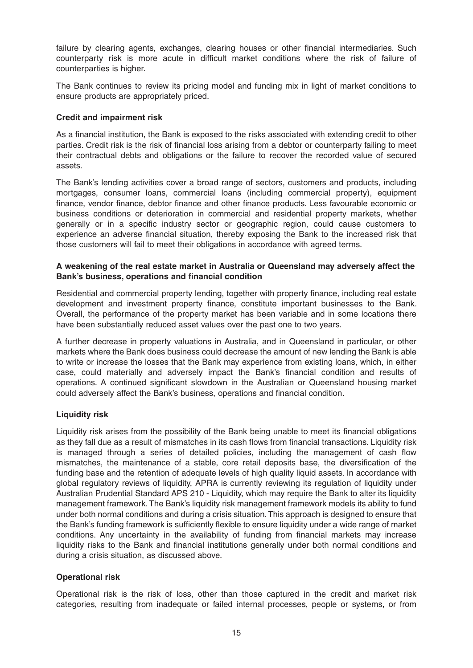failure by clearing agents, exchanges, clearing houses or other financial intermediaries. Such counterparty risk is more acute in difficult market conditions where the risk of failure of counterparties is higher.

The Bank continues to review its pricing model and funding mix in light of market conditions to ensure products are appropriately priced.

#### **Credit and impairment risk**

As a financial institution, the Bank is exposed to the risks associated with extending credit to other parties. Credit risk is the risk of financial loss arising from a debtor or counterparty failing to meet their contractual debts and obligations or the failure to recover the recorded value of secured assets.

The Bank's lending activities cover a broad range of sectors, customers and products, including mortgages, consumer loans, commercial loans (including commercial property), equipment finance, vendor finance, debtor finance and other finance products. Less favourable economic or business conditions or deterioration in commercial and residential property markets, whether generally or in a specific industry sector or geographic region, could cause customers to experience an adverse financial situation, thereby exposing the Bank to the increased risk that those customers will fail to meet their obligations in accordance with agreed terms.

#### **A weakening of the real estate market in Australia or Queensland may adversely affect the Bank's business, operations and financial condition**

Residential and commercial property lending, together with property finance, including real estate development and investment property finance, constitute important businesses to the Bank. Overall, the performance of the property market has been variable and in some locations there have been substantially reduced asset values over the past one to two years.

A further decrease in property valuations in Australia, and in Queensland in particular, or other markets where the Bank does business could decrease the amount of new lending the Bank is able to write or increase the losses that the Bank may experience from existing loans, which, in either case, could materially and adversely impact the Bank's financial condition and results of operations. A continued significant slowdown in the Australian or Queensland housing market could adversely affect the Bank's business, operations and financial condition.

#### **Liquidity risk**

Liquidity risk arises from the possibility of the Bank being unable to meet its financial obligations as they fall due as a result of mismatches in its cash flows from financial transactions. Liquidity risk is managed through a series of detailed policies, including the management of cash flow mismatches, the maintenance of a stable, core retail deposits base, the diversification of the funding base and the retention of adequate levels of high quality liquid assets. In accordance with global regulatory reviews of liquidity, APRA is currently reviewing its regulation of liquidity under Australian Prudential Standard APS 210 - Liquidity, which may require the Bank to alter its liquidity management framework. The Bank's liquidity risk management framework models its ability to fund under both normal conditions and during a crisis situation. This approach is designed to ensure that the Bank's funding framework is sufficiently flexible to ensure liquidity under a wide range of market conditions. Any uncertainty in the availability of funding from financial markets may increase liquidity risks to the Bank and financial institutions generally under both normal conditions and during a crisis situation, as discussed above.

#### **Operational risk**

Operational risk is the risk of loss, other than those captured in the credit and market risk categories, resulting from inadequate or failed internal processes, people or systems, or from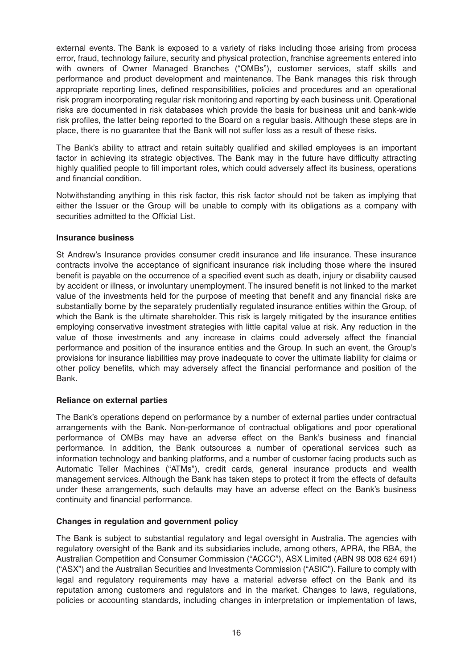external events. The Bank is exposed to a variety of risks including those arising from process error, fraud, technology failure, security and physical protection, franchise agreements entered into with owners of Owner Managed Branches ("OMBs"), customer services, staff skills and performance and product development and maintenance. The Bank manages this risk through appropriate reporting lines, defined responsibilities, policies and procedures and an operational risk program incorporating regular risk monitoring and reporting by each business unit. Operational risks are documented in risk databases which provide the basis for business unit and bank-wide risk profiles, the latter being reported to the Board on a regular basis. Although these steps are in place, there is no guarantee that the Bank will not suffer loss as a result of these risks.

The Bank's ability to attract and retain suitably qualified and skilled employees is an important factor in achieving its strategic objectives. The Bank may in the future have difficulty attracting highly qualified people to fill important roles, which could adversely affect its business, operations and financial condition.

Notwithstanding anything in this risk factor, this risk factor should not be taken as implying that either the Issuer or the Group will be unable to comply with its obligations as a company with securities admitted to the Official List.

#### **Insurance business**

St Andrew's Insurance provides consumer credit insurance and life insurance. These insurance contracts involve the acceptance of significant insurance risk including those where the insured benefit is payable on the occurrence of a specified event such as death, injury or disability caused by accident or illness, or involuntary unemployment. The insured benefit is not linked to the market value of the investments held for the purpose of meeting that benefit and any financial risks are substantially borne by the separately prudentially regulated insurance entities within the Group, of which the Bank is the ultimate shareholder. This risk is largely mitigated by the insurance entities employing conservative investment strategies with little capital value at risk. Any reduction in the value of those investments and any increase in claims could adversely affect the financial performance and position of the insurance entities and the Group. In such an event, the Group's provisions for insurance liabilities may prove inadequate to cover the ultimate liability for claims or other policy benefits, which may adversely affect the financial performance and position of the Bank.

#### **Reliance on external parties**

The Bank's operations depend on performance by a number of external parties under contractual arrangements with the Bank. Non-performance of contractual obligations and poor operational performance of OMBs may have an adverse effect on the Bank's business and financial performance. In addition, the Bank outsources a number of operational services such as information technology and banking platforms, and a number of customer facing products such as Automatic Teller Machines ("ATMs"), credit cards, general insurance products and wealth management services. Although the Bank has taken steps to protect it from the effects of defaults under these arrangements, such defaults may have an adverse effect on the Bank's business continuity and financial performance.

#### **Changes in regulation and government policy**

The Bank is subject to substantial regulatory and legal oversight in Australia. The agencies with regulatory oversight of the Bank and its subsidiaries include, among others, APRA, the RBA, the Australian Competition and Consumer Commission ("ACCC"), ASX Limited (ABN 98 008 624 691) ("ASX") and the Australian Securities and Investments Commission ("ASIC"). Failure to comply with legal and regulatory requirements may have a material adverse effect on the Bank and its reputation among customers and regulators and in the market. Changes to laws, regulations, policies or accounting standards, including changes in interpretation or implementation of laws,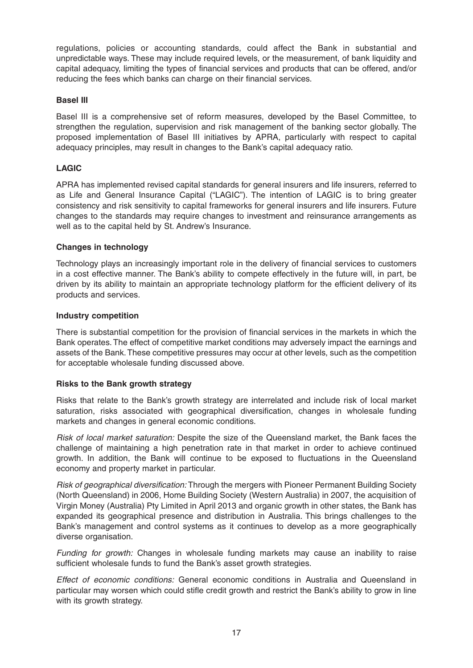regulations, policies or accounting standards, could affect the Bank in substantial and unpredictable ways. These may include required levels, or the measurement, of bank liquidity and capital adequacy, limiting the types of financial services and products that can be offered, and/or reducing the fees which banks can charge on their financial services.

#### **Basel III**

Basel III is a comprehensive set of reform measures, developed by the Basel Committee, to strengthen the regulation, supervision and risk management of the banking sector globally. The proposed implementation of Basel III initiatives by APRA, particularly with respect to capital adequacy principles, may result in changes to the Bank's capital adequacy ratio.

#### **LAGIC**

APRA has implemented revised capital standards for general insurers and life insurers, referred to as Life and General Insurance Capital ("LAGIC"). The intention of LAGIC is to bring greater consistency and risk sensitivity to capital frameworks for general insurers and life insurers. Future changes to the standards may require changes to investment and reinsurance arrangements as well as to the capital held by St. Andrew's Insurance.

#### **Changes in technology**

Technology plays an increasingly important role in the delivery of financial services to customers in a cost effective manner. The Bank's ability to compete effectively in the future will, in part, be driven by its ability to maintain an appropriate technology platform for the efficient delivery of its products and services.

#### **Industry competition**

There is substantial competition for the provision of financial services in the markets in which the Bank operates. The effect of competitive market conditions may adversely impact the earnings and assets of the Bank. These competitive pressures may occur at other levels, such as the competition for acceptable wholesale funding discussed above.

#### **Risks to the Bank growth strategy**

Risks that relate to the Bank's growth strategy are interrelated and include risk of local market saturation, risks associated with geographical diversification, changes in wholesale funding markets and changes in general economic conditions.

Risk of local market saturation: Despite the size of the Queensland market, the Bank faces the challenge of maintaining a high penetration rate in that market in order to achieve continued growth. In addition, the Bank will continue to be exposed to fluctuations in the Queensland economy and property market in particular.

Risk of geographical diversification: Through the mergers with Pioneer Permanent Building Society (North Queensland) in 2006, Home Building Society (Western Australia) in 2007, the acquisition of Virgin Money (Australia) Pty Limited in April 2013 and organic growth in other states, the Bank has expanded its geographical presence and distribution in Australia. This brings challenges to the Bank's management and control systems as it continues to develop as a more geographically diverse organisation.

Funding for growth: Changes in wholesale funding markets may cause an inability to raise sufficient wholesale funds to fund the Bank's asset growth strategies.

Effect of economic conditions: General economic conditions in Australia and Queensland in particular may worsen which could stifle credit growth and restrict the Bank's ability to grow in line with its growth strategy.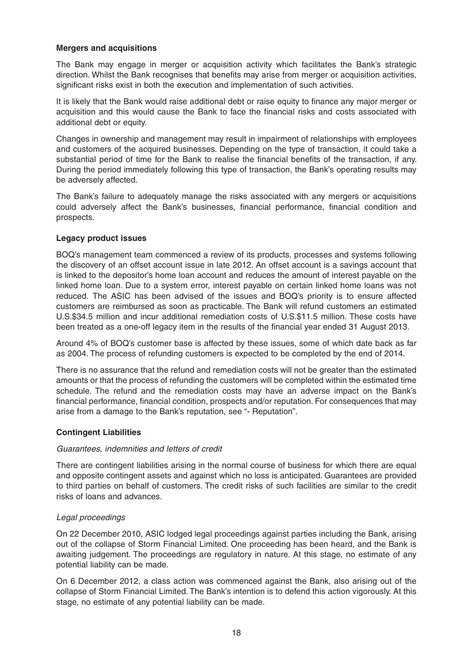#### **Mergers and acquisitions**

The Bank may engage in merger or acquisition activity which facilitates the Bank's strategic direction. Whilst the Bank recognises that benefits may arise from merger or acquisition activities, significant risks exist in both the execution and implementation of such activities.

It is likely that the Bank would raise additional debt or raise equity to finance any major merger or acquisition and this would cause the Bank to face the financial risks and costs associated with additional debt or equity.

Changes in ownership and management may result in impairment of relationships with employees and customers of the acquired businesses. Depending on the type of transaction, it could take a substantial period of time for the Bank to realise the financial benefits of the transaction, if any. During the period immediately following this type of transaction, the Bank's operating results may be adversely affected.

The Bank's failure to adequately manage the risks associated with any mergers or acquisitions could adversely affect the Bank's businesses, financial performance, financial condition and prospects.

#### **Legacy product issues**

BOQ's management team commenced a review of its products, processes and systems following the discovery of an offset account issue in late 2012. An offset account is a savings account that is linked to the depositor's home loan account and reduces the amount of interest payable on the linked home loan. Due to a system error, interest payable on certain linked home loans was not reduced. The ASIC has been advised of the issues and BOQ's priority is to ensure affected customers are reimbursed as soon as practicable. The Bank will refund customers an estimated U.S.\$34.5 million and incur additional remediation costs of U.S.\$11.5 million. These costs have been treated as a one-off legacy item in the results of the financial year ended 31 August 2013.

Around 4% of BOQ's customer base is affected by these issues, some of which date back as far as 2004. The process of refunding customers is expected to be completed by the end of 2014.

There is no assurance that the refund and remediation costs will not be greater than the estimated amounts or that the process of refunding the customers will be completed within the estimated time schedule. The refund and the remediation costs may have an adverse impact on the Bank's financial performance, financial condition, prospects and/or reputation. For consequences that may arise from a damage to the Bank's reputation, see "- Reputation".

#### **Contingent Liabilities**

#### Guarantees, indemnities and letters of credit

There are contingent liabilities arising in the normal course of business for which there are equal and opposite contingent assets and against which no loss is anticipated. Guarantees are provided to third parties on behalf of customers. The credit risks of such facilities are similar to the credit risks of loans and advances.

#### Legal proceedings

On 22 December 2010, ASIC lodged legal proceedings against parties including the Bank, arising out of the collapse of Storm Financial Limited. One proceeding has been heard, and the Bank is awaiting judgement. The proceedings are regulatory in nature. At this stage, no estimate of any potential liability can be made.

On 6 December 2012, a class action was commenced against the Bank, also arising out of the collapse of Storm Financial Limited. The Bank's intention is to defend this action vigorously. At this stage, no estimate of any potential liability can be made.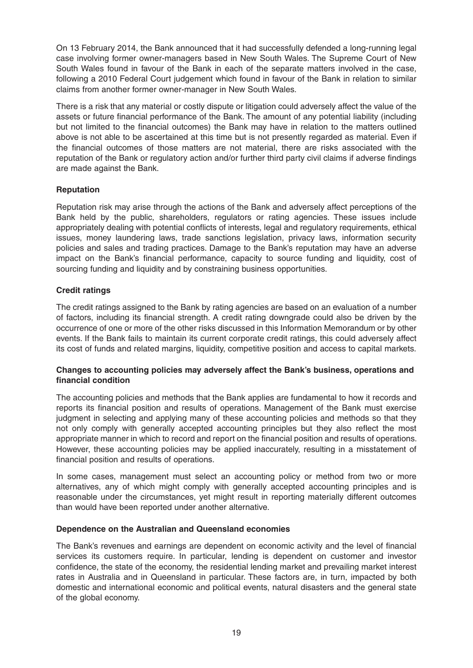On 13 February 2014, the Bank announced that it had successfully defended a long-running legal case involving former owner-managers based in New South Wales. The Supreme Court of New South Wales found in favour of the Bank in each of the separate matters involved in the case, following a 2010 Federal Court judgement which found in favour of the Bank in relation to similar claims from another former owner-manager in New South Wales.

There is a risk that any material or costly dispute or litigation could adversely affect the value of the assets or future financial performance of the Bank. The amount of any potential liability (including but not limited to the financial outcomes) the Bank may have in relation to the matters outlined above is not able to be ascertained at this time but is not presently regarded as material. Even if the financial outcomes of those matters are not material, there are risks associated with the reputation of the Bank or regulatory action and/or further third party civil claims if adverse findings are made against the Bank.

#### **Reputation**

Reputation risk may arise through the actions of the Bank and adversely affect perceptions of the Bank held by the public, shareholders, regulators or rating agencies. These issues include appropriately dealing with potential conflicts of interests, legal and regulatory requirements, ethical issues, money laundering laws, trade sanctions legislation, privacy laws, information security policies and sales and trading practices. Damage to the Bank's reputation may have an adverse impact on the Bank's financial performance, capacity to source funding and liquidity, cost of sourcing funding and liquidity and by constraining business opportunities.

#### **Credit ratings**

The credit ratings assigned to the Bank by rating agencies are based on an evaluation of a number of factors, including its financial strength. A credit rating downgrade could also be driven by the occurrence of one or more of the other risks discussed in this Information Memorandum or by other events. If the Bank fails to maintain its current corporate credit ratings, this could adversely affect its cost of funds and related margins, liquidity, competitive position and access to capital markets.

#### **Changes to accounting policies may adversely affect the Bank's business, operations and financial condition**

The accounting policies and methods that the Bank applies are fundamental to how it records and reports its financial position and results of operations. Management of the Bank must exercise judgment in selecting and applying many of these accounting policies and methods so that they not only comply with generally accepted accounting principles but they also reflect the most appropriate manner in which to record and report on the financial position and results of operations. However, these accounting policies may be applied inaccurately, resulting in a misstatement of financial position and results of operations.

In some cases, management must select an accounting policy or method from two or more alternatives, any of which might comply with generally accepted accounting principles and is reasonable under the circumstances, yet might result in reporting materially different outcomes than would have been reported under another alternative.

#### **Dependence on the Australian and Queensland economies**

The Bank's revenues and earnings are dependent on economic activity and the level of financial services its customers require. In particular, lending is dependent on customer and investor confidence, the state of the economy, the residential lending market and prevailing market interest rates in Australia and in Queensland in particular. These factors are, in turn, impacted by both domestic and international economic and political events, natural disasters and the general state of the global economy.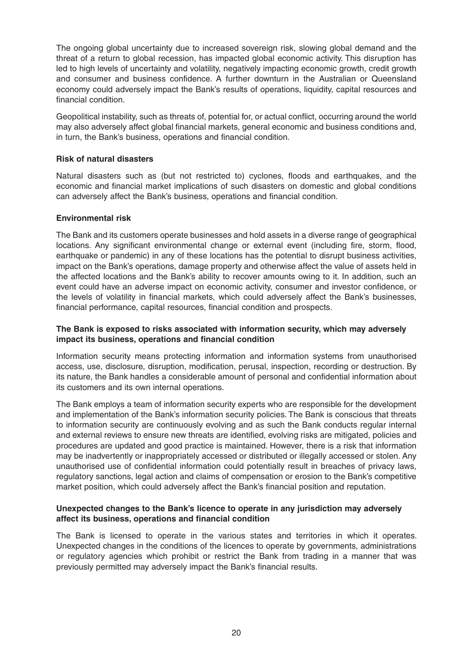The ongoing global uncertainty due to increased sovereign risk, slowing global demand and the threat of a return to global recession, has impacted global economic activity. This disruption has led to high levels of uncertainty and volatility, negatively impacting economic growth, credit growth and consumer and business confidence. A further downturn in the Australian or Queensland economy could adversely impact the Bank's results of operations, liquidity, capital resources and financial condition.

Geopolitical instability, such as threats of, potential for, or actual conflict, occurring around the world may also adversely affect global financial markets, general economic and business conditions and, in turn, the Bank's business, operations and financial condition.

#### **Risk of natural disasters**

Natural disasters such as (but not restricted to) cyclones, floods and earthquakes, and the economic and financial market implications of such disasters on domestic and global conditions can adversely affect the Bank's business, operations and financial condition.

#### **Environmental risk**

The Bank and its customers operate businesses and hold assets in a diverse range of geographical locations. Any significant environmental change or external event (including fire, storm, flood, earthquake or pandemic) in any of these locations has the potential to disrupt business activities, impact on the Bank's operations, damage property and otherwise affect the value of assets held in the affected locations and the Bank's ability to recover amounts owing to it. In addition, such an event could have an adverse impact on economic activity, consumer and investor confidence, or the levels of volatility in financial markets, which could adversely affect the Bank's businesses, financial performance, capital resources, financial condition and prospects.

#### **The Bank is exposed to risks associated with information security, which may adversely impact its business, operations and financial condition**

Information security means protecting information and information systems from unauthorised access, use, disclosure, disruption, modification, perusal, inspection, recording or destruction. By its nature, the Bank handles a considerable amount of personal and confidential information about its customers and its own internal operations.

The Bank employs a team of information security experts who are responsible for the development and implementation of the Bank's information security policies. The Bank is conscious that threats to information security are continuously evolving and as such the Bank conducts regular internal and external reviews to ensure new threats are identified, evolving risks are mitigated, policies and procedures are updated and good practice is maintained. However, there is a risk that information may be inadvertently or inappropriately accessed or distributed or illegally accessed or stolen. Any unauthorised use of confidential information could potentially result in breaches of privacy laws, regulatory sanctions, legal action and claims of compensation or erosion to the Bank's competitive market position, which could adversely affect the Bank's financial position and reputation.

#### **Unexpected changes to the Bank's licence to operate in any jurisdiction may adversely affect its business, operations and financial condition**

The Bank is licensed to operate in the various states and territories in which it operates. Unexpected changes in the conditions of the licences to operate by governments, administrations or regulatory agencies which prohibit or restrict the Bank from trading in a manner that was previously permitted may adversely impact the Bank's financial results.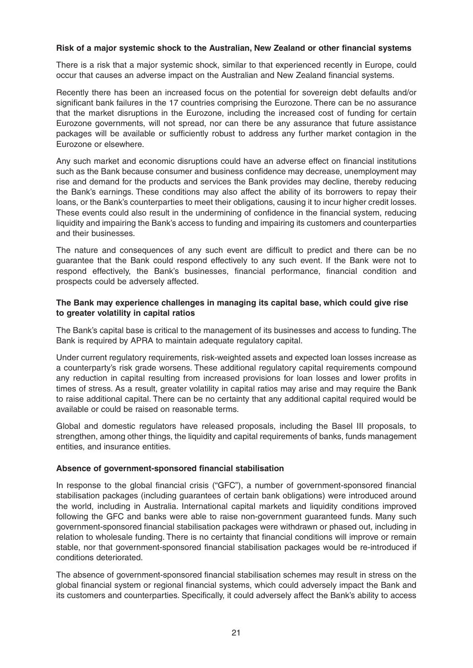#### **Risk of a major systemic shock to the Australian, New Zealand or other financial systems**

There is a risk that a major systemic shock, similar to that experienced recently in Europe, could occur that causes an adverse impact on the Australian and New Zealand financial systems.

Recently there has been an increased focus on the potential for sovereign debt defaults and/or significant bank failures in the 17 countries comprising the Eurozone. There can be no assurance that the market disruptions in the Eurozone, including the increased cost of funding for certain Eurozone governments, will not spread, nor can there be any assurance that future assistance packages will be available or sufficiently robust to address any further market contagion in the Eurozone or elsewhere.

Any such market and economic disruptions could have an adverse effect on financial institutions such as the Bank because consumer and business confidence may decrease, unemployment may rise and demand for the products and services the Bank provides may decline, thereby reducing the Bank's earnings. These conditions may also affect the ability of its borrowers to repay their loans, or the Bank's counterparties to meet their obligations, causing it to incur higher credit losses. These events could also result in the undermining of confidence in the financial system, reducing liquidity and impairing the Bank's access to funding and impairing its customers and counterparties and their businesses.

The nature and consequences of any such event are difficult to predict and there can be no guarantee that the Bank could respond effectively to any such event. If the Bank were not to respond effectively, the Bank's businesses, financial performance, financial condition and prospects could be adversely affected.

#### **The Bank may experience challenges in managing its capital base, which could give rise to greater volatility in capital ratios**

The Bank's capital base is critical to the management of its businesses and access to funding. The Bank is required by APRA to maintain adequate regulatory capital.

Under current regulatory requirements, risk-weighted assets and expected loan losses increase as a counterparty's risk grade worsens. These additional regulatory capital requirements compound any reduction in capital resulting from increased provisions for loan losses and lower profits in times of stress. As a result, greater volatility in capital ratios may arise and may require the Bank to raise additional capital. There can be no certainty that any additional capital required would be available or could be raised on reasonable terms.

Global and domestic regulators have released proposals, including the Basel III proposals, to strengthen, among other things, the liquidity and capital requirements of banks, funds management entities, and insurance entities.

#### **Absence of government-sponsored financial stabilisation**

In response to the global financial crisis ("GFC"), a number of government-sponsored financial stabilisation packages (including guarantees of certain bank obligations) were introduced around the world, including in Australia. International capital markets and liquidity conditions improved following the GFC and banks were able to raise non-government guaranteed funds. Many such government-sponsored financial stabilisation packages were withdrawn or phased out, including in relation to wholesale funding. There is no certainty that financial conditions will improve or remain stable, nor that government-sponsored financial stabilisation packages would be re-introduced if conditions deteriorated.

The absence of government-sponsored financial stabilisation schemes may result in stress on the global financial system or regional financial systems, which could adversely impact the Bank and its customers and counterparties. Specifically, it could adversely affect the Bank's ability to access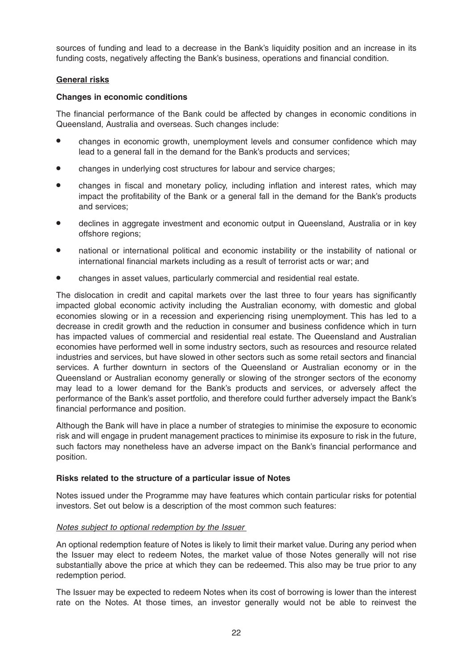sources of funding and lead to a decrease in the Bank's liquidity position and an increase in its funding costs, negatively affecting the Bank's business, operations and financial condition.

#### **General risks**

#### **Changes in economic conditions**

The financial performance of the Bank could be affected by changes in economic conditions in Queensland, Australia and overseas. Such changes include:

- changes in economic growth, unemployment levels and consumer confidence which may lead to a general fall in the demand for the Bank's products and services;
- changes in underlying cost structures for labour and service charges;
- changes in fiscal and monetary policy, including inflation and interest rates, which may impact the profitability of the Bank or a general fall in the demand for the Bank's products and services;
- declines in aggregate investment and economic output in Queensland, Australia or in key offshore regions;
- national or international political and economic instability or the instability of national or international financial markets including as a result of terrorist acts or war; and
- changes in asset values, particularly commercial and residential real estate.

The dislocation in credit and capital markets over the last three to four years has significantly impacted global economic activity including the Australian economy, with domestic and global economies slowing or in a recession and experiencing rising unemployment. This has led to a decrease in credit growth and the reduction in consumer and business confidence which in turn has impacted values of commercial and residential real estate. The Queensland and Australian economies have performed well in some industry sectors, such as resources and resource related industries and services, but have slowed in other sectors such as some retail sectors and financial services. A further downturn in sectors of the Queensland or Australian economy or in the Queensland or Australian economy generally or slowing of the stronger sectors of the economy may lead to a lower demand for the Bank's products and services, or adversely affect the performance of the Bank's asset portfolio, and therefore could further adversely impact the Bank's financial performance and position.

Although the Bank will have in place a number of strategies to minimise the exposure to economic risk and will engage in prudent management practices to minimise its exposure to risk in the future, such factors may nonetheless have an adverse impact on the Bank's financial performance and position.

#### **Risks related to the structure of a particular issue of Notes**

Notes issued under the Programme may have features which contain particular risks for potential investors. Set out below is a description of the most common such features:

#### Notes subject to optional redemption by the Issuer

An optional redemption feature of Notes is likely to limit their market value. During any period when the Issuer may elect to redeem Notes, the market value of those Notes generally will not rise substantially above the price at which they can be redeemed. This also may be true prior to any redemption period.

The Issuer may be expected to redeem Notes when its cost of borrowing is lower than the interest rate on the Notes. At those times, an investor generally would not be able to reinvest the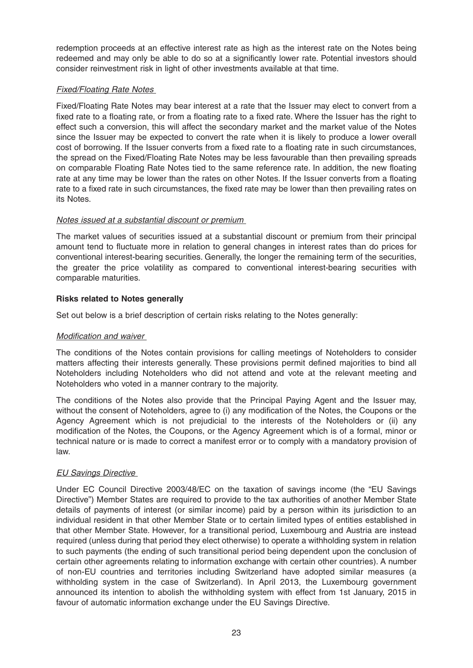redemption proceeds at an effective interest rate as high as the interest rate on the Notes being redeemed and may only be able to do so at a significantly lower rate. Potential investors should consider reinvestment risk in light of other investments available at that time.

#### **Fixed/Floating Rate Notes**

Fixed/Floating Rate Notes may bear interest at a rate that the Issuer may elect to convert from a fixed rate to a floating rate, or from a floating rate to a fixed rate. Where the Issuer has the right to effect such a conversion, this will affect the secondary market and the market value of the Notes since the Issuer may be expected to convert the rate when it is likely to produce a lower overall cost of borrowing. If the Issuer converts from a fixed rate to a floating rate in such circumstances, the spread on the Fixed/Floating Rate Notes may be less favourable than then prevailing spreads on comparable Floating Rate Notes tied to the same reference rate. In addition, the new floating rate at any time may be lower than the rates on other Notes. If the Issuer converts from a floating rate to a fixed rate in such circumstances, the fixed rate may be lower than then prevailing rates on its Notes.

#### Notes issued at a substantial discount or premium

The market values of securities issued at a substantial discount or premium from their principal amount tend to fluctuate more in relation to general changes in interest rates than do prices for conventional interest-bearing securities. Generally, the longer the remaining term of the securities, the greater the price volatility as compared to conventional interest-bearing securities with comparable maturities.

#### **Risks related to Notes generally**

Set out below is a brief description of certain risks relating to the Notes generally:

#### Modification and waiver

The conditions of the Notes contain provisions for calling meetings of Noteholders to consider matters affecting their interests generally. These provisions permit defined majorities to bind all Noteholders including Noteholders who did not attend and vote at the relevant meeting and Noteholders who voted in a manner contrary to the majority.

The conditions of the Notes also provide that the Principal Paying Agent and the Issuer may, without the consent of Noteholders, agree to (i) any modification of the Notes, the Coupons or the Agency Agreement which is not prejudicial to the interests of the Noteholders or (ii) any modification of the Notes, the Coupons, or the Agency Agreement which is of a formal, minor or technical nature or is made to correct a manifest error or to comply with a mandatory provision of law.

#### EU Savings Directive

Under EC Council Directive 2003/48/EC on the taxation of savings income (the "EU Savings Directive") Member States are required to provide to the tax authorities of another Member State details of payments of interest (or similar income) paid by a person within its jurisdiction to an individual resident in that other Member State or to certain limited types of entities established in that other Member State. However, for a transitional period, Luxembourg and Austria are instead required (unless during that period they elect otherwise) to operate a withholding system in relation to such payments (the ending of such transitional period being dependent upon the conclusion of certain other agreements relating to information exchange with certain other countries). A number of non-EU countries and territories including Switzerland have adopted similar measures (a withholding system in the case of Switzerland). In April 2013, the Luxembourg government announced its intention to abolish the withholding system with effect from 1st January, 2015 in favour of automatic information exchange under the EU Savings Directive.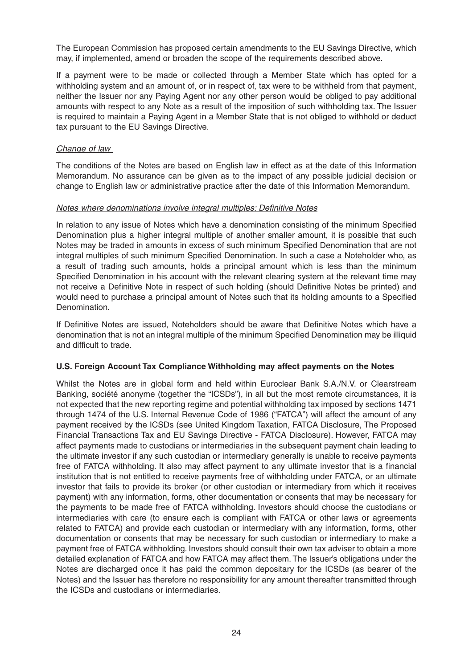The European Commission has proposed certain amendments to the EU Savings Directive, which may, if implemented, amend or broaden the scope of the requirements described above.

If a payment were to be made or collected through a Member State which has opted for a withholding system and an amount of, or in respect of, tax were to be withheld from that payment, neither the Issuer nor any Paying Agent nor any other person would be obliged to pay additional amounts with respect to any Note as a result of the imposition of such withholding tax. The Issuer is required to maintain a Paying Agent in a Member State that is not obliged to withhold or deduct tax pursuant to the EU Savings Directive.

#### Change of law

The conditions of the Notes are based on English law in effect as at the date of this Information Memorandum. No assurance can be given as to the impact of any possible judicial decision or change to English law or administrative practice after the date of this Information Memorandum.

#### Notes where denominations involve integral multiples: Definitive Notes

In relation to any issue of Notes which have a denomination consisting of the minimum Specified Denomination plus a higher integral multiple of another smaller amount, it is possible that such Notes may be traded in amounts in excess of such minimum Specified Denomination that are not integral multiples of such minimum Specified Denomination. In such a case a Noteholder who, as a result of trading such amounts, holds a principal amount which is less than the minimum Specified Denomination in his account with the relevant clearing system at the relevant time may not receive a Definitive Note in respect of such holding (should Definitive Notes be printed) and would need to purchase a principal amount of Notes such that its holding amounts to a Specified Denomination.

If Definitive Notes are issued, Noteholders should be aware that Definitive Notes which have a denomination that is not an integral multiple of the minimum Specified Denomination may be illiquid and difficult to trade.

#### **U.S. Foreign Account Tax Compliance Withholding may affect payments on the Notes**

Whilst the Notes are in global form and held within Euroclear Bank S.A./N.V. or Clearstream Banking, société anonyme (together the "ICSDs"), in all but the most remote circumstances, it is not expected that the new reporting regime and potential withholding tax imposed by sections 1471 through 1474 of the U.S. Internal Revenue Code of 1986 ("FATCA") will affect the amount of any payment received by the ICSDs (see United Kingdom Taxation, FATCA Disclosure, The Proposed Financial Transactions Tax and EU Savings Directive - FATCA Disclosure). However, FATCA may affect payments made to custodians or intermediaries in the subsequent payment chain leading to the ultimate investor if any such custodian or intermediary generally is unable to receive payments free of FATCA withholding. It also may affect payment to any ultimate investor that is a financial institution that is not entitled to receive payments free of withholding under FATCA, or an ultimate investor that fails to provide its broker (or other custodian or intermediary from which it receives payment) with any information, forms, other documentation or consents that may be necessary for the payments to be made free of FATCA withholding. Investors should choose the custodians or intermediaries with care (to ensure each is compliant with FATCA or other laws or agreements related to FATCA) and provide each custodian or intermediary with any information, forms, other documentation or consents that may be necessary for such custodian or intermediary to make a payment free of FATCA withholding. Investors should consult their own tax adviser to obtain a more detailed explanation of FATCA and how FATCA may affect them. The Issuer's obligations under the Notes are discharged once it has paid the common depositary for the ICSDs (as bearer of the Notes) and the Issuer has therefore no responsibility for any amount thereafter transmitted through the ICSDs and custodians or intermediaries.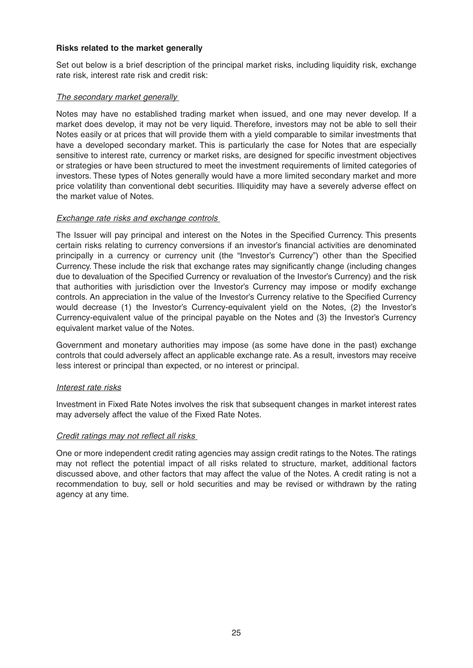#### **Risks related to the market generally**

Set out below is a brief description of the principal market risks, including liquidity risk, exchange rate risk, interest rate risk and credit risk:

#### The secondary market generally

Notes may have no established trading market when issued, and one may never develop. If a market does develop, it may not be very liquid. Therefore, investors may not be able to sell their Notes easily or at prices that will provide them with a yield comparable to similar investments that have a developed secondary market. This is particularly the case for Notes that are especially sensitive to interest rate, currency or market risks, are designed for specific investment objectives or strategies or have been structured to meet the investment requirements of limited categories of investors. These types of Notes generally would have a more limited secondary market and more price volatility than conventional debt securities. Illiquidity may have a severely adverse effect on the market value of Notes.

#### Exchange rate risks and exchange controls

The Issuer will pay principal and interest on the Notes in the Specified Currency. This presents certain risks relating to currency conversions if an investor's financial activities are denominated principally in a currency or currency unit (the "Investor's Currency") other than the Specified Currency. These include the risk that exchange rates may significantly change (including changes due to devaluation of the Specified Currency or revaluation of the Investor's Currency) and the risk that authorities with jurisdiction over the Investor's Currency may impose or modify exchange controls. An appreciation in the value of the Investor's Currency relative to the Specified Currency would decrease (1) the Investor's Currency-equivalent yield on the Notes, (2) the Investor's Currency-equivalent value of the principal payable on the Notes and (3) the Investor's Currency equivalent market value of the Notes.

Government and monetary authorities may impose (as some have done in the past) exchange controls that could adversely affect an applicable exchange rate. As a result, investors may receive less interest or principal than expected, or no interest or principal.

#### Interest rate risks

Investment in Fixed Rate Notes involves the risk that subsequent changes in market interest rates may adversely affect the value of the Fixed Rate Notes.

#### Credit ratings may not reflect all risks

One or more independent credit rating agencies may assign credit ratings to the Notes. The ratings may not reflect the potential impact of all risks related to structure, market, additional factors discussed above, and other factors that may affect the value of the Notes. A credit rating is not a recommendation to buy, sell or hold securities and may be revised or withdrawn by the rating agency at any time.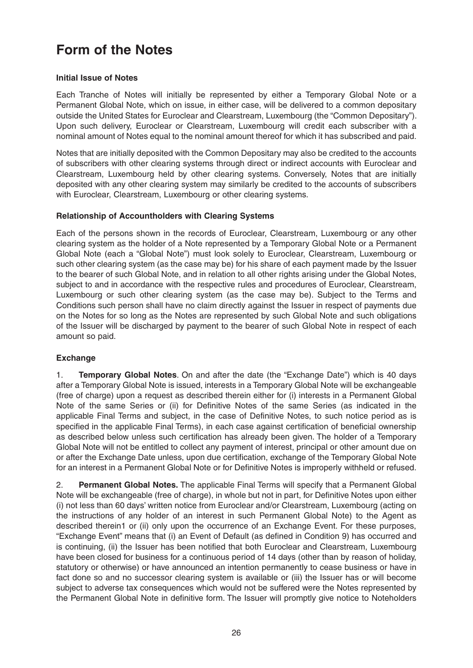### **Form of the Notes**

#### **Initial Issue of Notes**

Each Tranche of Notes will initially be represented by either a Temporary Global Note or a Permanent Global Note, which on issue, in either case, will be delivered to a common depositary outside the United States for Euroclear and Clearstream, Luxembourg (the "Common Depositary"). Upon such delivery, Euroclear or Clearstream, Luxembourg will credit each subscriber with a nominal amount of Notes equal to the nominal amount thereof for which it has subscribed and paid.

Notes that are initially deposited with the Common Depositary may also be credited to the accounts of subscribers with other clearing systems through direct or indirect accounts with Euroclear and Clearstream, Luxembourg held by other clearing systems. Conversely, Notes that are initially deposited with any other clearing system may similarly be credited to the accounts of subscribers with Euroclear, Clearstream, Luxembourg or other clearing systems.

#### **Relationship of Accountholders with Clearing Systems**

Each of the persons shown in the records of Euroclear, Clearstream, Luxembourg or any other clearing system as the holder of a Note represented by a Temporary Global Note or a Permanent Global Note (each a "Global Note") must look solely to Euroclear, Clearstream, Luxembourg or such other clearing system (as the case may be) for his share of each payment made by the Issuer to the bearer of such Global Note, and in relation to all other rights arising under the Global Notes, subject to and in accordance with the respective rules and procedures of Euroclear, Clearstream, Luxembourg or such other clearing system (as the case may be). Subject to the Terms and Conditions such person shall have no claim directly against the Issuer in respect of payments due on the Notes for so long as the Notes are represented by such Global Note and such obligations of the Issuer will be discharged by payment to the bearer of such Global Note in respect of each amount so paid.

#### **Exchange**

1. **Temporary Global Notes**. On and after the date (the "Exchange Date") which is 40 days after a Temporary Global Note is issued, interests in a Temporary Global Note will be exchangeable (free of charge) upon a request as described therein either for (i) interests in a Permanent Global Note of the same Series or (ii) for Definitive Notes of the same Series (as indicated in the applicable Final Terms and subject, in the case of Definitive Notes, to such notice period as is specified in the applicable Final Terms), in each case against certification of beneficial ownership as described below unless such certification has already been given. The holder of a Temporary Global Note will not be entitled to collect any payment of interest, principal or other amount due on or after the Exchange Date unless, upon due certification, exchange of the Temporary Global Note for an interest in a Permanent Global Note or for Definitive Notes is improperly withheld or refused.

2. **Permanent Global Notes.** The applicable Final Terms will specify that a Permanent Global Note will be exchangeable (free of charge), in whole but not in part, for Definitive Notes upon either (i) not less than 60 days' written notice from Euroclear and/or Clearstream, Luxembourg (acting on the instructions of any holder of an interest in such Permanent Global Note) to the Agent as described therein1 or (ii) only upon the occurrence of an Exchange Event. For these purposes, "Exchange Event" means that (i) an Event of Default (as defined in Condition 9) has occurred and is continuing, (ii) the Issuer has been notified that both Euroclear and Clearstream, Luxembourg have been closed for business for a continuous period of 14 days (other than by reason of holiday, statutory or otherwise) or have announced an intention permanently to cease business or have in fact done so and no successor clearing system is available or (iii) the Issuer has or will become subject to adverse tax consequences which would not be suffered were the Notes represented by the Permanent Global Note in definitive form. The Issuer will promptly give notice to Noteholders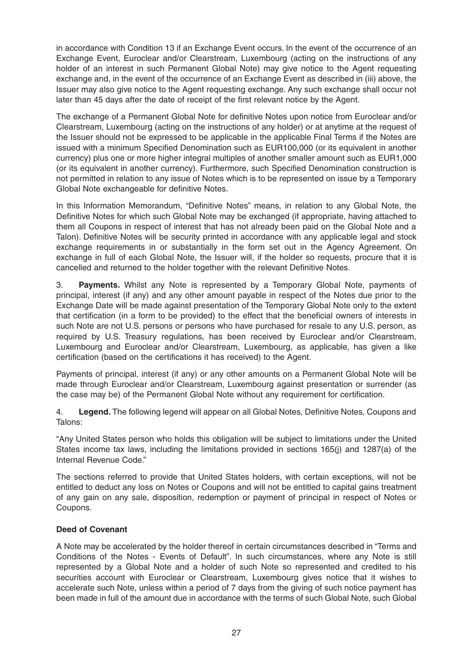in accordance with Condition 13 if an Exchange Event occurs. In the event of the occurrence of an Exchange Event, Euroclear and/or Clearstream, Luxembourg (acting on the instructions of any holder of an interest in such Permanent Global Note) may give notice to the Agent requesting exchange and, in the event of the occurrence of an Exchange Event as described in (iii) above, the Issuer may also give notice to the Agent requesting exchange. Any such exchange shall occur not later than 45 days after the date of receipt of the first relevant notice by the Agent.

The exchange of a Permanent Global Note for definitive Notes upon notice from Euroclear and/or Clearstream, Luxembourg (acting on the instructions of any holder) or at anytime at the request of the Issuer should not be expressed to be applicable in the applicable Final Terms if the Notes are issued with a minimum Specified Denomination such as EUR100,000 (or its equivalent in another currency) plus one or more higher integral multiples of another smaller amount such as EUR1,000 (or its equivalent in another currency). Furthermore, such Specified Denomination construction is not permitted in relation to any issue of Notes which is to be represented on issue by a Temporary Global Note exchangeable for definitive Notes.

In this Information Memorandum, "Definitive Notes" means, in relation to any Global Note, the Definitive Notes for which such Global Note may be exchanged (if appropriate, having attached to them all Coupons in respect of interest that has not already been paid on the Global Note and a Talon). Definitive Notes will be security printed in accordance with any applicable legal and stock exchange requirements in or substantially in the form set out in the Agency Agreement. On exchange in full of each Global Note, the Issuer will, if the holder so requests, procure that it is cancelled and returned to the holder together with the relevant Definitive Notes.

3. **Payments.** Whilst any Note is represented by a Temporary Global Note, payments of principal, interest (if any) and any other amount payable in respect of the Notes due prior to the Exchange Date will be made against presentation of the Temporary Global Note only to the extent that certification (in a form to be provided) to the effect that the beneficial owners of interests in such Note are not U.S. persons or persons who have purchased for resale to any U.S. person, as required by U.S. Treasury regulations, has been received by Euroclear and/or Clearstream, Luxembourg and Euroclear and/or Clearstream, Luxembourg, as applicable, has given a like certification (based on the certifications it has received) to the Agent.

Payments of principal, interest (if any) or any other amounts on a Permanent Global Note will be made through Euroclear and/or Clearstream, Luxembourg against presentation or surrender (as the case may be) of the Permanent Global Note without any requirement for certification.

4. **Legend.** The following legend will appear on all Global Notes, Definitive Notes, Coupons and Talons:

"Any United States person who holds this obligation will be subject to limitations under the United States income tax laws, including the limitations provided in sections 165(j) and 1287(a) of the Internal Revenue Code."

The sections referred to provide that United States holders, with certain exceptions, will not be entitled to deduct any loss on Notes or Coupons and will not be entitled to capital gains treatment of any gain on any sale, disposition, redemption or payment of principal in respect of Notes or Coupons.

#### **Deed of Covenant**

A Note may be accelerated by the holder thereof in certain circumstances described in "Terms and Conditions of the Notes - Events of Default". In such circumstances, where any Note is still represented by a Global Note and a holder of such Note so represented and credited to his securities account with Euroclear or Clearstream, Luxembourg gives notice that it wishes to accelerate such Note, unless within a period of 7 days from the giving of such notice payment has been made in full of the amount due in accordance with the terms of such Global Note, such Global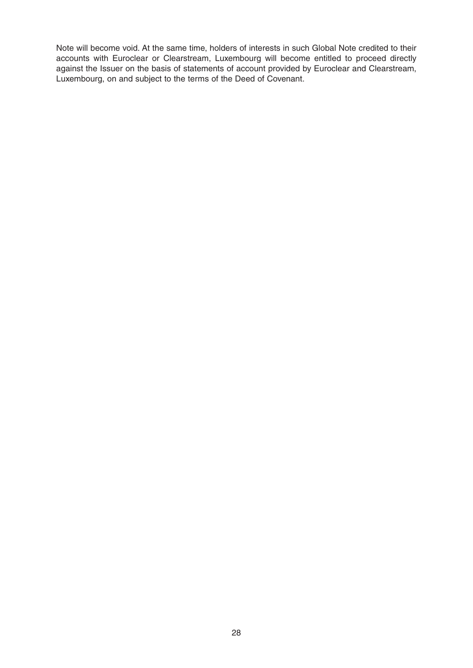Note will become void. At the same time, holders of interests in such Global Note credited to their accounts with Euroclear or Clearstream, Luxembourg will become entitled to proceed directly against the Issuer on the basis of statements of account provided by Euroclear and Clearstream, Luxembourg, on and subject to the terms of the Deed of Covenant.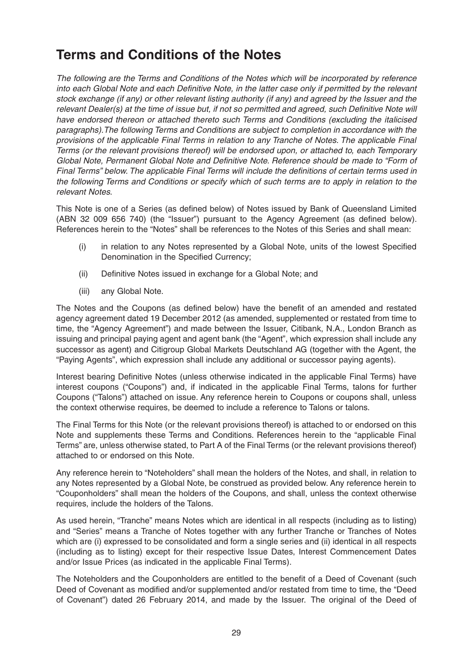### **Terms and Conditions of the Notes**

The following are the Terms and Conditions of the Notes which will be incorporated by reference into each Global Note and each Definitive Note, in the latter case only if permitted by the relevant stock exchange (if any) or other relevant listing authority (if any) and agreed by the Issuer and the relevant Dealer(s) at the time of issue but, if not so permitted and agreed, such Definitive Note will have endorsed thereon or attached thereto such Terms and Conditions (excluding the italicised paragraphs).The following Terms and Conditions are subject to completion in accordance with the provisions of the applicable Final Terms in relation to any Tranche of Notes. The applicable Final Terms (or the relevant provisions thereof) will be endorsed upon, or attached to, each Temporary Global Note, Permanent Global Note and Definitive Note. Reference should be made to "Form of Final Terms" below. The applicable Final Terms will include the definitions of certain terms used in the following Terms and Conditions or specify which of such terms are to apply in relation to the relevant Notes.

This Note is one of a Series (as defined below) of Notes issued by Bank of Queensland Limited (ABN 32 009 656 740) (the "Issuer") pursuant to the Agency Agreement (as defined below). References herein to the "Notes" shall be references to the Notes of this Series and shall mean:

- (i) in relation to any Notes represented by a Global Note, units of the lowest Specified Denomination in the Specified Currency;
- (ii) Definitive Notes issued in exchange for a Global Note; and
- (iii) any Global Note.

The Notes and the Coupons (as defined below) have the benefit of an amended and restated agency agreement dated 19 December 2012 (as amended, supplemented or restated from time to time, the "Agency Agreement") and made between the Issuer, Citibank, N.A., London Branch as issuing and principal paying agent and agent bank (the "Agent", which expression shall include any successor as agent) and Citigroup Global Markets Deutschland AG (together with the Agent, the "Paying Agents", which expression shall include any additional or successor paying agents).

Interest bearing Definitive Notes (unless otherwise indicated in the applicable Final Terms) have interest coupons ("Coupons") and, if indicated in the applicable Final Terms, talons for further Coupons ("Talons") attached on issue. Any reference herein to Coupons or coupons shall, unless the context otherwise requires, be deemed to include a reference to Talons or talons.

The Final Terms for this Note (or the relevant provisions thereof) is attached to or endorsed on this Note and supplements these Terms and Conditions. References herein to the "applicable Final Terms" are, unless otherwise stated, to Part A of the Final Terms (or the relevant provisions thereof) attached to or endorsed on this Note.

Any reference herein to "Noteholders" shall mean the holders of the Notes, and shall, in relation to any Notes represented by a Global Note, be construed as provided below. Any reference herein to "Couponholders" shall mean the holders of the Coupons, and shall, unless the context otherwise requires, include the holders of the Talons.

As used herein, "Tranche" means Notes which are identical in all respects (including as to listing) and "Series" means a Tranche of Notes together with any further Tranche or Tranches of Notes which are (i) expressed to be consolidated and form a single series and (ii) identical in all respects (including as to listing) except for their respective Issue Dates, Interest Commencement Dates and/or Issue Prices (as indicated in the applicable Final Terms).

The Noteholders and the Couponholders are entitled to the benefit of a Deed of Covenant (such Deed of Covenant as modified and/or supplemented and/or restated from time to time, the "Deed of Covenant") dated 26 February 2014, and made by the Issuer. The original of the Deed of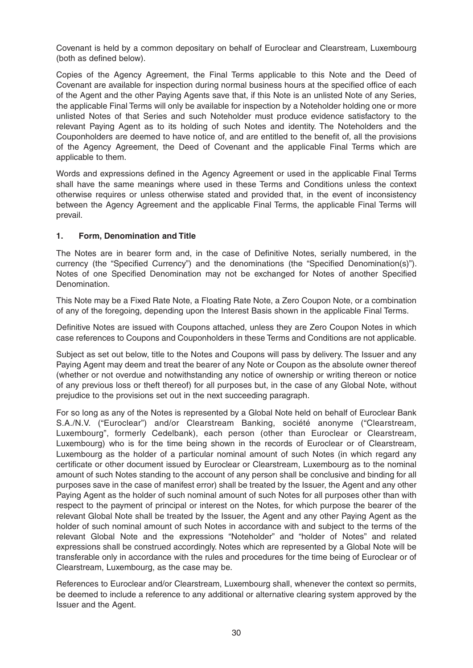Covenant is held by a common depositary on behalf of Euroclear and Clearstream, Luxembourg (both as defined below).

Copies of the Agency Agreement, the Final Terms applicable to this Note and the Deed of Covenant are available for inspection during normal business hours at the specified office of each of the Agent and the other Paying Agents save that, if this Note is an unlisted Note of any Series, the applicable Final Terms will only be available for inspection by a Noteholder holding one or more unlisted Notes of that Series and such Noteholder must produce evidence satisfactory to the relevant Paying Agent as to its holding of such Notes and identity. The Noteholders and the Couponholders are deemed to have notice of, and are entitled to the benefit of, all the provisions of the Agency Agreement, the Deed of Covenant and the applicable Final Terms which are applicable to them.

Words and expressions defined in the Agency Agreement or used in the applicable Final Terms shall have the same meanings where used in these Terms and Conditions unless the context otherwise requires or unless otherwise stated and provided that, in the event of inconsistency between the Agency Agreement and the applicable Final Terms, the applicable Final Terms will prevail.

#### **1. Form, Denomination and Title**

The Notes are in bearer form and, in the case of Definitive Notes, serially numbered, in the currency (the "Specified Currency") and the denominations (the "Specified Denomination(s)"). Notes of one Specified Denomination may not be exchanged for Notes of another Specified Denomination.

This Note may be a Fixed Rate Note, a Floating Rate Note, a Zero Coupon Note, or a combination of any of the foregoing, depending upon the Interest Basis shown in the applicable Final Terms.

Definitive Notes are issued with Coupons attached, unless they are Zero Coupon Notes in which case references to Coupons and Couponholders in these Terms and Conditions are not applicable.

Subject as set out below, title to the Notes and Coupons will pass by delivery. The Issuer and any Paying Agent may deem and treat the bearer of any Note or Coupon as the absolute owner thereof (whether or not overdue and notwithstanding any notice of ownership or writing thereon or notice of any previous loss or theft thereof) for all purposes but, in the case of any Global Note, without prejudice to the provisions set out in the next succeeding paragraph.

For so long as any of the Notes is represented by a Global Note held on behalf of Euroclear Bank S.A./N.V. ("Euroclear") and/or Clearstream Banking, société anonyme ("Clearstream, Luxembourg", formerly Cedelbank), each person (other than Euroclear or Clearstream, Luxembourg) who is for the time being shown in the records of Euroclear or of Clearstream, Luxembourg as the holder of a particular nominal amount of such Notes (in which regard any certificate or other document issued by Euroclear or Clearstream, Luxembourg as to the nominal amount of such Notes standing to the account of any person shall be conclusive and binding for all purposes save in the case of manifest error) shall be treated by the Issuer, the Agent and any other Paying Agent as the holder of such nominal amount of such Notes for all purposes other than with respect to the payment of principal or interest on the Notes, for which purpose the bearer of the relevant Global Note shall be treated by the Issuer, the Agent and any other Paying Agent as the holder of such nominal amount of such Notes in accordance with and subject to the terms of the relevant Global Note and the expressions "Noteholder" and "holder of Notes" and related expressions shall be construed accordingly. Notes which are represented by a Global Note will be transferable only in accordance with the rules and procedures for the time being of Euroclear or of Clearstream, Luxembourg, as the case may be.

References to Euroclear and/or Clearstream, Luxembourg shall, whenever the context so permits, be deemed to include a reference to any additional or alternative clearing system approved by the Issuer and the Agent.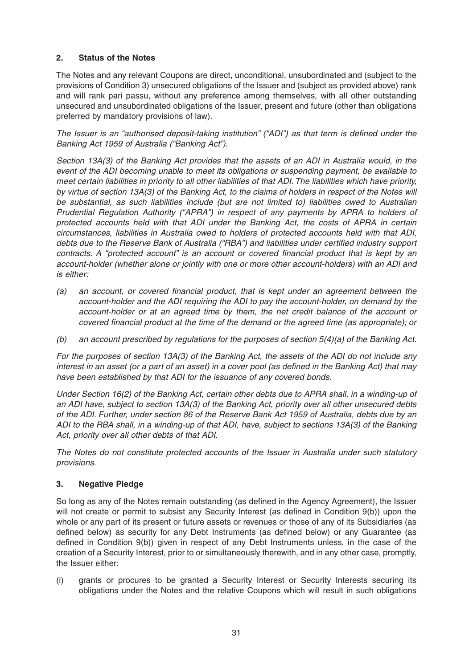#### **2. Status of the Notes**

The Notes and any relevant Coupons are direct, unconditional, unsubordinated and (subject to the provisions of Condition 3) unsecured obligations of the Issuer and (subject as provided above) rank and will rank pari passu, without any preference among themselves, with all other outstanding unsecured and unsubordinated obligations of the Issuer, present and future (other than obligations preferred by mandatory provisions of law).

The Issuer is an "authorised deposit-taking institution" ("ADI") as that term is defined under the Banking Act 1959 of Australia ("Banking Act").

Section 13A(3) of the Banking Act provides that the assets of an ADI in Australia would, in the event of the ADI becoming unable to meet its obligations or suspending payment, be available to meet certain liabilities in priority to all other liabilities of that ADI. The liabilities which have priority, by virtue of section 13A(3) of the Banking Act, to the claims of holders in respect of the Notes will be substantial, as such liabilities include (but are not limited to) liabilities owed to Australian Prudential Regulation Authority ("APRA") in respect of any payments by APRA to holders of protected accounts held with that ADI under the Banking Act, the costs of APRA in certain circumstances, liabilities in Australia owed to holders of protected accounts held with that ADI, debts due to the Reserve Bank of Australia ("RBA") and liabilities under certified industry support contracts. A "protected account" is an account or covered financial product that is kept by an account-holder (whether alone or jointly with one or more other account-holders) with an ADI and is either:

- (a) an account, or covered financial product, that is kept under an agreement between the account-holder and the ADI requiring the ADI to pay the account-holder, on demand by the account-holder or at an agreed time by them, the net credit balance of the account or covered financial product at the time of the demand or the agreed time (as appropriate); or
- (b) an account prescribed by regulations for the purposes of section  $5(4)(a)$  of the Banking Act.

For the purposes of section 13A(3) of the Banking Act, the assets of the ADI do not include any interest in an asset (or a part of an asset) in a cover pool (as defined in the Banking Act) that may have been established by that ADI for the issuance of any covered bonds.

Under Section 16(2) of the Banking Act, certain other debts due to APRA shall, in a winding-up of an ADI have, subject to section 13A(3) of the Banking Act, priority over all other unsecured debts of the ADI. Further, under section 86 of the Reserve Bank Act 1959 of Australia, debts due by an ADI to the RBA shall, in a winding-up of that ADI, have, subject to sections 13A(3) of the Banking Act, priority over all other debts of that ADI.

The Notes do not constitute protected accounts of the Issuer in Australia under such statutory provisions.

#### **3. Negative Pledge**

So long as any of the Notes remain outstanding (as defined in the Agency Agreement), the Issuer will not create or permit to subsist any Security Interest (as defined in Condition 9(b)) upon the whole or any part of its present or future assets or revenues or those of any of its Subsidiaries (as defined below) as security for any Debt Instruments (as defined below) or any Guarantee (as defined in Condition 9(b)) given in respect of any Debt Instruments unless, in the case of the creation of a Security Interest, prior to or simultaneously therewith, and in any other case, promptly, the Issuer either:

(i) grants or procures to be granted a Security Interest or Security Interests securing its obligations under the Notes and the relative Coupons which will result in such obligations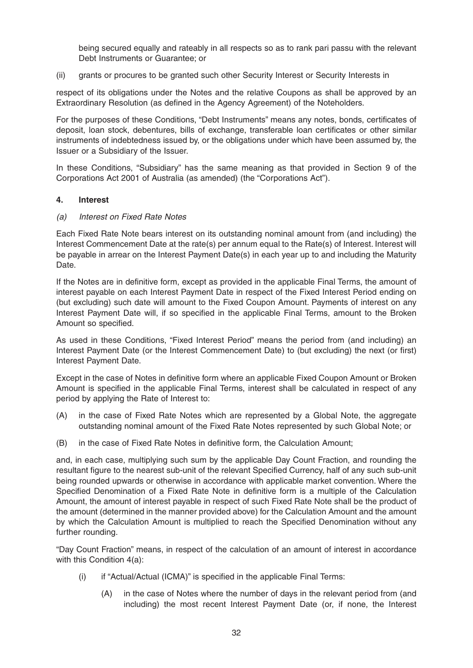being secured equally and rateably in all respects so as to rank pari passu with the relevant Debt Instruments or Guarantee; or

(ii) grants or procures to be granted such other Security Interest or Security Interests in

respect of its obligations under the Notes and the relative Coupons as shall be approved by an Extraordinary Resolution (as defined in the Agency Agreement) of the Noteholders.

For the purposes of these Conditions, "Debt Instruments" means any notes, bonds, certificates of deposit, loan stock, debentures, bills of exchange, transferable loan certificates or other similar instruments of indebtedness issued by, or the obligations under which have been assumed by, the Issuer or a Subsidiary of the Issuer.

In these Conditions, "Subsidiary" has the same meaning as that provided in Section 9 of the Corporations Act 2001 of Australia (as amended) (the "Corporations Act").

#### **4. Interest**

#### (a) Interest on Fixed Rate Notes

Each Fixed Rate Note bears interest on its outstanding nominal amount from (and including) the Interest Commencement Date at the rate(s) per annum equal to the Rate(s) of Interest. Interest will be payable in arrear on the Interest Payment Date(s) in each year up to and including the Maturity Date.

If the Notes are in definitive form, except as provided in the applicable Final Terms, the amount of interest payable on each Interest Payment Date in respect of the Fixed Interest Period ending on (but excluding) such date will amount to the Fixed Coupon Amount. Payments of interest on any Interest Payment Date will, if so specified in the applicable Final Terms, amount to the Broken Amount so specified.

As used in these Conditions, "Fixed Interest Period" means the period from (and including) an Interest Payment Date (or the Interest Commencement Date) to (but excluding) the next (or first) Interest Payment Date.

Except in the case of Notes in definitive form where an applicable Fixed Coupon Amount or Broken Amount is specified in the applicable Final Terms, interest shall be calculated in respect of any period by applying the Rate of Interest to:

- (A) in the case of Fixed Rate Notes which are represented by a Global Note, the aggregate outstanding nominal amount of the Fixed Rate Notes represented by such Global Note; or
- (B) in the case of Fixed Rate Notes in definitive form, the Calculation Amount;

and, in each case, multiplying such sum by the applicable Day Count Fraction, and rounding the resultant figure to the nearest sub-unit of the relevant Specified Currency, half of any such sub-unit being rounded upwards or otherwise in accordance with applicable market convention. Where the Specified Denomination of a Fixed Rate Note in definitive form is a multiple of the Calculation Amount, the amount of interest payable in respect of such Fixed Rate Note shall be the product of the amount (determined in the manner provided above) for the Calculation Amount and the amount by which the Calculation Amount is multiplied to reach the Specified Denomination without any further rounding.

"Day Count Fraction" means, in respect of the calculation of an amount of interest in accordance with this Condition 4(a):

- (i) if "Actual/Actual (ICMA)" is specified in the applicable Final Terms:
	- (A) in the case of Notes where the number of days in the relevant period from (and including) the most recent Interest Payment Date (or, if none, the Interest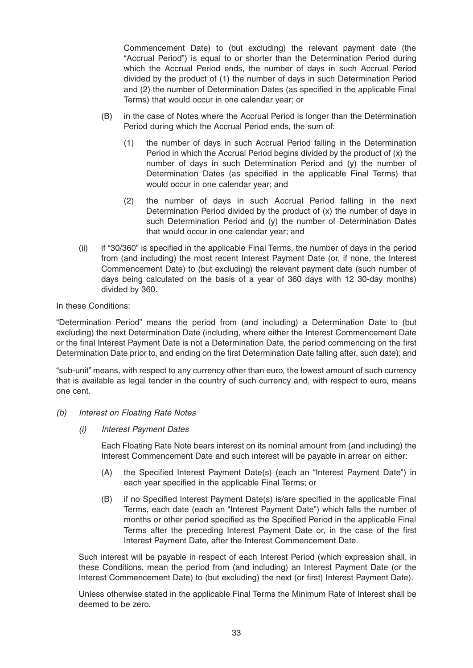Commencement Date) to (but excluding) the relevant payment date (the "Accrual Period") is equal to or shorter than the Determination Period during which the Accrual Period ends, the number of days in such Accrual Period divided by the product of (1) the number of days in such Determination Period and (2) the number of Determination Dates (as specified in the applicable Final Terms) that would occur in one calendar year; or

- (B) in the case of Notes where the Accrual Period is longer than the Determination Period during which the Accrual Period ends, the sum of:
	- (1) the number of days in such Accrual Period falling in the Determination Period in which the Accrual Period begins divided by the product of (x) the number of days in such Determination Period and (y) the number of Determination Dates (as specified in the applicable Final Terms) that would occur in one calendar year; and
	- (2) the number of days in such Accrual Period falling in the next Determination Period divided by the product of (x) the number of days in such Determination Period and (y) the number of Determination Dates that would occur in one calendar year; and
- (ii) if "30/360" is specified in the applicable Final Terms, the number of days in the period from (and including) the most recent Interest Payment Date (or, if none, the Interest Commencement Date) to (but excluding) the relevant payment date (such number of days being calculated on the basis of a year of 360 days with 12 30-day months) divided by 360.

#### In these Conditions:

"Determination Period" means the period from (and including) a Determination Date to (but excluding) the next Determination Date (including, where either the Interest Commencement Date or the final Interest Payment Date is not a Determination Date, the period commencing on the first Determination Date prior to, and ending on the first Determination Date falling after, such date); and

"sub-unit" means, with respect to any currency other than euro, the lowest amount of such currency that is available as legal tender in the country of such currency and, with respect to euro, means one cent.

- (b) Interest on Floating Rate Notes
	- (i) Interest Payment Dates

Each Floating Rate Note bears interest on its nominal amount from (and including) the Interest Commencement Date and such interest will be payable in arrear on either:

- (A) the Specified Interest Payment Date(s) (each an "Interest Payment Date") in each year specified in the applicable Final Terms; or
- (B) if no Specified Interest Payment Date(s) is/are specified in the applicable Final Terms, each date (each an "Interest Payment Date") which falls the number of months or other period specified as the Specified Period in the applicable Final Terms after the preceding Interest Payment Date or, in the case of the first Interest Payment Date, after the Interest Commencement Date.

Such interest will be payable in respect of each Interest Period (which expression shall, in these Conditions, mean the period from (and including) an Interest Payment Date (or the Interest Commencement Date) to (but excluding) the next (or first) Interest Payment Date).

Unless otherwise stated in the applicable Final Terms the Minimum Rate of Interest shall be deemed to be zero.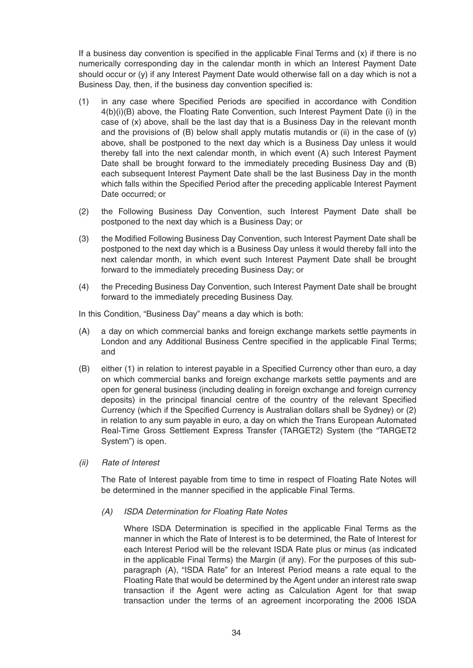If a business day convention is specified in the applicable Final Terms and  $(x)$  if there is no numerically corresponding day in the calendar month in which an Interest Payment Date should occur or (y) if any Interest Payment Date would otherwise fall on a day which is not a Business Day, then, if the business day convention specified is:

- (1) in any case where Specified Periods are specified in accordance with Condition 4(b)(i)(B) above, the Floating Rate Convention, such Interest Payment Date (i) in the case of (x) above, shall be the last day that is a Business Day in the relevant month and the provisions of (B) below shall apply mutatis mutandis or (ii) in the case of (y) above, shall be postponed to the next day which is a Business Day unless it would thereby fall into the next calendar month, in which event (A) such Interest Payment Date shall be brought forward to the immediately preceding Business Day and (B) each subsequent Interest Payment Date shall be the last Business Day in the month which falls within the Specified Period after the preceding applicable Interest Payment Date occurred; or
- (2) the Following Business Day Convention, such Interest Payment Date shall be postponed to the next day which is a Business Day; or
- (3) the Modified Following Business Day Convention, such Interest Payment Date shall be postponed to the next day which is a Business Day unless it would thereby fall into the next calendar month, in which event such Interest Payment Date shall be brought forward to the immediately preceding Business Day; or
- (4) the Preceding Business Day Convention, such Interest Payment Date shall be brought forward to the immediately preceding Business Day.

In this Condition, "Business Day" means a day which is both:

- (A) a day on which commercial banks and foreign exchange markets settle payments in London and any Additional Business Centre specified in the applicable Final Terms; and
- (B) either (1) in relation to interest payable in a Specified Currency other than euro, a day on which commercial banks and foreign exchange markets settle payments and are open for general business (including dealing in foreign exchange and foreign currency deposits) in the principal financial centre of the country of the relevant Specified Currency (which if the Specified Currency is Australian dollars shall be Sydney) or (2) in relation to any sum payable in euro, a day on which the Trans European Automated Real-Time Gross Settlement Express Transfer (TARGET2) System (the "TARGET2 System") is open.
- (ii) Rate of Interest

The Rate of Interest payable from time to time in respect of Floating Rate Notes will be determined in the manner specified in the applicable Final Terms.

(A) ISDA Determination for Floating Rate Notes

Where ISDA Determination is specified in the applicable Final Terms as the manner in which the Rate of Interest is to be determined, the Rate of Interest for each Interest Period will be the relevant ISDA Rate plus or minus (as indicated in the applicable Final Terms) the Margin (if any). For the purposes of this subparagraph (A), "ISDA Rate" for an Interest Period means a rate equal to the Floating Rate that would be determined by the Agent under an interest rate swap transaction if the Agent were acting as Calculation Agent for that swap transaction under the terms of an agreement incorporating the 2006 ISDA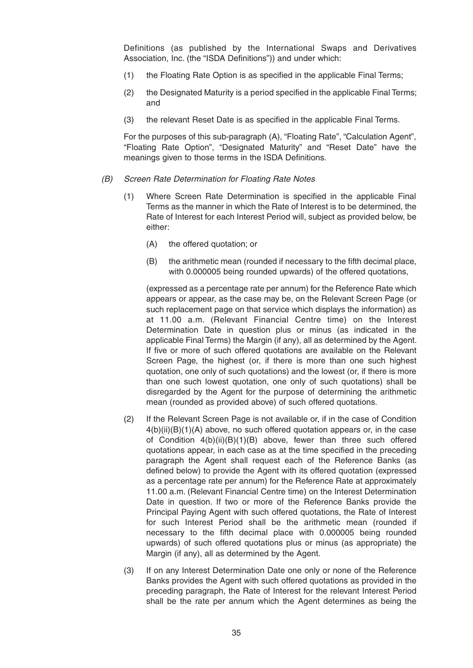Definitions (as published by the International Swaps and Derivatives Association, Inc. (the "ISDA Definitions")) and under which:

- (1) the Floating Rate Option is as specified in the applicable Final Terms;
- (2) the Designated Maturity is a period specified in the applicable Final Terms; and
- (3) the relevant Reset Date is as specified in the applicable Final Terms.

For the purposes of this sub-paragraph (A), "Floating Rate", "Calculation Agent", "Floating Rate Option", "Designated Maturity" and "Reset Date" have the meanings given to those terms in the ISDA Definitions.

#### (B) Screen Rate Determination for Floating Rate Notes

- (1) Where Screen Rate Determination is specified in the applicable Final Terms as the manner in which the Rate of Interest is to be determined, the Rate of Interest for each Interest Period will, subject as provided below, be either:
	- (A) the offered quotation; or
	- (B) the arithmetic mean (rounded if necessary to the fifth decimal place, with 0.000005 being rounded upwards) of the offered quotations,

(expressed as a percentage rate per annum) for the Reference Rate which appears or appear, as the case may be, on the Relevant Screen Page (or such replacement page on that service which displays the information) as at 11.00 a.m. (Relevant Financial Centre time) on the Interest Determination Date in question plus or minus (as indicated in the applicable Final Terms) the Margin (if any), all as determined by the Agent. If five or more of such offered quotations are available on the Relevant Screen Page, the highest (or, if there is more than one such highest quotation, one only of such quotations) and the lowest (or, if there is more than one such lowest quotation, one only of such quotations) shall be disregarded by the Agent for the purpose of determining the arithmetic mean (rounded as provided above) of such offered quotations.

- (2) If the Relevant Screen Page is not available or, if in the case of Condition 4(b)(ii)(B)(1)(A) above, no such offered quotation appears or, in the case of Condition 4(b)(ii)(B)(1)(B) above, fewer than three such offered quotations appear, in each case as at the time specified in the preceding paragraph the Agent shall request each of the Reference Banks (as defined below) to provide the Agent with its offered quotation (expressed as a percentage rate per annum) for the Reference Rate at approximately 11.00 a.m. (Relevant Financial Centre time) on the Interest Determination Date in question. If two or more of the Reference Banks provide the Principal Paying Agent with such offered quotations, the Rate of Interest for such Interest Period shall be the arithmetic mean (rounded if necessary to the fifth decimal place with 0.000005 being rounded upwards) of such offered quotations plus or minus (as appropriate) the Margin (if any), all as determined by the Agent.
- (3) If on any Interest Determination Date one only or none of the Reference Banks provides the Agent with such offered quotations as provided in the preceding paragraph, the Rate of Interest for the relevant Interest Period shall be the rate per annum which the Agent determines as being the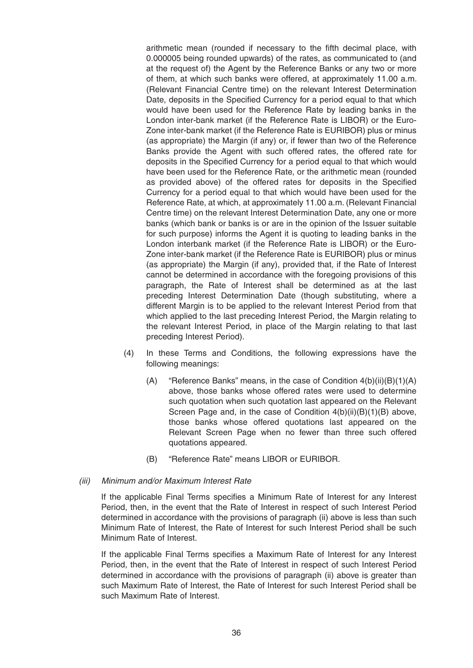arithmetic mean (rounded if necessary to the fifth decimal place, with 0.000005 being rounded upwards) of the rates, as communicated to (and at the request of) the Agent by the Reference Banks or any two or more of them, at which such banks were offered, at approximately 11.00 a.m. (Relevant Financial Centre time) on the relevant Interest Determination Date, deposits in the Specified Currency for a period equal to that which would have been used for the Reference Rate by leading banks in the London inter-bank market (if the Reference Rate is LIBOR) or the Euro-Zone inter-bank market (if the Reference Rate is EURIBOR) plus or minus (as appropriate) the Margin (if any) or, if fewer than two of the Reference Banks provide the Agent with such offered rates, the offered rate for deposits in the Specified Currency for a period equal to that which would have been used for the Reference Rate, or the arithmetic mean (rounded as provided above) of the offered rates for deposits in the Specified Currency for a period equal to that which would have been used for the Reference Rate, at which, at approximately 11.00 a.m. (Relevant Financial Centre time) on the relevant Interest Determination Date, any one or more banks (which bank or banks is or are in the opinion of the Issuer suitable for such purpose) informs the Agent it is quoting to leading banks in the London interbank market (if the Reference Rate is LIBOR) or the Euro-Zone inter-bank market (if the Reference Rate is EURIBOR) plus or minus (as appropriate) the Margin (if any), provided that, if the Rate of Interest cannot be determined in accordance with the foregoing provisions of this paragraph, the Rate of Interest shall be determined as at the last preceding Interest Determination Date (though substituting, where a different Margin is to be applied to the relevant Interest Period from that which applied to the last preceding Interest Period, the Margin relating to the relevant Interest Period, in place of the Margin relating to that last preceding Interest Period).

- (4) In these Terms and Conditions, the following expressions have the following meanings:
	- (A) "Reference Banks" means, in the case of Condition  $4(b)(ii)(B)(1)(A)$ above, those banks whose offered rates were used to determine such quotation when such quotation last appeared on the Relevant Screen Page and, in the case of Condition 4(b)(ii)(B)(1)(B) above, those banks whose offered quotations last appeared on the Relevant Screen Page when no fewer than three such offered quotations appeared.
	- (B) "Reference Rate" means LIBOR or EURIBOR.

#### (iii) Minimum and/or Maximum Interest Rate

If the applicable Final Terms specifies a Minimum Rate of Interest for any Interest Period, then, in the event that the Rate of Interest in respect of such Interest Period determined in accordance with the provisions of paragraph (ii) above is less than such Minimum Rate of Interest, the Rate of Interest for such Interest Period shall be such Minimum Rate of Interest.

If the applicable Final Terms specifies a Maximum Rate of Interest for any Interest Period, then, in the event that the Rate of Interest in respect of such Interest Period determined in accordance with the provisions of paragraph (ii) above is greater than such Maximum Rate of Interest, the Rate of Interest for such Interest Period shall be such Maximum Rate of Interest.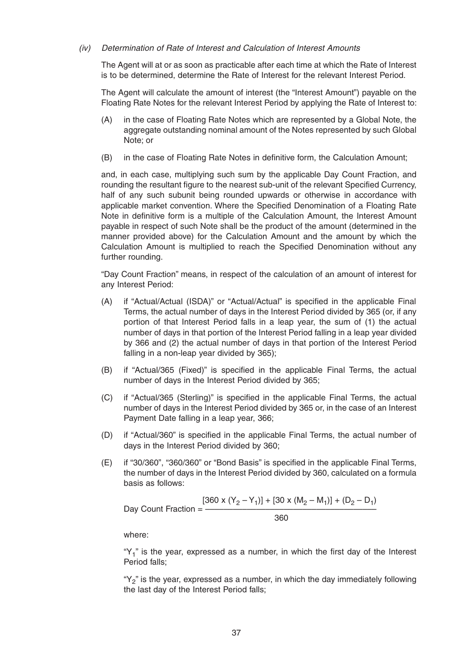#### (iv) Determination of Rate of Interest and Calculation of Interest Amounts

The Agent will at or as soon as practicable after each time at which the Rate of Interest is to be determined, determine the Rate of Interest for the relevant Interest Period.

The Agent will calculate the amount of interest (the "Interest Amount") payable on the Floating Rate Notes for the relevant Interest Period by applying the Rate of Interest to:

- (A) in the case of Floating Rate Notes which are represented by a Global Note, the aggregate outstanding nominal amount of the Notes represented by such Global Note; or
- (B) in the case of Floating Rate Notes in definitive form, the Calculation Amount;

and, in each case, multiplying such sum by the applicable Day Count Fraction, and rounding the resultant figure to the nearest sub-unit of the relevant Specified Currency, half of any such subunit being rounded upwards or otherwise in accordance with applicable market convention. Where the Specified Denomination of a Floating Rate Note in definitive form is a multiple of the Calculation Amount, the Interest Amount payable in respect of such Note shall be the product of the amount (determined in the manner provided above) for the Calculation Amount and the amount by which the Calculation Amount is multiplied to reach the Specified Denomination without any further rounding.

"Day Count Fraction" means, in respect of the calculation of an amount of interest for any Interest Period:

- (A) if "Actual/Actual (ISDA)" or "Actual/Actual" is specified in the applicable Final Terms, the actual number of days in the Interest Period divided by 365 (or, if any portion of that Interest Period falls in a leap year, the sum of (1) the actual number of days in that portion of the Interest Period falling in a leap year divided by 366 and (2) the actual number of days in that portion of the Interest Period falling in a non-leap year divided by 365);
- (B) if "Actual/365 (Fixed)" is specified in the applicable Final Terms, the actual number of days in the Interest Period divided by 365;
- (C) if "Actual/365 (Sterling)" is specified in the applicable Final Terms, the actual number of days in the Interest Period divided by 365 or, in the case of an Interest Payment Date falling in a leap year, 366;
- (D) if "Actual/360" is specified in the applicable Final Terms, the actual number of days in the Interest Period divided by 360;
- (E) if "30/360", "360/360" or "Bond Basis" is specified in the applicable Final Terms, the number of days in the Interest Period divided by 360, calculated on a formula basis as follows:

$$
[360 \times (Y_2 - Y_1)] + [30 \times (M_2 - M_1)] + (D_2 - D_1)
$$
  
Day Count Fraction = 
$$
\frac{[360 \times (Y_2 - Y_1)] + [30 \times (M_2 - M_1)] + (D_2 - D_1)}{360}
$$

where:

" $Y_1$ " is the year, expressed as a number, in which the first day of the Interest Period falls;

" $Y_2$ " is the year, expressed as a number, in which the day immediately following the last day of the Interest Period falls;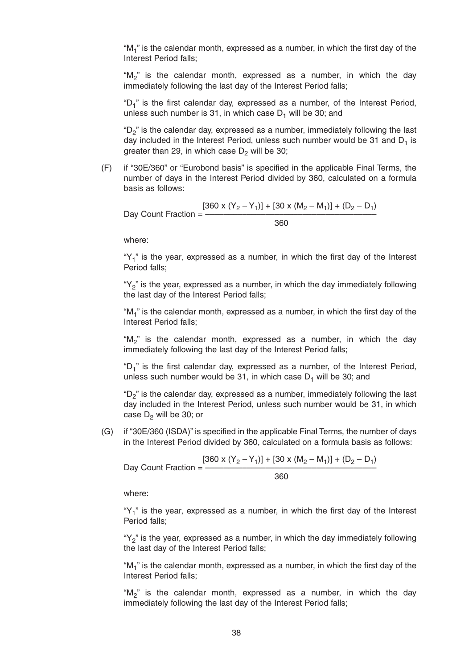" $M_1$ " is the calendar month, expressed as a number, in which the first day of the Interest Period falls;

"M<sub>2</sub>" is the calendar month, expressed as a number, in which the day immediately following the last day of the Interest Period falls;

" $D_1$ " is the first calendar day, expressed as a number, of the Interest Period, unless such number is 31, in which case  $D_1$  will be 30; and

" $D_2$ " is the calendar day, expressed as a number, immediately following the last day included in the Interest Period, unless such number would be 31 and  $D_1$  is greater than 29, in which case  $D_2$  will be 30;

(F) if "30E/360" or "Eurobond basis" is specified in the applicable Final Terms, the number of days in the Interest Period divided by 360, calculated on a formula basis as follows:

 $[360 \times (Y_2 - Y_1)] + [30 \times (M_2 - M_1)] + (D_2 - D_1)$ Day Count Fraction = – 360

where:

" $Y_1$ " is the year, expressed as a number, in which the first day of the Interest Period falls;

" $Y_2$ " is the year, expressed as a number, in which the day immediately following the last day of the Interest Period falls;

" $M_1$ " is the calendar month, expressed as a number, in which the first day of the Interest Period falls;

" $M_2$ " is the calendar month, expressed as a number, in which the day immediately following the last day of the Interest Period falls;

" $D_1$ " is the first calendar day, expressed as a number, of the Interest Period, unless such number would be 31, in which case  $D_1$  will be 30; and

" $D_2$ " is the calendar day, expressed as a number, immediately following the last day included in the Interest Period, unless such number would be 31, in which case  $D_2$  will be 30; or

(G) if "30E/360 (ISDA)" is specified in the applicable Final Terms, the number of days in the Interest Period divided by 360, calculated on a formula basis as follows:

$$
[360 \times (Y_2 - Y_1)] + [30 \times (M_2 - M_1)] + (D_2 - D_1)
$$
  
Day Count Fraction = 
$$
\frac{[360 \times (Y_2 - Y_1)] + [30 \times (M_2 - M_1)] + (D_2 - D_1)}{360}
$$

where:

" $Y_1$ " is the year, expressed as a number, in which the first day of the Interest Period falls;

" $Y_2$ " is the year, expressed as a number, in which the day immediately following the last day of the Interest Period falls;

"M<sub>1</sub>" is the calendar month, expressed as a number, in which the first day of the Interest Period falls;

"M<sub>2</sub>" is the calendar month, expressed as a number, in which the day immediately following the last day of the Interest Period falls;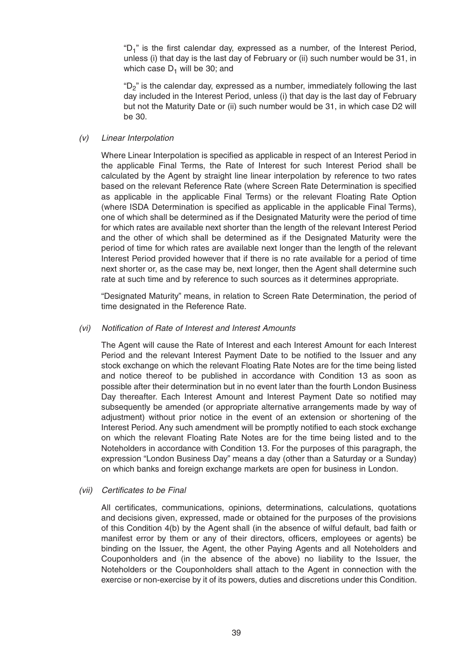"D<sub>1</sub>" is the first calendar day, expressed as a number, of the Interest Period, unless (i) that day is the last day of February or (ii) such number would be 31, in which case  $D_1$  will be 30; and

"D<sub>2</sub>" is the calendar day, expressed as a number, immediately following the last day included in the Interest Period, unless (i) that day is the last day of February but not the Maturity Date or (ii) such number would be 31, in which case D2 will be 30.

## (v) Linear Interpolation

Where Linear Interpolation is specified as applicable in respect of an Interest Period in the applicable Final Terms, the Rate of Interest for such Interest Period shall be calculated by the Agent by straight line linear interpolation by reference to two rates based on the relevant Reference Rate (where Screen Rate Determination is specified as applicable in the applicable Final Terms) or the relevant Floating Rate Option (where ISDA Determination is specified as applicable in the applicable Final Terms), one of which shall be determined as if the Designated Maturity were the period of time for which rates are available next shorter than the length of the relevant Interest Period and the other of which shall be determined as if the Designated Maturity were the period of time for which rates are available next longer than the length of the relevant Interest Period provided however that if there is no rate available for a period of time next shorter or, as the case may be, next longer, then the Agent shall determine such rate at such time and by reference to such sources as it determines appropriate.

"Designated Maturity" means, in relation to Screen Rate Determination, the period of time designated in the Reference Rate.

## (vi) Notification of Rate of Interest and Interest Amounts

The Agent will cause the Rate of Interest and each Interest Amount for each Interest Period and the relevant Interest Payment Date to be notified to the Issuer and any stock exchange on which the relevant Floating Rate Notes are for the time being listed and notice thereof to be published in accordance with Condition 13 as soon as possible after their determination but in no event later than the fourth London Business Day thereafter. Each Interest Amount and Interest Payment Date so notified may subsequently be amended (or appropriate alternative arrangements made by way of adjustment) without prior notice in the event of an extension or shortening of the Interest Period. Any such amendment will be promptly notified to each stock exchange on which the relevant Floating Rate Notes are for the time being listed and to the Noteholders in accordance with Condition 13. For the purposes of this paragraph, the expression "London Business Day" means a day (other than a Saturday or a Sunday) on which banks and foreign exchange markets are open for business in London.

## (vii) Certificates to be Final

All certificates, communications, opinions, determinations, calculations, quotations and decisions given, expressed, made or obtained for the purposes of the provisions of this Condition 4(b) by the Agent shall (in the absence of wilful default, bad faith or manifest error by them or any of their directors, officers, employees or agents) be binding on the Issuer, the Agent, the other Paying Agents and all Noteholders and Couponholders and (in the absence of the above) no liability to the Issuer, the Noteholders or the Couponholders shall attach to the Agent in connection with the exercise or non-exercise by it of its powers, duties and discretions under this Condition.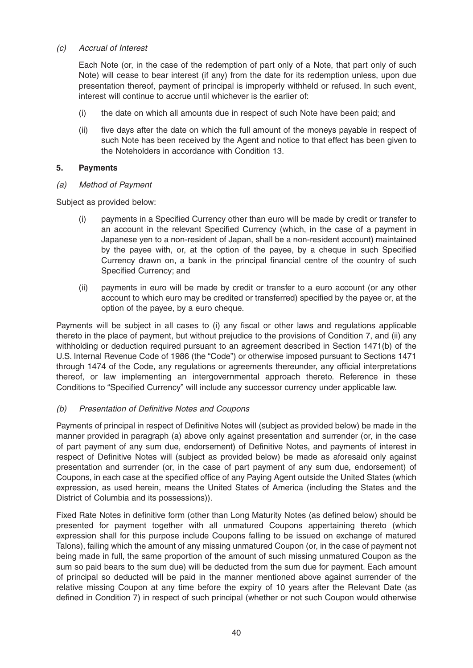## (c) Accrual of Interest

Each Note (or, in the case of the redemption of part only of a Note, that part only of such Note) will cease to bear interest (if any) from the date for its redemption unless, upon due presentation thereof, payment of principal is improperly withheld or refused. In such event, interest will continue to accrue until whichever is the earlier of:

- (i) the date on which all amounts due in respect of such Note have been paid; and
- (ii) five days after the date on which the full amount of the moneys payable in respect of such Note has been received by the Agent and notice to that effect has been given to the Noteholders in accordance with Condition 13.

#### **5. Payments**

(a) Method of Payment

Subject as provided below:

- (i) payments in a Specified Currency other than euro will be made by credit or transfer to an account in the relevant Specified Currency (which, in the case of a payment in Japanese yen to a non-resident of Japan, shall be a non-resident account) maintained by the payee with, or, at the option of the payee, by a cheque in such Specified Currency drawn on, a bank in the principal financial centre of the country of such Specified Currency; and
- (ii) payments in euro will be made by credit or transfer to a euro account (or any other account to which euro may be credited or transferred) specified by the payee or, at the option of the payee, by a euro cheque.

Payments will be subject in all cases to (i) any fiscal or other laws and regulations applicable thereto in the place of payment, but without prejudice to the provisions of Condition 7, and (ii) any withholding or deduction required pursuant to an agreement described in Section 1471(b) of the U.S. Internal Revenue Code of 1986 (the "Code") or otherwise imposed pursuant to Sections 1471 through 1474 of the Code, any regulations or agreements thereunder, any official interpretations thereof, or law implementing an intergovernmental approach thereto. Reference in these Conditions to "Specified Currency" will include any successor currency under applicable law.

#### (b) Presentation of Definitive Notes and Coupons

Payments of principal in respect of Definitive Notes will (subject as provided below) be made in the manner provided in paragraph (a) above only against presentation and surrender (or, in the case of part payment of any sum due, endorsement) of Definitive Notes, and payments of interest in respect of Definitive Notes will (subject as provided below) be made as aforesaid only against presentation and surrender (or, in the case of part payment of any sum due, endorsement) of Coupons, in each case at the specified office of any Paying Agent outside the United States (which expression, as used herein, means the United States of America (including the States and the District of Columbia and its possessions)).

Fixed Rate Notes in definitive form (other than Long Maturity Notes (as defined below) should be presented for payment together with all unmatured Coupons appertaining thereto (which expression shall for this purpose include Coupons falling to be issued on exchange of matured Talons), failing which the amount of any missing unmatured Coupon (or, in the case of payment not being made in full, the same proportion of the amount of such missing unmatured Coupon as the sum so paid bears to the sum due) will be deducted from the sum due for payment. Each amount of principal so deducted will be paid in the manner mentioned above against surrender of the relative missing Coupon at any time before the expiry of 10 years after the Relevant Date (as defined in Condition 7) in respect of such principal (whether or not such Coupon would otherwise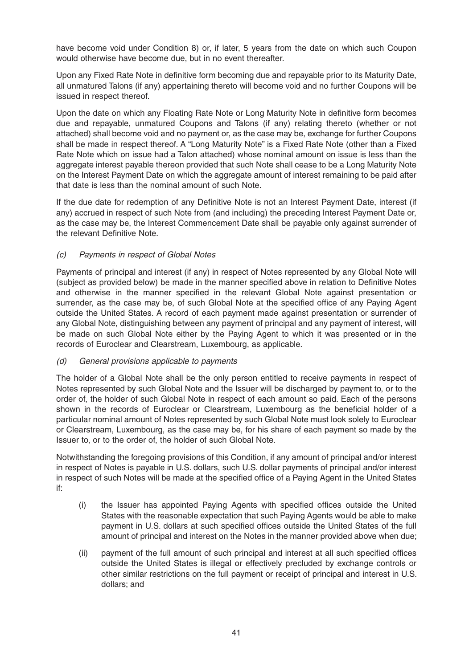have become void under Condition 8) or, if later, 5 years from the date on which such Coupon would otherwise have become due, but in no event thereafter.

Upon any Fixed Rate Note in definitive form becoming due and repayable prior to its Maturity Date, all unmatured Talons (if any) appertaining thereto will become void and no further Coupons will be issued in respect thereof.

Upon the date on which any Floating Rate Note or Long Maturity Note in definitive form becomes due and repayable, unmatured Coupons and Talons (if any) relating thereto (whether or not attached) shall become void and no payment or, as the case may be, exchange for further Coupons shall be made in respect thereof. A "Long Maturity Note" is a Fixed Rate Note (other than a Fixed Rate Note which on issue had a Talon attached) whose nominal amount on issue is less than the aggregate interest payable thereon provided that such Note shall cease to be a Long Maturity Note on the Interest Payment Date on which the aggregate amount of interest remaining to be paid after that date is less than the nominal amount of such Note.

If the due date for redemption of any Definitive Note is not an Interest Payment Date, interest (if any) accrued in respect of such Note from (and including) the preceding Interest Payment Date or, as the case may be, the Interest Commencement Date shall be payable only against surrender of the relevant Definitive Note.

## (c) Payments in respect of Global Notes

Payments of principal and interest (if any) in respect of Notes represented by any Global Note will (subject as provided below) be made in the manner specified above in relation to Definitive Notes and otherwise in the manner specified in the relevant Global Note against presentation or surrender, as the case may be, of such Global Note at the specified office of any Paying Agent outside the United States. A record of each payment made against presentation or surrender of any Global Note, distinguishing between any payment of principal and any payment of interest, will be made on such Global Note either by the Paying Agent to which it was presented or in the records of Euroclear and Clearstream, Luxembourg, as applicable.

## (d) General provisions applicable to payments

The holder of a Global Note shall be the only person entitled to receive payments in respect of Notes represented by such Global Note and the Issuer will be discharged by payment to, or to the order of, the holder of such Global Note in respect of each amount so paid. Each of the persons shown in the records of Euroclear or Clearstream, Luxembourg as the beneficial holder of a particular nominal amount of Notes represented by such Global Note must look solely to Euroclear or Clearstream, Luxembourg, as the case may be, for his share of each payment so made by the Issuer to, or to the order of, the holder of such Global Note.

Notwithstanding the foregoing provisions of this Condition, if any amount of principal and/or interest in respect of Notes is payable in U.S. dollars, such U.S. dollar payments of principal and/or interest in respect of such Notes will be made at the specified office of a Paying Agent in the United States if:

- (i) the Issuer has appointed Paying Agents with specified offices outside the United States with the reasonable expectation that such Paying Agents would be able to make payment in U.S. dollars at such specified offices outside the United States of the full amount of principal and interest on the Notes in the manner provided above when due;
- (ii) payment of the full amount of such principal and interest at all such specified offices outside the United States is illegal or effectively precluded by exchange controls or other similar restrictions on the full payment or receipt of principal and interest in U.S. dollars; and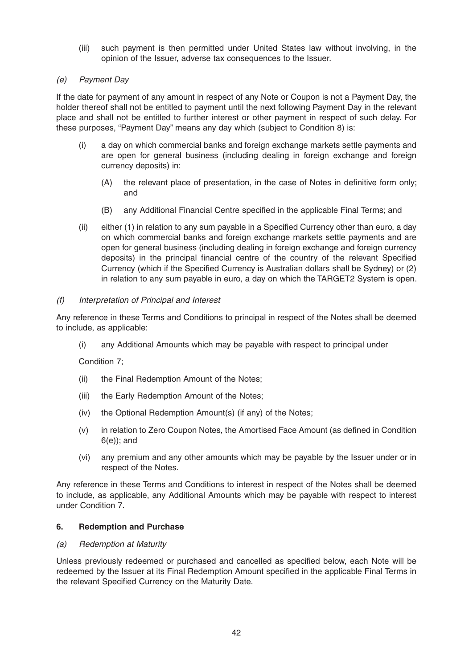(iii) such payment is then permitted under United States law without involving, in the opinion of the Issuer, adverse tax consequences to the Issuer.

## (e) Payment Day

If the date for payment of any amount in respect of any Note or Coupon is not a Payment Day, the holder thereof shall not be entitled to payment until the next following Payment Day in the relevant place and shall not be entitled to further interest or other payment in respect of such delay. For these purposes, "Payment Day" means any day which (subject to Condition 8) is:

- (i) a day on which commercial banks and foreign exchange markets settle payments and are open for general business (including dealing in foreign exchange and foreign currency deposits) in:
	- (A) the relevant place of presentation, in the case of Notes in definitive form only; and
	- (B) any Additional Financial Centre specified in the applicable Final Terms; and
- (ii) either (1) in relation to any sum payable in a Specified Currency other than euro, a day on which commercial banks and foreign exchange markets settle payments and are open for general business (including dealing in foreign exchange and foreign currency deposits) in the principal financial centre of the country of the relevant Specified Currency (which if the Specified Currency is Australian dollars shall be Sydney) or (2) in relation to any sum payable in euro, a day on which the TARGET2 System is open.

## (f) Interpretation of Principal and Interest

Any reference in these Terms and Conditions to principal in respect of the Notes shall be deemed to include, as applicable:

(i) any Additional Amounts which may be payable with respect to principal under

Condition 7;

- (ii) the Final Redemption Amount of the Notes;
- (iii) the Early Redemption Amount of the Notes;
- (iv) the Optional Redemption Amount(s) (if any) of the Notes;
- (v) in relation to Zero Coupon Notes, the Amortised Face Amount (as defined in Condition 6(e)); and
- (vi) any premium and any other amounts which may be payable by the Issuer under or in respect of the Notes.

Any reference in these Terms and Conditions to interest in respect of the Notes shall be deemed to include, as applicable, any Additional Amounts which may be payable with respect to interest under Condition 7.

## **6. Redemption and Purchase**

#### (a) Redemption at Maturity

Unless previously redeemed or purchased and cancelled as specified below, each Note will be redeemed by the Issuer at its Final Redemption Amount specified in the applicable Final Terms in the relevant Specified Currency on the Maturity Date.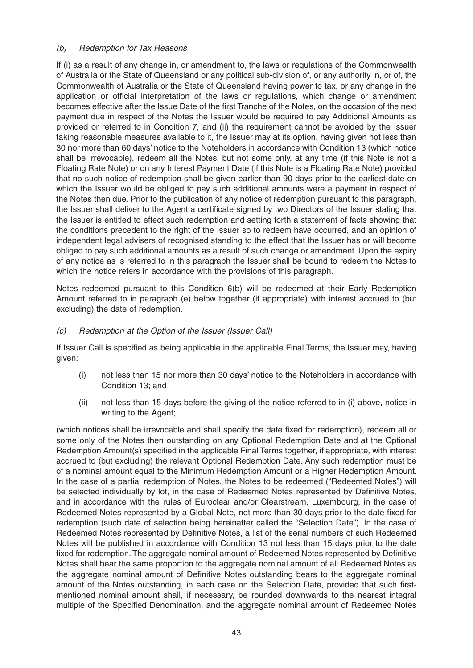## (b) Redemption for Tax Reasons

If (i) as a result of any change in, or amendment to, the laws or regulations of the Commonwealth of Australia or the State of Queensland or any political sub-division of, or any authority in, or of, the Commonwealth of Australia or the State of Queensland having power to tax, or any change in the application or official interpretation of the laws or regulations, which change or amendment becomes effective after the Issue Date of the first Tranche of the Notes, on the occasion of the next payment due in respect of the Notes the Issuer would be required to pay Additional Amounts as provided or referred to in Condition 7, and (ii) the requirement cannot be avoided by the Issuer taking reasonable measures available to it, the Issuer may at its option, having given not less than 30 nor more than 60 days' notice to the Noteholders in accordance with Condition 13 (which notice shall be irrevocable), redeem all the Notes, but not some only, at any time (if this Note is not a Floating Rate Note) or on any Interest Payment Date (if this Note is a Floating Rate Note) provided that no such notice of redemption shall be given earlier than 90 days prior to the earliest date on which the Issuer would be obliged to pay such additional amounts were a payment in respect of the Notes then due. Prior to the publication of any notice of redemption pursuant to this paragraph, the Issuer shall deliver to the Agent a certificate signed by two Directors of the Issuer stating that the Issuer is entitled to effect such redemption and setting forth a statement of facts showing that the conditions precedent to the right of the Issuer so to redeem have occurred, and an opinion of independent legal advisers of recognised standing to the effect that the Issuer has or will become obliged to pay such additional amounts as a result of such change or amendment. Upon the expiry of any notice as is referred to in this paragraph the Issuer shall be bound to redeem the Notes to which the notice refers in accordance with the provisions of this paragraph.

Notes redeemed pursuant to this Condition 6(b) will be redeemed at their Early Redemption Amount referred to in paragraph (e) below together (if appropriate) with interest accrued to (but excluding) the date of redemption.

## (c) Redemption at the Option of the Issuer (Issuer Call)

If Issuer Call is specified as being applicable in the applicable Final Terms, the Issuer may, having given:

- (i) not less than 15 nor more than 30 days' notice to the Noteholders in accordance with Condition 13; and
- (ii) not less than 15 days before the giving of the notice referred to in (i) above, notice in writing to the Agent;

(which notices shall be irrevocable and shall specify the date fixed for redemption), redeem all or some only of the Notes then outstanding on any Optional Redemption Date and at the Optional Redemption Amount(s) specified in the applicable Final Terms together, if appropriate, with interest accrued to (but excluding) the relevant Optional Redemption Date. Any such redemption must be of a nominal amount equal to the Minimum Redemption Amount or a Higher Redemption Amount. In the case of a partial redemption of Notes, the Notes to be redeemed ("Redeemed Notes") will be selected individually by lot, in the case of Redeemed Notes represented by Definitive Notes, and in accordance with the rules of Euroclear and/or Clearstream, Luxembourg, in the case of Redeemed Notes represented by a Global Note, not more than 30 days prior to the date fixed for redemption (such date of selection being hereinafter called the "Selection Date"). In the case of Redeemed Notes represented by Definitive Notes, a list of the serial numbers of such Redeemed Notes will be published in accordance with Condition 13 not less than 15 days prior to the date fixed for redemption. The aggregate nominal amount of Redeemed Notes represented by Definitive Notes shall bear the same proportion to the aggregate nominal amount of all Redeemed Notes as the aggregate nominal amount of Definitive Notes outstanding bears to the aggregate nominal amount of the Notes outstanding, in each case on the Selection Date, provided that such firstmentioned nominal amount shall, if necessary, be rounded downwards to the nearest integral multiple of the Specified Denomination, and the aggregate nominal amount of Redeemed Notes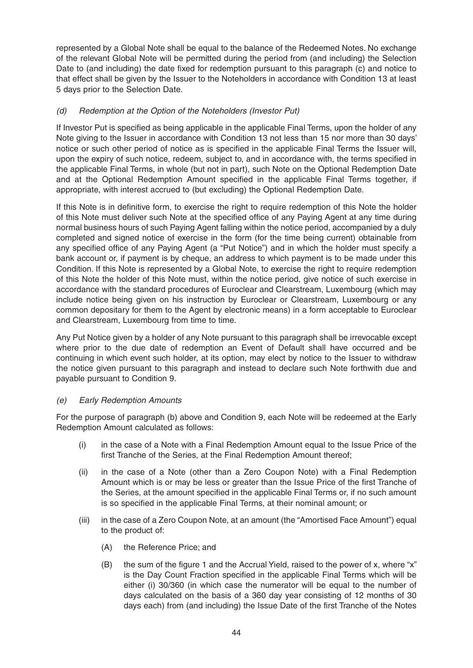represented by a Global Note shall be equal to the balance of the Redeemed Notes. No exchange of the relevant Global Note will be permitted during the period from (and including) the Selection Date to (and including) the date fixed for redemption pursuant to this paragraph (c) and notice to that effect shall be given by the Issuer to the Noteholders in accordance with Condition 13 at least 5 days prior to the Selection Date.

## (d) Redemption at the Option of the Noteholders (Investor Put)

If Investor Put is specified as being applicable in the applicable Final Terms, upon the holder of any Note giving to the Issuer in accordance with Condition 13 not less than 15 nor more than 30 days' notice or such other period of notice as is specified in the applicable Final Terms the Issuer will, upon the expiry of such notice, redeem, subject to, and in accordance with, the terms specified in the applicable Final Terms, in whole (but not in part), such Note on the Optional Redemption Date and at the Optional Redemption Amount specified in the applicable Final Terms together, if appropriate, with interest accrued to (but excluding) the Optional Redemption Date.

If this Note is in definitive form, to exercise the right to require redemption of this Note the holder of this Note must deliver such Note at the specified office of any Paying Agent at any time during normal business hours of such Paying Agent falling within the notice period, accompanied by a duly completed and signed notice of exercise in the form (for the time being current) obtainable from any specified office of any Paying Agent (a "Put Notice") and in which the holder must specify a bank account or, if payment is by cheque, an address to which payment is to be made under this Condition. If this Note is represented by a Global Note, to exercise the right to require redemption of this Note the holder of this Note must, within the notice period, give notice of such exercise in accordance with the standard procedures of Euroclear and Clearstream, Luxembourg (which may include notice being given on his instruction by Euroclear or Clearstream, Luxembourg or any common depositary for them to the Agent by electronic means) in a form acceptable to Euroclear and Clearstream, Luxembourg from time to time.

Any Put Notice given by a holder of any Note pursuant to this paragraph shall be irrevocable except where prior to the due date of redemption an Event of Default shall have occurred and be continuing in which event such holder, at its option, may elect by notice to the Issuer to withdraw the notice given pursuant to this paragraph and instead to declare such Note forthwith due and payable pursuant to Condition 9.

## (e) Early Redemption Amounts

For the purpose of paragraph (b) above and Condition 9, each Note will be redeemed at the Early Redemption Amount calculated as follows:

- (i) in the case of a Note with a Final Redemption Amount equal to the Issue Price of the first Tranche of the Series, at the Final Redemption Amount thereof;
- (ii) in the case of a Note (other than a Zero Coupon Note) with a Final Redemption Amount which is or may be less or greater than the Issue Price of the first Tranche of the Series, at the amount specified in the applicable Final Terms or, if no such amount is so specified in the applicable Final Terms, at their nominal amount; or
- (iii) in the case of a Zero Coupon Note, at an amount (the "Amortised Face Amount") equal to the product of:
	- (A) the Reference Price; and
	- (B) the sum of the figure 1 and the Accrual Yield, raised to the power of x, where "x" is the Day Count Fraction specified in the applicable Final Terms which will be either (i) 30/360 (in which case the numerator will be equal to the number of days calculated on the basis of a 360 day year consisting of 12 months of 30 days each) from (and including) the Issue Date of the first Tranche of the Notes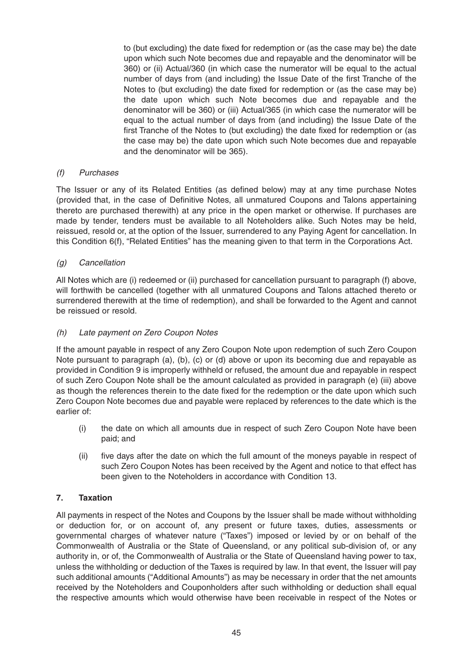to (but excluding) the date fixed for redemption or (as the case may be) the date upon which such Note becomes due and repayable and the denominator will be 360) or (ii) Actual/360 (in which case the numerator will be equal to the actual number of days from (and including) the Issue Date of the first Tranche of the Notes to (but excluding) the date fixed for redemption or (as the case may be) the date upon which such Note becomes due and repayable and the denominator will be 360) or (iii) Actual/365 (in which case the numerator will be equal to the actual number of days from (and including) the Issue Date of the first Tranche of the Notes to (but excluding) the date fixed for redemption or (as the case may be) the date upon which such Note becomes due and repayable and the denominator will be 365).

## (f) Purchases

The Issuer or any of its Related Entities (as defined below) may at any time purchase Notes (provided that, in the case of Definitive Notes, all unmatured Coupons and Talons appertaining thereto are purchased therewith) at any price in the open market or otherwise. If purchases are made by tender, tenders must be available to all Noteholders alike. Such Notes may be held, reissued, resold or, at the option of the Issuer, surrendered to any Paying Agent for cancellation. In this Condition 6(f), "Related Entities" has the meaning given to that term in the Corporations Act.

## (g) Cancellation

All Notes which are (i) redeemed or (ii) purchased for cancellation pursuant to paragraph (f) above, will forthwith be cancelled (together with all unmatured Coupons and Talons attached thereto or surrendered therewith at the time of redemption), and shall be forwarded to the Agent and cannot be reissued or resold.

#### (h) Late payment on Zero Coupon Notes

If the amount payable in respect of any Zero Coupon Note upon redemption of such Zero Coupon Note pursuant to paragraph (a), (b), (c) or (d) above or upon its becoming due and repayable as provided in Condition 9 is improperly withheld or refused, the amount due and repayable in respect of such Zero Coupon Note shall be the amount calculated as provided in paragraph (e) (iii) above as though the references therein to the date fixed for the redemption or the date upon which such Zero Coupon Note becomes due and payable were replaced by references to the date which is the earlier of:

- (i) the date on which all amounts due in respect of such Zero Coupon Note have been paid; and
- (ii) five days after the date on which the full amount of the moneys payable in respect of such Zero Coupon Notes has been received by the Agent and notice to that effect has been given to the Noteholders in accordance with Condition 13.

## **7. Taxation**

All payments in respect of the Notes and Coupons by the Issuer shall be made without withholding or deduction for, or on account of, any present or future taxes, duties, assessments or governmental charges of whatever nature ("Taxes") imposed or levied by or on behalf of the Commonwealth of Australia or the State of Queensland, or any political sub-division of, or any authority in, or of, the Commonwealth of Australia or the State of Queensland having power to tax, unless the withholding or deduction of the Taxes is required by law. In that event, the Issuer will pay such additional amounts ("Additional Amounts") as may be necessary in order that the net amounts received by the Noteholders and Couponholders after such withholding or deduction shall equal the respective amounts which would otherwise have been receivable in respect of the Notes or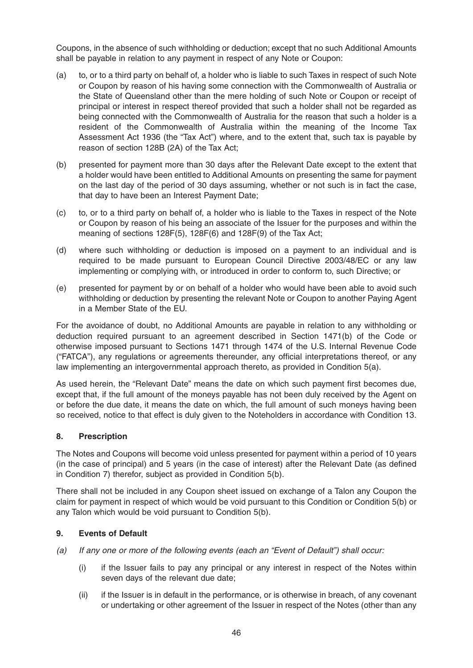Coupons, in the absence of such withholding or deduction; except that no such Additional Amounts shall be payable in relation to any payment in respect of any Note or Coupon:

- (a) to, or to a third party on behalf of, a holder who is liable to such Taxes in respect of such Note or Coupon by reason of his having some connection with the Commonwealth of Australia or the State of Queensland other than the mere holding of such Note or Coupon or receipt of principal or interest in respect thereof provided that such a holder shall not be regarded as being connected with the Commonwealth of Australia for the reason that such a holder is a resident of the Commonwealth of Australia within the meaning of the Income Tax Assessment Act 1936 (the "Tax Act") where, and to the extent that, such tax is payable by reason of section 128B (2A) of the Tax Act;
- (b) presented for payment more than 30 days after the Relevant Date except to the extent that a holder would have been entitled to Additional Amounts on presenting the same for payment on the last day of the period of 30 days assuming, whether or not such is in fact the case, that day to have been an Interest Payment Date;
- (c) to, or to a third party on behalf of, a holder who is liable to the Taxes in respect of the Note or Coupon by reason of his being an associate of the Issuer for the purposes and within the meaning of sections 128F(5), 128F(6) and 128F(9) of the Tax Act;
- (d) where such withholding or deduction is imposed on a payment to an individual and is required to be made pursuant to European Council Directive 2003/48/EC or any law implementing or complying with, or introduced in order to conform to, such Directive; or
- (e) presented for payment by or on behalf of a holder who would have been able to avoid such withholding or deduction by presenting the relevant Note or Coupon to another Paying Agent in a Member State of the EU.

For the avoidance of doubt, no Additional Amounts are payable in relation to any withholding or deduction required pursuant to an agreement described in Section 1471(b) of the Code or otherwise imposed pursuant to Sections 1471 through 1474 of the U.S. Internal Revenue Code ("FATCA"), any regulations or agreements thereunder, any official interpretations thereof, or any law implementing an intergovernmental approach thereto, as provided in Condition 5(a).

As used herein, the "Relevant Date" means the date on which such payment first becomes due, except that, if the full amount of the moneys payable has not been duly received by the Agent on or before the due date, it means the date on which, the full amount of such moneys having been so received, notice to that effect is duly given to the Noteholders in accordance with Condition 13.

## **8. Prescription**

The Notes and Coupons will become void unless presented for payment within a period of 10 years (in the case of principal) and 5 years (in the case of interest) after the Relevant Date (as defined in Condition 7) therefor, subject as provided in Condition 5(b).

There shall not be included in any Coupon sheet issued on exchange of a Talon any Coupon the claim for payment in respect of which would be void pursuant to this Condition or Condition 5(b) or any Talon which would be void pursuant to Condition 5(b).

## **9. Events of Default**

- (a) If any one or more of the following events (each an "Event of Default") shall occur:
	- (i) if the Issuer fails to pay any principal or any interest in respect of the Notes within seven days of the relevant due date;
	- (ii) if the Issuer is in default in the performance, or is otherwise in breach, of any covenant or undertaking or other agreement of the Issuer in respect of the Notes (other than any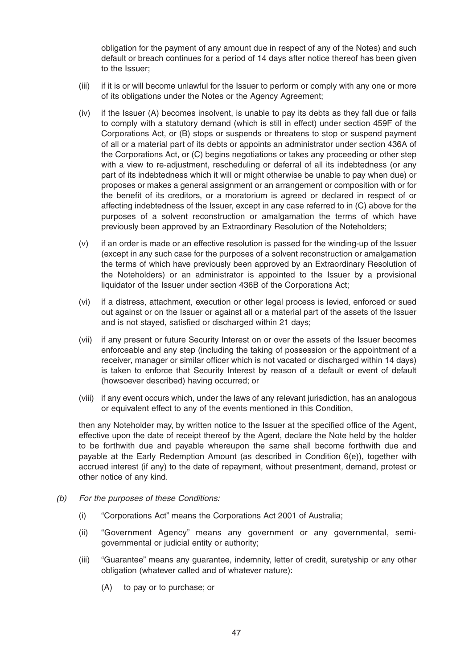obligation for the payment of any amount due in respect of any of the Notes) and such default or breach continues for a period of 14 days after notice thereof has been given to the Issuer;

- (iii) if it is or will become unlawful for the Issuer to perform or comply with any one or more of its obligations under the Notes or the Agency Agreement;
- (iv) if the Issuer (A) becomes insolvent, is unable to pay its debts as they fall due or fails to comply with a statutory demand (which is still in effect) under section 459F of the Corporations Act, or (B) stops or suspends or threatens to stop or suspend payment of all or a material part of its debts or appoints an administrator under section 436A of the Corporations Act, or (C) begins negotiations or takes any proceeding or other step with a view to re-adjustment, rescheduling or deferral of all its indebtedness (or any part of its indebtedness which it will or might otherwise be unable to pay when due) or proposes or makes a general assignment or an arrangement or composition with or for the benefit of its creditors, or a moratorium is agreed or declared in respect of or affecting indebtedness of the Issuer, except in any case referred to in (C) above for the purposes of a solvent reconstruction or amalgamation the terms of which have previously been approved by an Extraordinary Resolution of the Noteholders;
- (v) if an order is made or an effective resolution is passed for the winding-up of the Issuer (except in any such case for the purposes of a solvent reconstruction or amalgamation the terms of which have previously been approved by an Extraordinary Resolution of the Noteholders) or an administrator is appointed to the Issuer by a provisional liquidator of the Issuer under section 436B of the Corporations Act;
- (vi) if a distress, attachment, execution or other legal process is levied, enforced or sued out against or on the Issuer or against all or a material part of the assets of the Issuer and is not stayed, satisfied or discharged within 21 days;
- (vii) if any present or future Security Interest on or over the assets of the Issuer becomes enforceable and any step (including the taking of possession or the appointment of a receiver, manager or similar officer which is not vacated or discharged within 14 days) is taken to enforce that Security Interest by reason of a default or event of default (howsoever described) having occurred; or
- (viii) if any event occurs which, under the laws of any relevant jurisdiction, has an analogous or equivalent effect to any of the events mentioned in this Condition,

then any Noteholder may, by written notice to the Issuer at the specified office of the Agent, effective upon the date of receipt thereof by the Agent, declare the Note held by the holder to be forthwith due and payable whereupon the same shall become forthwith due and payable at the Early Redemption Amount (as described in Condition 6(e)), together with accrued interest (if any) to the date of repayment, without presentment, demand, protest or other notice of any kind.

- (b) For the purposes of these Conditions:
	- (i) "Corporations Act" means the Corporations Act 2001 of Australia;
	- (ii) "Government Agency" means any government or any governmental, semigovernmental or judicial entity or authority;
	- (iii) "Guarantee" means any guarantee, indemnity, letter of credit, suretyship or any other obligation (whatever called and of whatever nature):
		- (A) to pay or to purchase; or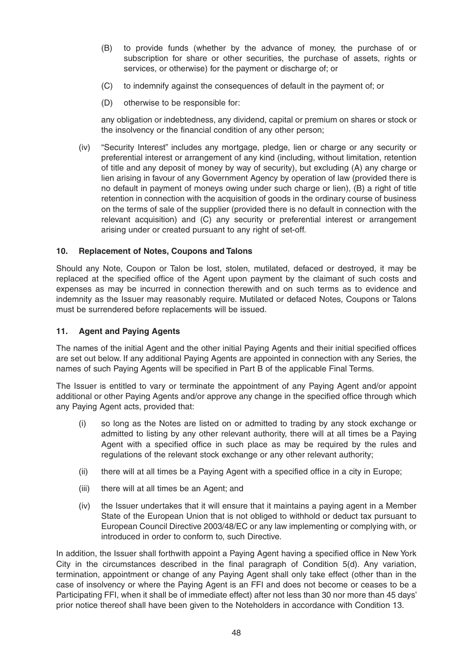- (B) to provide funds (whether by the advance of money, the purchase of or subscription for share or other securities, the purchase of assets, rights or services, or otherwise) for the payment or discharge of; or
- (C) to indemnify against the consequences of default in the payment of; or
- (D) otherwise to be responsible for:

any obligation or indebtedness, any dividend, capital or premium on shares or stock or the insolvency or the financial condition of any other person;

(iv) "Security Interest" includes any mortgage, pledge, lien or charge or any security or preferential interest or arrangement of any kind (including, without limitation, retention of title and any deposit of money by way of security), but excluding (A) any charge or lien arising in favour of any Government Agency by operation of law (provided there is no default in payment of moneys owing under such charge or lien), (B) a right of title retention in connection with the acquisition of goods in the ordinary course of business on the terms of sale of the supplier (provided there is no default in connection with the relevant acquisition) and (C) any security or preferential interest or arrangement arising under or created pursuant to any right of set-off.

## **10. Replacement of Notes, Coupons and Talons**

Should any Note, Coupon or Talon be lost, stolen, mutilated, defaced or destroyed, it may be replaced at the specified office of the Agent upon payment by the claimant of such costs and expenses as may be incurred in connection therewith and on such terms as to evidence and indemnity as the Issuer may reasonably require. Mutilated or defaced Notes, Coupons or Talons must be surrendered before replacements will be issued.

## **11. Agent and Paying Agents**

The names of the initial Agent and the other initial Paying Agents and their initial specified offices are set out below. If any additional Paying Agents are appointed in connection with any Series, the names of such Paying Agents will be specified in Part B of the applicable Final Terms.

The Issuer is entitled to vary or terminate the appointment of any Paying Agent and/or appoint additional or other Paying Agents and/or approve any change in the specified office through which any Paying Agent acts, provided that:

- (i) so long as the Notes are listed on or admitted to trading by any stock exchange or admitted to listing by any other relevant authority, there will at all times be a Paying Agent with a specified office in such place as may be required by the rules and regulations of the relevant stock exchange or any other relevant authority;
- (ii) there will at all times be a Paying Agent with a specified office in a city in Europe;
- (iii) there will at all times be an Agent; and
- (iv) the Issuer undertakes that it will ensure that it maintains a paying agent in a Member State of the European Union that is not obliged to withhold or deduct tax pursuant to European Council Directive 2003/48/EC or any law implementing or complying with, or introduced in order to conform to, such Directive.

In addition, the Issuer shall forthwith appoint a Paying Agent having a specified office in New York City in the circumstances described in the final paragraph of Condition 5(d). Any variation, termination, appointment or change of any Paying Agent shall only take effect (other than in the case of insolvency or where the Paying Agent is an FFI and does not become or ceases to be a Participating FFI, when it shall be of immediate effect) after not less than 30 nor more than 45 days' prior notice thereof shall have been given to the Noteholders in accordance with Condition 13.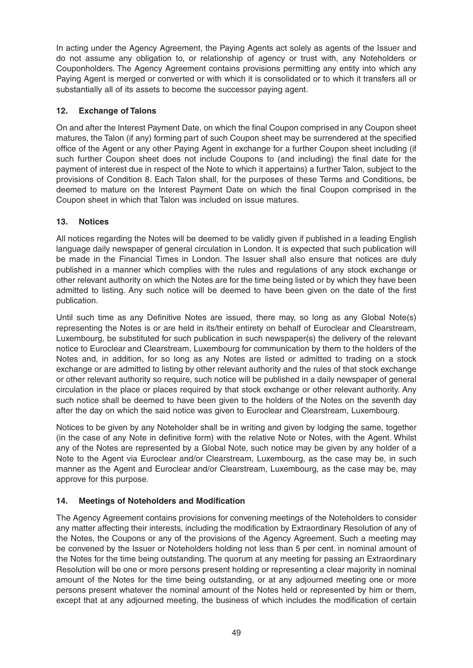In acting under the Agency Agreement, the Paying Agents act solely as agents of the Issuer and do not assume any obligation to, or relationship of agency or trust with, any Noteholders or Couponholders. The Agency Agreement contains provisions permitting any entity into which any Paying Agent is merged or converted or with which it is consolidated or to which it transfers all or substantially all of its assets to become the successor paying agent.

## **12. Exchange of Talons**

On and after the Interest Payment Date, on which the final Coupon comprised in any Coupon sheet matures, the Talon (if any) forming part of such Coupon sheet may be surrendered at the specified office of the Agent or any other Paying Agent in exchange for a further Coupon sheet including (if such further Coupon sheet does not include Coupons to (and including) the final date for the payment of interest due in respect of the Note to which it appertains) a further Talon, subject to the provisions of Condition 8. Each Talon shall, for the purposes of these Terms and Conditions, be deemed to mature on the Interest Payment Date on which the final Coupon comprised in the Coupon sheet in which that Talon was included on issue matures.

## **13. Notices**

All notices regarding the Notes will be deemed to be validly given if published in a leading English language daily newspaper of general circulation in London. It is expected that such publication will be made in the Financial Times in London. The Issuer shall also ensure that notices are duly published in a manner which complies with the rules and regulations of any stock exchange or other relevant authority on which the Notes are for the time being listed or by which they have been admitted to listing. Any such notice will be deemed to have been given on the date of the first publication.

Until such time as any Definitive Notes are issued, there may, so long as any Global Note(s) representing the Notes is or are held in its/their entirety on behalf of Euroclear and Clearstream, Luxembourg, be substituted for such publication in such newspaper(s) the delivery of the relevant notice to Euroclear and Clearstream, Luxembourg for communication by them to the holders of the Notes and, in addition, for so long as any Notes are listed or admitted to trading on a stock exchange or are admitted to listing by other relevant authority and the rules of that stock exchange or other relevant authority so require, such notice will be published in a daily newspaper of general circulation in the place or places required by that stock exchange or other relevant authority. Any such notice shall be deemed to have been given to the holders of the Notes on the seventh day after the day on which the said notice was given to Euroclear and Clearstream, Luxembourg.

Notices to be given by any Noteholder shall be in writing and given by lodging the same, together (in the case of any Note in definitive form) with the relative Note or Notes, with the Agent. Whilst any of the Notes are represented by a Global Note, such notice may be given by any holder of a Note to the Agent via Euroclear and/or Clearstream, Luxembourg, as the case may be, in such manner as the Agent and Euroclear and/or Clearstream, Luxembourg, as the case may be, may approve for this purpose.

## **14. Meetings of Noteholders and Modification**

The Agency Agreement contains provisions for convening meetings of the Noteholders to consider any matter affecting their interests, including the modification by Extraordinary Resolution of any of the Notes, the Coupons or any of the provisions of the Agency Agreement. Such a meeting may be convened by the Issuer or Noteholders holding not less than 5 per cent. in nominal amount of the Notes for the time being outstanding. The quorum at any meeting for passing an Extraordinary Resolution will be one or more persons present holding or representing a clear majority in nominal amount of the Notes for the time being outstanding, or at any adjourned meeting one or more persons present whatever the nominal amount of the Notes held or represented by him or them, except that at any adjourned meeting, the business of which includes the modification of certain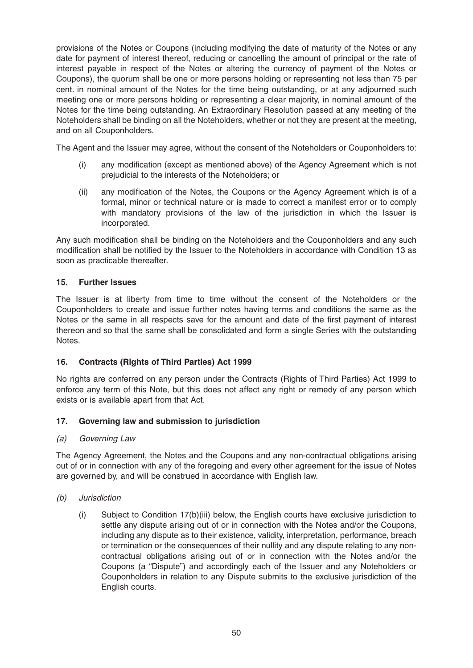provisions of the Notes or Coupons (including modifying the date of maturity of the Notes or any date for payment of interest thereof, reducing or cancelling the amount of principal or the rate of interest payable in respect of the Notes or altering the currency of payment of the Notes or Coupons), the quorum shall be one or more persons holding or representing not less than 75 per cent. in nominal amount of the Notes for the time being outstanding, or at any adjourned such meeting one or more persons holding or representing a clear majority, in nominal amount of the Notes for the time being outstanding. An Extraordinary Resolution passed at any meeting of the Noteholders shall be binding on all the Noteholders, whether or not they are present at the meeting, and on all Couponholders.

The Agent and the Issuer may agree, without the consent of the Noteholders or Couponholders to:

- (i) any modification (except as mentioned above) of the Agency Agreement which is not prejudicial to the interests of the Noteholders; or
- (ii) any modification of the Notes, the Coupons or the Agency Agreement which is of a formal, minor or technical nature or is made to correct a manifest error or to comply with mandatory provisions of the law of the jurisdiction in which the Issuer is incorporated.

Any such modification shall be binding on the Noteholders and the Couponholders and any such modification shall be notified by the Issuer to the Noteholders in accordance with Condition 13 as soon as practicable thereafter.

## **15. Further Issues**

The Issuer is at liberty from time to time without the consent of the Noteholders or the Couponholders to create and issue further notes having terms and conditions the same as the Notes or the same in all respects save for the amount and date of the first payment of interest thereon and so that the same shall be consolidated and form a single Series with the outstanding Notes.

## **16. Contracts (Rights of Third Parties) Act 1999**

No rights are conferred on any person under the Contracts (Rights of Third Parties) Act 1999 to enforce any term of this Note, but this does not affect any right or remedy of any person which exists or is available apart from that Act.

## **17. Governing law and submission to jurisdiction**

#### (a) Governing Law

The Agency Agreement, the Notes and the Coupons and any non-contractual obligations arising out of or in connection with any of the foregoing and every other agreement for the issue of Notes are governed by, and will be construed in accordance with English law.

#### (b) Jurisdiction

(i) Subject to Condition 17(b)(iii) below, the English courts have exclusive jurisdiction to settle any dispute arising out of or in connection with the Notes and/or the Coupons, including any dispute as to their existence, validity, interpretation, performance, breach or termination or the consequences of their nullity and any dispute relating to any noncontractual obligations arising out of or in connection with the Notes and/or the Coupons (a "Dispute") and accordingly each of the Issuer and any Noteholders or Couponholders in relation to any Dispute submits to the exclusive jurisdiction of the English courts.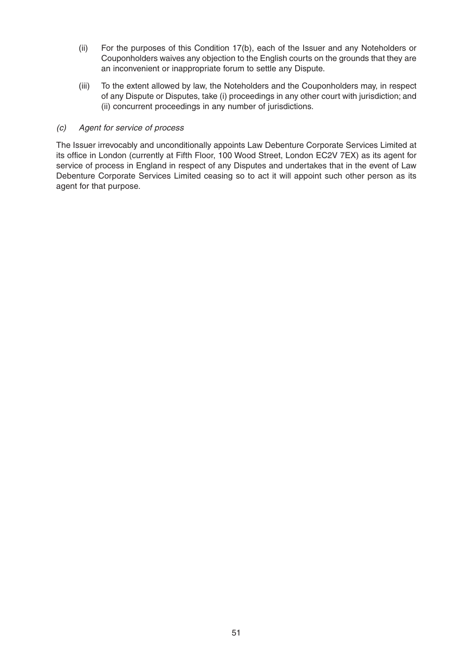- (ii) For the purposes of this Condition 17(b), each of the Issuer and any Noteholders or Couponholders waives any objection to the English courts on the grounds that they are an inconvenient or inappropriate forum to settle any Dispute.
- (iii) To the extent allowed by law, the Noteholders and the Couponholders may, in respect of any Dispute or Disputes, take (i) proceedings in any other court with jurisdiction; and (ii) concurrent proceedings in any number of jurisdictions.

#### (c) Agent for service of process

The Issuer irrevocably and unconditionally appoints Law Debenture Corporate Services Limited at its office in London (currently at Fifth Floor, 100 Wood Street, London EC2V 7EX) as its agent for service of process in England in respect of any Disputes and undertakes that in the event of Law Debenture Corporate Services Limited ceasing so to act it will appoint such other person as its agent for that purpose.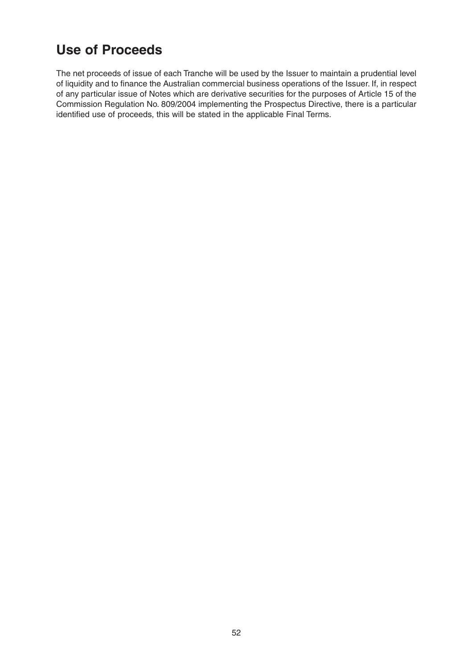# **Use of Proceeds**

The net proceeds of issue of each Tranche will be used by the Issuer to maintain a prudential level of liquidity and to finance the Australian commercial business operations of the Issuer. If, in respect of any particular issue of Notes which are derivative securities for the purposes of Article 15 of the Commission Regulation No. 809/2004 implementing the Prospectus Directive, there is a particular identified use of proceeds, this will be stated in the applicable Final Terms.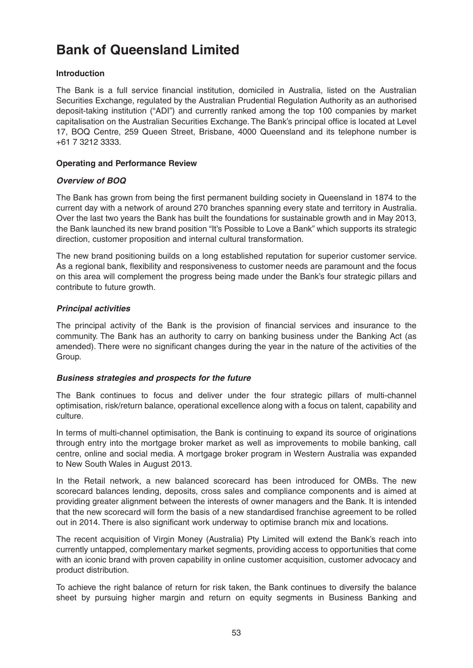# **Bank of Queensland Limited**

## **Introduction**

The Bank is a full service financial institution, domiciled in Australia, listed on the Australian Securities Exchange, regulated by the Australian Prudential Regulation Authority as an authorised deposit-taking institution ("ADI") and currently ranked among the top 100 companies by market capitalisation on the Australian Securities Exchange. The Bank's principal office is located at Level 17, BOQ Centre, 259 Queen Street, Brisbane, 4000 Queensland and its telephone number is +61 7 3212 3333.

## **Operating and Performance Review**

## **Overview of BOQ**

The Bank has grown from being the first permanent building society in Queensland in 1874 to the current day with a network of around 270 branches spanning every state and territory in Australia. Over the last two years the Bank has built the foundations for sustainable growth and in May 2013, the Bank launched its new brand position "It's Possible to Love a Bank" which supports its strategic direction, customer proposition and internal cultural transformation.

The new brand positioning builds on a long established reputation for superior customer service. As a regional bank, flexibility and responsiveness to customer needs are paramount and the focus on this area will complement the progress being made under the Bank's four strategic pillars and contribute to future growth.

## **Principal activities**

The principal activity of the Bank is the provision of financial services and insurance to the community. The Bank has an authority to carry on banking business under the Banking Act (as amended). There were no significant changes during the year in the nature of the activities of the Group.

## **Business strategies and prospects for the future**

The Bank continues to focus and deliver under the four strategic pillars of multi-channel optimisation, risk/return balance, operational excellence along with a focus on talent, capability and culture.

In terms of multi-channel optimisation, the Bank is continuing to expand its source of originations through entry into the mortgage broker market as well as improvements to mobile banking, call centre, online and social media. A mortgage broker program in Western Australia was expanded to New South Wales in August 2013.

In the Retail network, a new balanced scorecard has been introduced for OMBs. The new scorecard balances lending, deposits, cross sales and compliance components and is aimed at providing greater alignment between the interests of owner managers and the Bank. It is intended that the new scorecard will form the basis of a new standardised franchise agreement to be rolled out in 2014. There is also significant work underway to optimise branch mix and locations.

The recent acquisition of Virgin Money (Australia) Pty Limited will extend the Bank's reach into currently untapped, complementary market segments, providing access to opportunities that come with an iconic brand with proven capability in online customer acquisition, customer advocacy and product distribution.

To achieve the right balance of return for risk taken, the Bank continues to diversify the balance sheet by pursuing higher margin and return on equity segments in Business Banking and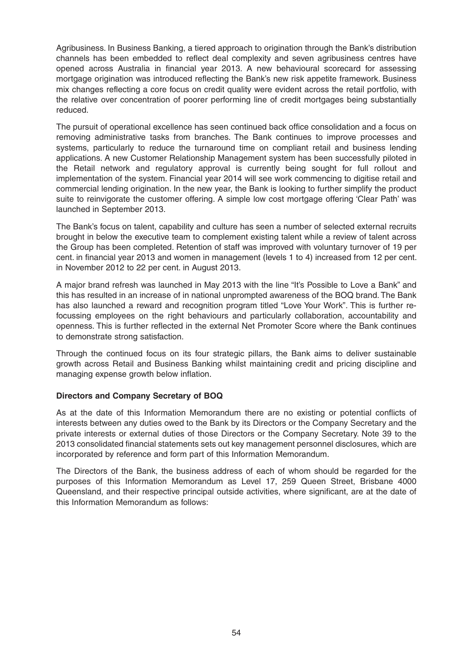Agribusiness. In Business Banking, a tiered approach to origination through the Bank's distribution channels has been embedded to reflect deal complexity and seven agribusiness centres have opened across Australia in financial year 2013. A new behavioural scorecard for assessing mortgage origination was introduced reflecting the Bank's new risk appetite framework. Business mix changes reflecting a core focus on credit quality were evident across the retail portfolio, with the relative over concentration of poorer performing line of credit mortgages being substantially reduced.

The pursuit of operational excellence has seen continued back office consolidation and a focus on removing administrative tasks from branches. The Bank continues to improve processes and systems, particularly to reduce the turnaround time on compliant retail and business lending applications. A new Customer Relationship Management system has been successfully piloted in the Retail network and regulatory approval is currently being sought for full rollout and implementation of the system. Financial year 2014 will see work commencing to digitise retail and commercial lending origination. In the new year, the Bank is looking to further simplify the product suite to reinvigorate the customer offering. A simple low cost mortgage offering 'Clear Path' was launched in September 2013.

The Bank's focus on talent, capability and culture has seen a number of selected external recruits brought in below the executive team to complement existing talent while a review of talent across the Group has been completed. Retention of staff was improved with voluntary turnover of 19 per cent. in financial year 2013 and women in management (levels 1 to 4) increased from 12 per cent. in November 2012 to 22 per cent. in August 2013.

A major brand refresh was launched in May 2013 with the line "It's Possible to Love a Bank" and this has resulted in an increase of in national unprompted awareness of the BOQ brand. The Bank has also launched a reward and recognition program titled "Love Your Work". This is further refocussing employees on the right behaviours and particularly collaboration, accountability and openness. This is further reflected in the external Net Promoter Score where the Bank continues to demonstrate strong satisfaction.

Through the continued focus on its four strategic pillars, the Bank aims to deliver sustainable growth across Retail and Business Banking whilst maintaining credit and pricing discipline and managing expense growth below inflation.

## **Directors and Company Secretary of BOQ**

As at the date of this Information Memorandum there are no existing or potential conflicts of interests between any duties owed to the Bank by its Directors or the Company Secretary and the private interests or external duties of those Directors or the Company Secretary. Note 39 to the 2013 consolidated financial statements sets out key management personnel disclosures, which are incorporated by reference and form part of this Information Memorandum.

The Directors of the Bank, the business address of each of whom should be regarded for the purposes of this Information Memorandum as Level 17, 259 Queen Street, Brisbane 4000 Queensland, and their respective principal outside activities, where significant, are at the date of this Information Memorandum as follows: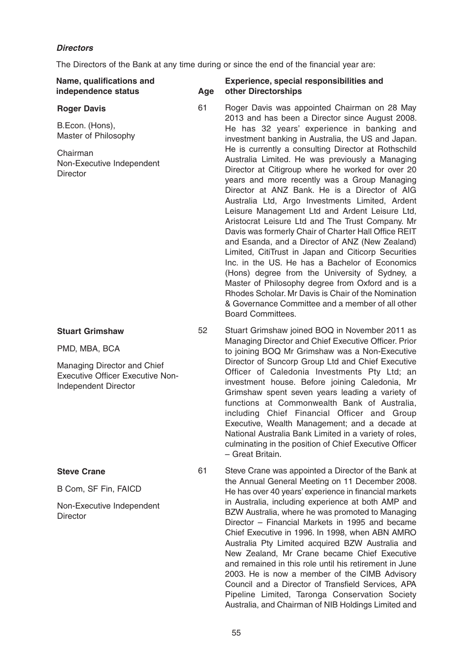## **Directors**

The Directors of the Bank at any time during or since the end of the financial year are:

| Name, qualifications and<br>independence status                                                | Age | Experience, special responsibilities and<br>other Directorships                                                                                                                                                                                                                                                                                                                                                                                                                                                                                                                                                                                                                                                                                                                                                                                                                        |
|------------------------------------------------------------------------------------------------|-----|----------------------------------------------------------------------------------------------------------------------------------------------------------------------------------------------------------------------------------------------------------------------------------------------------------------------------------------------------------------------------------------------------------------------------------------------------------------------------------------------------------------------------------------------------------------------------------------------------------------------------------------------------------------------------------------------------------------------------------------------------------------------------------------------------------------------------------------------------------------------------------------|
| <b>Roger Davis</b>                                                                             | 61  | Roger Davis was appointed Chairman on 28 May<br>2013 and has been a Director since August 2008.<br>He has 32 years' experience in banking and<br>investment banking in Australia, the US and Japan.                                                                                                                                                                                                                                                                                                                                                                                                                                                                                                                                                                                                                                                                                    |
| B.Econ. (Hons),<br>Master of Philosophy                                                        |     |                                                                                                                                                                                                                                                                                                                                                                                                                                                                                                                                                                                                                                                                                                                                                                                                                                                                                        |
| Chairman<br>Non-Executive Independent<br><b>Director</b>                                       |     | He is currently a consulting Director at Rothschild<br>Australia Limited. He was previously a Managing<br>Director at Citigroup where he worked for over 20<br>years and more recently was a Group Managing<br>Director at ANZ Bank. He is a Director of AIG<br>Australia Ltd, Argo Investments Limited, Ardent<br>Leisure Management Ltd and Ardent Leisure Ltd,<br>Aristocrat Leisure Ltd and The Trust Company. Mr<br>Davis was formerly Chair of Charter Hall Office REIT<br>and Esanda, and a Director of ANZ (New Zealand)<br>Limited, CitiTrust in Japan and Citicorp Securities<br>Inc. in the US. He has a Bachelor of Economics<br>(Hons) degree from the University of Sydney, a<br>Master of Philosophy degree from Oxford and is a<br>Rhodes Scholar. Mr Davis is Chair of the Nomination<br>& Governance Committee and a member of all other<br><b>Board Committees.</b> |
| <b>Stuart Grimshaw</b>                                                                         | 52  | Stuart Grimshaw joined BOQ in November 2011 as<br>Managing Director and Chief Executive Officer. Prior<br>to joining BOQ Mr Grimshaw was a Non-Executive                                                                                                                                                                                                                                                                                                                                                                                                                                                                                                                                                                                                                                                                                                                               |
| PMD, MBA, BCA                                                                                  |     |                                                                                                                                                                                                                                                                                                                                                                                                                                                                                                                                                                                                                                                                                                                                                                                                                                                                                        |
| Managing Director and Chief<br><b>Executive Officer Executive Non-</b><br>Independent Director |     | Director of Suncorp Group Ltd and Chief Executive<br>Officer of Caledonia Investments Pty Ltd; an<br>investment house. Before joining Caledonia, Mr<br>Grimshaw spent seven years leading a variety of<br>functions at Commonwealth Bank of Australia,<br>including Chief Financial Officer and Group<br>Executive, Wealth Management; and a decade at<br>National Australia Bank Limited in a variety of roles,<br>culminating in the position of Chief Executive Officer<br>- Great Britain.                                                                                                                                                                                                                                                                                                                                                                                         |
| <b>Steve Crane</b>                                                                             | 61  | Steve Crane was appointed a Director of the Bank at                                                                                                                                                                                                                                                                                                                                                                                                                                                                                                                                                                                                                                                                                                                                                                                                                                    |

B Com, SF Fin, FAICD

Non-Executive Independent **Director** 

61 Steve Crane was appointed a Director of the Bank at the Annual General Meeting on 11 December 2008. He has over 40 years' experience in financial markets in Australia, including experience at both AMP and BZW Australia, where he was promoted to Managing Director – Financial Markets in 1995 and became Chief Executive in 1996. In 1998, when ABN AMRO Australia Pty Limited acquired BZW Australia and New Zealand, Mr Crane became Chief Executive and remained in this role until his retirement in June 2003. He is now a member of the CIMB Advisory Council and a Director of Transfield Services, APA Pipeline Limited, Taronga Conservation Society Australia, and Chairman of NIB Holdings Limited and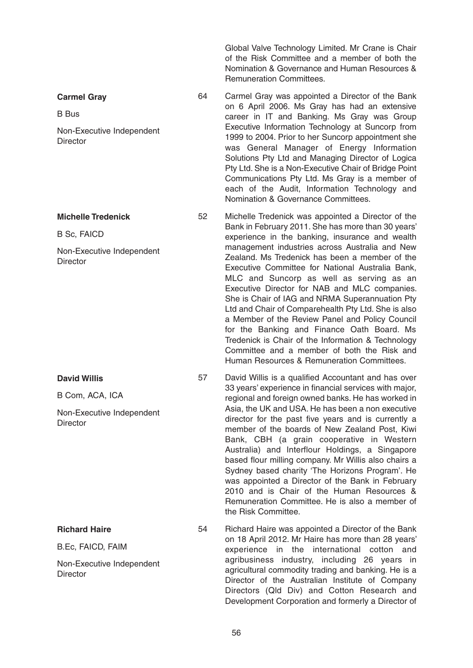Global Valve Technology Limited. Mr Crane is Chair of the Risk Committee and a member of both the Nomination & Governance and Human Resources & Remuneration Committees.

**Carmel Gray** 

B Bus

Non-Executive Independent **Director** 

**Michelle Tredenick**

B Sc, FAICD

Non-Executive Independent **Director** 

**David Willis**

B Com, ACA, ICA

Non-Executive Independent **Director** 

**Richard Haire**

B.Ec, FAICD, FAIM

Non-Executive Independent **Director** 

64 Carmel Gray was appointed a Director of the Bank on 6 April 2006. Ms Gray has had an extensive career in IT and Banking. Ms Gray was Group Executive Information Technology at Suncorp from 1999 to 2004. Prior to her Suncorp appointment she was General Manager of Energy Information Solutions Pty Ltd and Managing Director of Logica Pty Ltd. She is a Non-Executive Chair of Bridge Point Communications Pty Ltd. Ms Gray is a member of each of the Audit, Information Technology and Nomination & Governance Committees.

52 Michelle Tredenick was appointed a Director of the Bank in February 2011. She has more than 30 years' experience in the banking, insurance and wealth management industries across Australia and New Zealand. Ms Tredenick has been a member of the Executive Committee for National Australia Bank, MLC and Suncorp as well as serving as an Executive Director for NAB and MLC companies. She is Chair of IAG and NRMA Superannuation Pty Ltd and Chair of Comparehealth Pty Ltd. She is also a Member of the Review Panel and Policy Council for the Banking and Finance Oath Board. Ms Tredenick is Chair of the Information & Technology Committee and a member of both the Risk and Human Resources & Remuneration Committees.

57 David Willis is a qualified Accountant and has over 33 years' experience in financial services with major, regional and foreign owned banks. He has worked in Asia, the UK and USA. He has been a non executive director for the past five years and is currently a member of the boards of New Zealand Post, Kiwi Bank, CBH (a grain cooperative in Western Australia) and Interflour Holdings, a Singapore based flour milling company. Mr Willis also chairs a Sydney based charity 'The Horizons Program'. He was appointed a Director of the Bank in February 2010 and is Chair of the Human Resources & Remuneration Committee. He is also a member of the Risk Committee.

54 Richard Haire was appointed a Director of the Bank on 18 April 2012. Mr Haire has more than 28 years' experience in the international cotton and agribusiness industry, including 26 years in agricultural commodity trading and banking. He is a Director of the Australian Institute of Company Directors (Qld Div) and Cotton Research and Development Corporation and formerly a Director of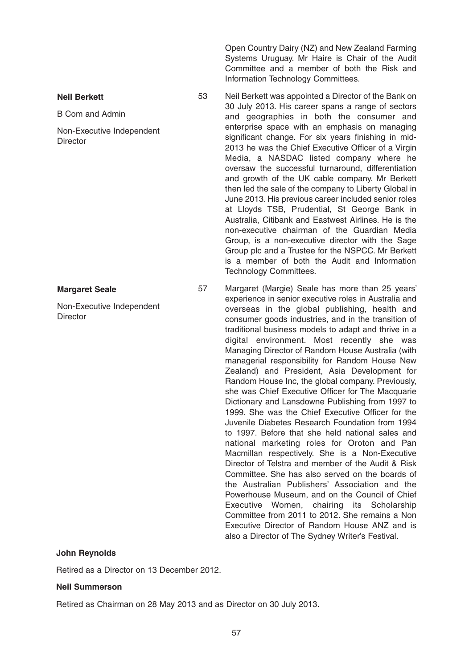Open Country Dairy (NZ) and New Zealand Farming Systems Uruguay. Mr Haire is Chair of the Audit Committee and a member of both the Risk and Information Technology Committees.

53 Neil Berkett was appointed a Director of the Bank on 30 July 2013. His career spans a range of sectors and geographies in both the consumer and enterprise space with an emphasis on managing significant change. For six years finishing in mid-2013 he was the Chief Executive Officer of a Virgin Media, a NASDAC listed company where he oversaw the successful turnaround, differentiation and growth of the UK cable company. Mr Berkett then led the sale of the company to Liberty Global in June 2013. His previous career included senior roles at Lloyds TSB, Prudential, St George Bank in Australia, Citibank and Eastwest Airlines. He is the

non-executive chairman of the Guardian Media Group, is a non-executive director with the Sage Group plc and a Trustee for the NSPCC. Mr Berkett is a member of both the Audit and Information Technology Committees.

57 Margaret (Margie) Seale has more than 25 years' experience in senior executive roles in Australia and overseas in the global publishing, health and consumer goods industries, and in the transition of traditional business models to adapt and thrive in a digital environment. Most recently she was Managing Director of Random House Australia (with managerial responsibility for Random House New Zealand) and President, Asia Development for Random House Inc, the global company. Previously, she was Chief Executive Officer for The Macquarie Dictionary and Lansdowne Publishing from 1997 to 1999. She was the Chief Executive Officer for the Juvenile Diabetes Research Foundation from 1994 to 1997. Before that she held national sales and national marketing roles for Oroton and Pan Macmillan respectively. She is a Non-Executive Director of Telstra and member of the Audit & Risk Committee. She has also served on the boards of the Australian Publishers' Association and the Powerhouse Museum, and on the Council of Chief Executive Women, chairing its Scholarship Committee from 2011 to 2012. She remains a Non Executive Director of Random House ANZ and is also a Director of The Sydney Writer's Festival.

#### **John Reynolds**

**Margaret Seale**

**Neil Berkett**

**Director** 

B Com and Admin

Non-Executive Independent

**Director** 

Non-Executive Independent

Retired as a Director on 13 December 2012.

#### **Neil Summerson**

Retired as Chairman on 28 May 2013 and as Director on 30 July 2013.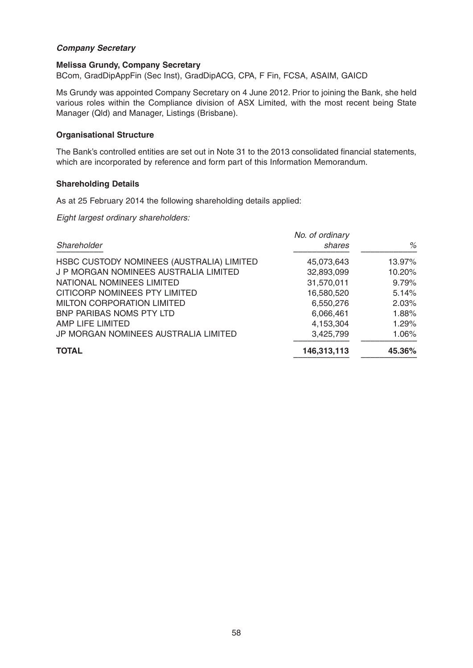## **Company Secretary**

#### **Melissa Grundy, Company Secretary**

BCom, GradDipAppFin (Sec Inst), GradDipACG, CPA, F Fin, FCSA, ASAIM, GAICD

Ms Grundy was appointed Company Secretary on 4 June 2012. Prior to joining the Bank, she held various roles within the Compliance division of ASX Limited, with the most recent being State Manager (Qld) and Manager, Listings (Brisbane).

## **Organisational Structure**

The Bank's controlled entities are set out in Note 31 to the 2013 consolidated financial statements, which are incorporated by reference and form part of this Information Memorandum.

#### **Shareholding Details**

As at 25 February 2014 the following shareholding details applied:

Eight largest ordinary shareholders:

| No. of ordinary |        |
|-----------------|--------|
| shares          | %      |
| 45,073,643      | 13.97% |
| 32,893,099      | 10.20% |
| 31,570,011      | 9.79%  |
| 16,580,520      | 5.14%  |
| 6,550,276       | 2.03%  |
| 6,066,461       | 1.88%  |
| 4,153,304       | 1.29%  |
| 3,425,799       | 1.06%  |
| 146,313,113     | 45.36% |
|                 |        |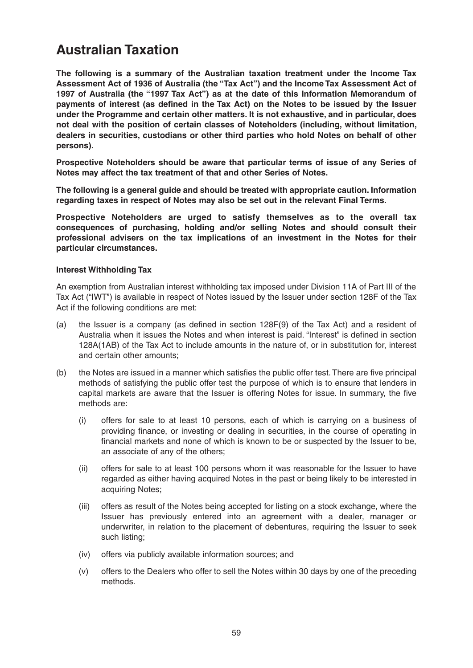## **Australian Taxation**

**The following is a summary of the Australian taxation treatment under the Income Tax Assessment Act of 1936 of Australia (the "Tax Act") and the Income Tax Assessment Act of 1997 of Australia (the "1997 Tax Act") as at the date of this Information Memorandum of payments of interest (as defined in the Tax Act) on the Notes to be issued by the Issuer under the Programme and certain other matters. It is not exhaustive, and in particular, does not deal with the position of certain classes of Noteholders (including, without limitation, dealers in securities, custodians or other third parties who hold Notes on behalf of other persons).** 

**Prospective Noteholders should be aware that particular terms of issue of any Series of Notes may affect the tax treatment of that and other Series of Notes.** 

**The following is a general guide and should be treated with appropriate caution. Information regarding taxes in respect of Notes may also be set out in the relevant Final Terms.** 

**Prospective Noteholders are urged to satisfy themselves as to the overall tax consequences of purchasing, holding and/or selling Notes and should consult their professional advisers on the tax implications of an investment in the Notes for their particular circumstances.** 

## **Interest Withholding Tax**

An exemption from Australian interest withholding tax imposed under Division 11A of Part III of the Tax Act ("IWT") is available in respect of Notes issued by the Issuer under section 128F of the Tax Act if the following conditions are met:

- (a) the Issuer is a company (as defined in section 128F(9) of the Tax Act) and a resident of Australia when it issues the Notes and when interest is paid. "Interest" is defined in section 128A(1AB) of the Tax Act to include amounts in the nature of, or in substitution for, interest and certain other amounts;
- (b) the Notes are issued in a manner which satisfies the public offer test. There are five principal methods of satisfying the public offer test the purpose of which is to ensure that lenders in capital markets are aware that the Issuer is offering Notes for issue. In summary, the five methods are:
	- (i) offers for sale to at least 10 persons, each of which is carrying on a business of providing finance, or investing or dealing in securities, in the course of operating in financial markets and none of which is known to be or suspected by the Issuer to be, an associate of any of the others;
	- (ii) offers for sale to at least 100 persons whom it was reasonable for the Issuer to have regarded as either having acquired Notes in the past or being likely to be interested in acquiring Notes;
	- (iii) offers as result of the Notes being accepted for listing on a stock exchange, where the Issuer has previously entered into an agreement with a dealer, manager or underwriter, in relation to the placement of debentures, requiring the Issuer to seek such listing;
	- (iv) offers via publicly available information sources; and
	- (v) offers to the Dealers who offer to sell the Notes within 30 days by one of the preceding methods.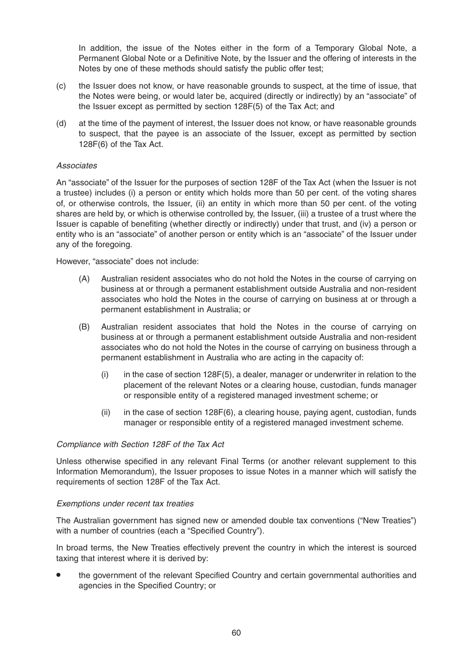In addition, the issue of the Notes either in the form of a Temporary Global Note, a Permanent Global Note or a Definitive Note, by the Issuer and the offering of interests in the Notes by one of these methods should satisfy the public offer test;

- (c) the Issuer does not know, or have reasonable grounds to suspect, at the time of issue, that the Notes were being, or would later be, acquired (directly or indirectly) by an "associate" of the Issuer except as permitted by section 128F(5) of the Tax Act; and
- (d) at the time of the payment of interest, the Issuer does not know, or have reasonable grounds to suspect, that the payee is an associate of the Issuer, except as permitted by section 128F(6) of the Tax Act.

## Associates

An "associate" of the Issuer for the purposes of section 128F of the Tax Act (when the Issuer is not a trustee) includes (i) a person or entity which holds more than 50 per cent. of the voting shares of, or otherwise controls, the Issuer, (ii) an entity in which more than 50 per cent. of the voting shares are held by, or which is otherwise controlled by, the Issuer, (iii) a trustee of a trust where the Issuer is capable of benefiting (whether directly or indirectly) under that trust, and (iv) a person or entity who is an "associate" of another person or entity which is an "associate" of the Issuer under any of the foregoing.

However, "associate" does not include:

- (A) Australian resident associates who do not hold the Notes in the course of carrying on business at or through a permanent establishment outside Australia and non-resident associates who hold the Notes in the course of carrying on business at or through a permanent establishment in Australia; or
- (B) Australian resident associates that hold the Notes in the course of carrying on business at or through a permanent establishment outside Australia and non-resident associates who do not hold the Notes in the course of carrying on business through a permanent establishment in Australia who are acting in the capacity of:
	- $(i)$  in the case of section 128F(5), a dealer, manager or underwriter in relation to the placement of the relevant Notes or a clearing house, custodian, funds manager or responsible entity of a registered managed investment scheme; or
	- (ii) in the case of section 128F(6), a clearing house, paying agent, custodian, funds manager or responsible entity of a registered managed investment scheme.

#### Compliance with Section 128F of the Tax Act

Unless otherwise specified in any relevant Final Terms (or another relevant supplement to this Information Memorandum), the Issuer proposes to issue Notes in a manner which will satisfy the requirements of section 128F of the Tax Act.

#### Exemptions under recent tax treaties

The Australian government has signed new or amended double tax conventions ("New Treaties") with a number of countries (each a "Specified Country").

In broad terms, the New Treaties effectively prevent the country in which the interest is sourced taxing that interest where it is derived by:

• the government of the relevant Specified Country and certain governmental authorities and agencies in the Specified Country; or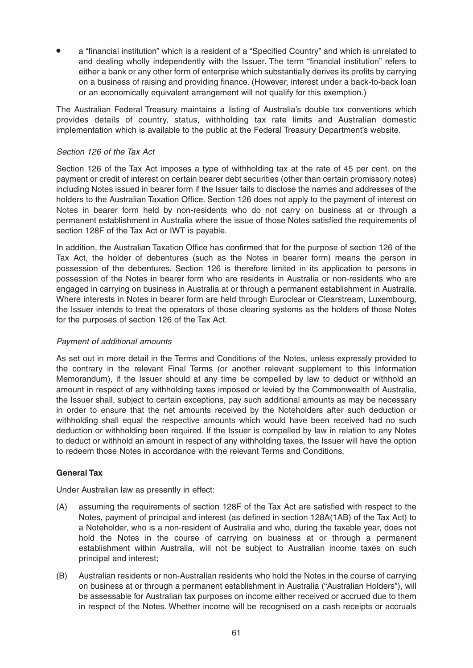• a "financial institution" which is a resident of a "Specified Country" and which is unrelated to and dealing wholly independently with the Issuer. The term "financial institution" refers to either a bank or any other form of enterprise which substantially derives its profits by carrying on a business of raising and providing finance. (However, interest under a back-to-back loan or an economically equivalent arrangement will not qualify for this exemption.)

The Australian Federal Treasury maintains a listing of Australia's double tax conventions which provides details of country, status, withholding tax rate limits and Australian domestic implementation which is available to the public at the Federal Treasury Department's website.

## Section 126 of the Tax Act

Section 126 of the Tax Act imposes a type of withholding tax at the rate of 45 per cent. on the payment or credit of interest on certain bearer debt securities (other than certain promissory notes) including Notes issued in bearer form if the Issuer fails to disclose the names and addresses of the holders to the Australian Taxation Office. Section 126 does not apply to the payment of interest on Notes in bearer form held by non-residents who do not carry on business at or through a permanent establishment in Australia where the issue of those Notes satisfied the requirements of section 128F of the Tax Act or IWT is payable.

In addition, the Australian Taxation Office has confirmed that for the purpose of section 126 of the Tax Act, the holder of debentures (such as the Notes in bearer form) means the person in possession of the debentures. Section 126 is therefore limited in its application to persons in possession of the Notes in bearer form who are residents in Australia or non-residents who are engaged in carrying on business in Australia at or through a permanent establishment in Australia. Where interests in Notes in bearer form are held through Euroclear or Clearstream, Luxembourg, the Issuer intends to treat the operators of those clearing systems as the holders of those Notes for the purposes of section 126 of the Tax Act.

#### Payment of additional amounts

As set out in more detail in the Terms and Conditions of the Notes, unless expressly provided to the contrary in the relevant Final Terms (or another relevant supplement to this Information Memorandum), if the Issuer should at any time be compelled by law to deduct or withhold an amount in respect of any withholding taxes imposed or levied by the Commonwealth of Australia, the Issuer shall, subject to certain exceptions, pay such additional amounts as may be necessary in order to ensure that the net amounts received by the Noteholders after such deduction or withholding shall equal the respective amounts which would have been received had no such deduction or withholding been required. If the Issuer is compelled by law in relation to any Notes to deduct or withhold an amount in respect of any withholding taxes, the Issuer will have the option to redeem those Notes in accordance with the relevant Terms and Conditions.

## **General Tax**

Under Australian law as presently in effect:

- (A) assuming the requirements of section 128F of the Tax Act are satisfied with respect to the Notes, payment of principal and interest (as defined in section 128A(1AB) of the Tax Act) to a Noteholder, who is a non-resident of Australia and who, during the taxable year, does not hold the Notes in the course of carrying on business at or through a permanent establishment within Australia, will not be subject to Australian income taxes on such principal and interest;
- (B) Australian residents or non-Australian residents who hold the Notes in the course of carrying on business at or through a permanent establishment in Australia ("Australian Holders"), will be assessable for Australian tax purposes on income either received or accrued due to them in respect of the Notes. Whether income will be recognised on a cash receipts or accruals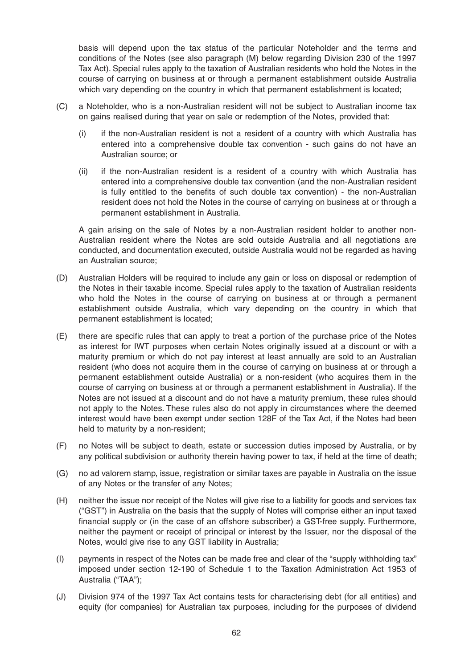basis will depend upon the tax status of the particular Noteholder and the terms and conditions of the Notes (see also paragraph (M) below regarding Division 230 of the 1997 Tax Act). Special rules apply to the taxation of Australian residents who hold the Notes in the course of carrying on business at or through a permanent establishment outside Australia which vary depending on the country in which that permanent establishment is located;

- (C) a Noteholder, who is a non-Australian resident will not be subject to Australian income tax on gains realised during that year on sale or redemption of the Notes, provided that:
	- (i) if the non-Australian resident is not a resident of a country with which Australia has entered into a comprehensive double tax convention - such gains do not have an Australian source; or
	- (ii) if the non-Australian resident is a resident of a country with which Australia has entered into a comprehensive double tax convention (and the non-Australian resident is fully entitled to the benefits of such double tax convention) - the non-Australian resident does not hold the Notes in the course of carrying on business at or through a permanent establishment in Australia.

A gain arising on the sale of Notes by a non-Australian resident holder to another non-Australian resident where the Notes are sold outside Australia and all negotiations are conducted, and documentation executed, outside Australia would not be regarded as having an Australian source;

- (D) Australian Holders will be required to include any gain or loss on disposal or redemption of the Notes in their taxable income. Special rules apply to the taxation of Australian residents who hold the Notes in the course of carrying on business at or through a permanent establishment outside Australia, which vary depending on the country in which that permanent establishment is located;
- (E) there are specific rules that can apply to treat a portion of the purchase price of the Notes as interest for IWT purposes when certain Notes originally issued at a discount or with a maturity premium or which do not pay interest at least annually are sold to an Australian resident (who does not acquire them in the course of carrying on business at or through a permanent establishment outside Australia) or a non-resident (who acquires them in the course of carrying on business at or through a permanent establishment in Australia). If the Notes are not issued at a discount and do not have a maturity premium, these rules should not apply to the Notes. These rules also do not apply in circumstances where the deemed interest would have been exempt under section 128F of the Tax Act, if the Notes had been held to maturity by a non-resident;
- (F) no Notes will be subject to death, estate or succession duties imposed by Australia, or by any political subdivision or authority therein having power to tax, if held at the time of death;
- (G) no ad valorem stamp, issue, registration or similar taxes are payable in Australia on the issue of any Notes or the transfer of any Notes;
- (H) neither the issue nor receipt of the Notes will give rise to a liability for goods and services tax ("GST") in Australia on the basis that the supply of Notes will comprise either an input taxed financial supply or (in the case of an offshore subscriber) a GST-free supply. Furthermore, neither the payment or receipt of principal or interest by the Issuer, nor the disposal of the Notes, would give rise to any GST liability in Australia;
- (I) payments in respect of the Notes can be made free and clear of the "supply withholding tax" imposed under section 12-190 of Schedule 1 to the Taxation Administration Act 1953 of Australia ("TAA");
- (J) Division 974 of the 1997 Tax Act contains tests for characterising debt (for all entities) and equity (for companies) for Australian tax purposes, including for the purposes of dividend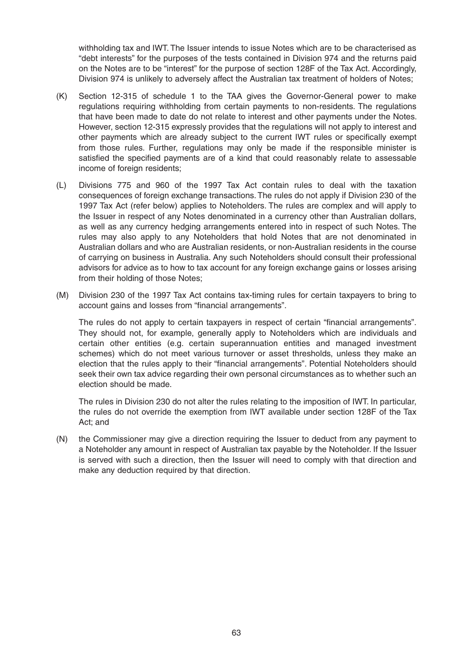withholding tax and IWT. The Issuer intends to issue Notes which are to be characterised as "debt interests" for the purposes of the tests contained in Division 974 and the returns paid on the Notes are to be "interest" for the purpose of section 128F of the Tax Act. Accordingly, Division 974 is unlikely to adversely affect the Australian tax treatment of holders of Notes;

- (K) Section 12-315 of schedule 1 to the TAA gives the Governor-General power to make regulations requiring withholding from certain payments to non-residents. The regulations that have been made to date do not relate to interest and other payments under the Notes. However, section 12-315 expressly provides that the regulations will not apply to interest and other payments which are already subject to the current IWT rules or specifically exempt from those rules. Further, regulations may only be made if the responsible minister is satisfied the specified payments are of a kind that could reasonably relate to assessable income of foreign residents;
- (L) Divisions 775 and 960 of the 1997 Tax Act contain rules to deal with the taxation consequences of foreign exchange transactions. The rules do not apply if Division 230 of the 1997 Tax Act (refer below) applies to Noteholders. The rules are complex and will apply to the Issuer in respect of any Notes denominated in a currency other than Australian dollars, as well as any currency hedging arrangements entered into in respect of such Notes. The rules may also apply to any Noteholders that hold Notes that are not denominated in Australian dollars and who are Australian residents, or non-Australian residents in the course of carrying on business in Australia. Any such Noteholders should consult their professional advisors for advice as to how to tax account for any foreign exchange gains or losses arising from their holding of those Notes;
- (M) Division 230 of the 1997 Tax Act contains tax-timing rules for certain taxpayers to bring to account gains and losses from "financial arrangements".

The rules do not apply to certain taxpayers in respect of certain "financial arrangements". They should not, for example, generally apply to Noteholders which are individuals and certain other entities (e.g. certain superannuation entities and managed investment schemes) which do not meet various turnover or asset thresholds, unless they make an election that the rules apply to their "financial arrangements". Potential Noteholders should seek their own tax advice regarding their own personal circumstances as to whether such an election should be made.

The rules in Division 230 do not alter the rules relating to the imposition of IWT. In particular, the rules do not override the exemption from IWT available under section 128F of the Tax Act; and

(N) the Commissioner may give a direction requiring the Issuer to deduct from any payment to a Noteholder any amount in respect of Australian tax payable by the Noteholder. If the Issuer is served with such a direction, then the Issuer will need to comply with that direction and make any deduction required by that direction.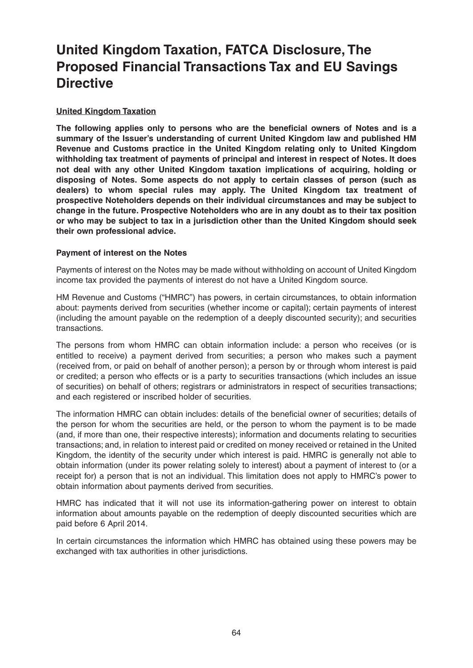# **United Kingdom Taxation, FATCA Disclosure, The Proposed Financial Transactions Tax and EU Savings Directive**

## **United Kingdom Taxation**

**The following applies only to persons who are the beneficial owners of Notes and is a summary of the Issuer's understanding of current United Kingdom law and published HM Revenue and Customs practice in the United Kingdom relating only to United Kingdom withholding tax treatment of payments of principal and interest in respect of Notes. It does not deal with any other United Kingdom taxation implications of acquiring, holding or disposing of Notes. Some aspects do not apply to certain classes of person (such as dealers) to whom special rules may apply. The United Kingdom tax treatment of prospective Noteholders depends on their individual circumstances and may be subject to change in the future. Prospective Noteholders who are in any doubt as to their tax position or who may be subject to tax in a jurisdiction other than the United Kingdom should seek their own professional advice.** 

## **Payment of interest on the Notes**

Payments of interest on the Notes may be made without withholding on account of United Kingdom income tax provided the payments of interest do not have a United Kingdom source.

HM Revenue and Customs ("HMRC") has powers, in certain circumstances, to obtain information about: payments derived from securities (whether income or capital); certain payments of interest (including the amount payable on the redemption of a deeply discounted security); and securities transactions.

The persons from whom HMRC can obtain information include: a person who receives (or is entitled to receive) a payment derived from securities; a person who makes such a payment (received from, or paid on behalf of another person); a person by or through whom interest is paid or credited; a person who effects or is a party to securities transactions (which includes an issue of securities) on behalf of others; registrars or administrators in respect of securities transactions; and each registered or inscribed holder of securities.

The information HMRC can obtain includes: details of the beneficial owner of securities; details of the person for whom the securities are held, or the person to whom the payment is to be made (and, if more than one, their respective interests); information and documents relating to securities transactions; and, in relation to interest paid or credited on money received or retained in the United Kingdom, the identity of the security under which interest is paid. HMRC is generally not able to obtain information (under its power relating solely to interest) about a payment of interest to (or a receipt for) a person that is not an individual. This limitation does not apply to HMRC's power to obtain information about payments derived from securities.

HMRC has indicated that it will not use its information-gathering power on interest to obtain information about amounts payable on the redemption of deeply discounted securities which are paid before 6 April 2014.

In certain circumstances the information which HMRC has obtained using these powers may be exchanged with tax authorities in other jurisdictions.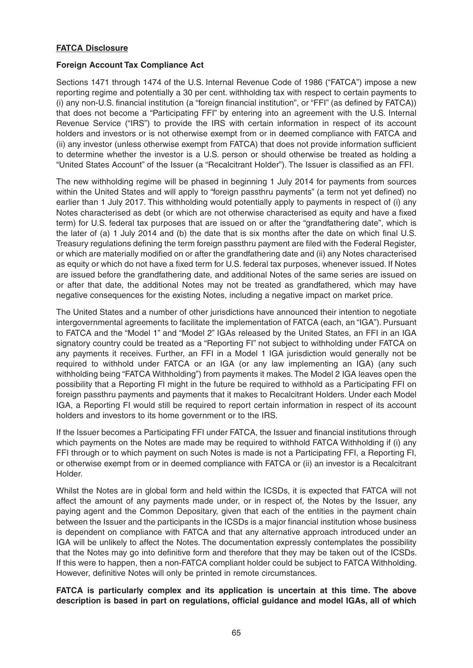## **FATCA Disclosure**

#### **Foreign Account Tax Compliance Act**

Sections 1471 through 1474 of the U.S. Internal Revenue Code of 1986 ("FATCA") impose a new reporting regime and potentially a 30 per cent. withholding tax with respect to certain payments to (i) any non-U.S. financial institution (a "foreign financial institution", or "FFI" (as defined by FATCA)) that does not become a "Participating FFI" by entering into an agreement with the U.S. Internal Revenue Service ("IRS") to provide the IRS with certain information in respect of its account holders and investors or is not otherwise exempt from or in deemed compliance with FATCA and (ii) any investor (unless otherwise exempt from FATCA) that does not provide information sufficient to determine whether the investor is a U.S. person or should otherwise be treated as holding a "United States Account" of the Issuer (a "Recalcitrant Holder"). The Issuer is classified as an FFI.

The new withholding regime will be phased in beginning 1 July 2014 for payments from sources within the United States and will apply to "foreign passthru payments" (a term not yet defined) no earlier than 1 July 2017. This withholding would potentially apply to payments in respect of (i) any Notes characterised as debt (or which are not otherwise characterised as equity and have a fixed term) for U.S. federal tax purposes that are issued on or after the "grandfathering date", which is the later of (a) 1 July 2014 and (b) the date that is six months after the date on which final U.S. Treasury regulations defining the term foreign passthru payment are filed with the Federal Register, or which are materially modified on or after the grandfathering date and (ii) any Notes characterised as equity or which do not have a fixed term for U.S. federal tax purposes, whenever issued. If Notes are issued before the grandfathering date, and additional Notes of the same series are issued on or after that date, the additional Notes may not be treated as grandfathered, which may have negative consequences for the existing Notes, including a negative impact on market price.

The United States and a number of other jurisdictions have announced their intention to negotiate intergovernmental agreements to facilitate the implementation of FATCA (each, an "IGA"). Pursuant to FATCA and the "Model 1" and "Model 2" IGAs released by the United States, an FFI in an IGA signatory country could be treated as a "Reporting FI" not subject to withholding under FATCA on any payments it receives. Further, an FFI in a Model 1 IGA jurisdiction would generally not be required to withhold under FATCA or an IGA (or any law implementing an IGA) (any such withholding being "FATCA Withholding") from payments it makes. The Model 2 IGA leaves open the possibility that a Reporting FI might in the future be required to withhold as a Participating FFI on foreign passthru payments and payments that it makes to Recalcitrant Holders. Under each Model IGA, a Reporting FI would still be required to report certain information in respect of its account holders and investors to its home government or to the IRS.

If the Issuer becomes a Participating FFI under FATCA, the Issuer and financial institutions through which payments on the Notes are made may be required to withhold FATCA Withholding if (i) any FFI through or to which payment on such Notes is made is not a Participating FFI, a Reporting FI, or otherwise exempt from or in deemed compliance with FATCA or (ii) an investor is a Recalcitrant Holder.

Whilst the Notes are in global form and held within the ICSDs, it is expected that FATCA will not affect the amount of any payments made under, or in respect of, the Notes by the Issuer, any paying agent and the Common Depositary, given that each of the entities in the payment chain between the Issuer and the participants in the ICSDs is a major financial institution whose business is dependent on compliance with FATCA and that any alternative approach introduced under an IGA will be unlikely to affect the Notes. The documentation expressly contemplates the possibility that the Notes may go into definitive form and therefore that they may be taken out of the ICSDs. If this were to happen, then a non-FATCA compliant holder could be subject to FATCA Withholding. However, definitive Notes will only be printed in remote circumstances.

**FATCA is particularly complex and its application is uncertain at this time. The above description is based in part on regulations, official guidance and model IGAs, all of which**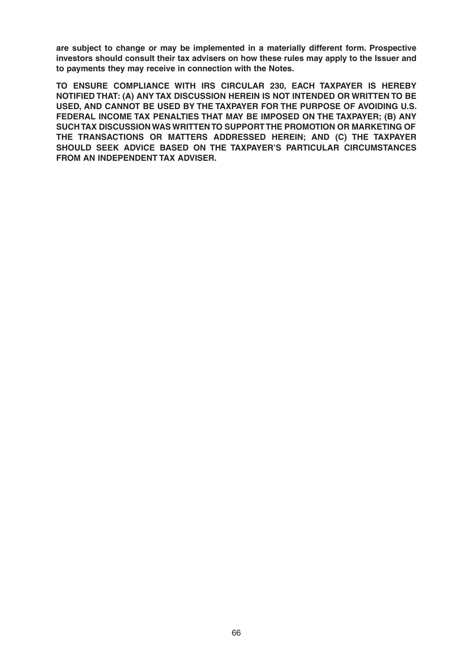**are subject to change or may be implemented in a materially different form. Prospective investors should consult their tax advisers on how these rules may apply to the Issuer and to payments they may receive in connection with the Notes.** 

**TO ENSURE COMPLIANCE WITH IRS CIRCULAR 230, EACH TAXPAYER IS HEREBY NOTIFIED THAT: (A) ANY TAX DISCUSSION HEREIN IS NOT INTENDED OR WRITTEN TO BE USED, AND CANNOT BE USED BY THE TAXPAYER FOR THE PURPOSE OF AVOIDING U.S. FEDERAL INCOME TAX PENALTIES THAT MAY BE IMPOSED ON THE TAXPAYER; (B) ANY SUCH TAX DISCUSSION WAS WRITTEN TO SUPPORT THE PROMOTION OR MARKETING OF THE TRANSACTIONS OR MATTERS ADDRESSED HEREIN; AND (C) THE TAXPAYER SHOULD SEEK ADVICE BASED ON THE TAXPAYER'S PARTICULAR CIRCUMSTANCES FROM AN INDEPENDENT TAX ADVISER.**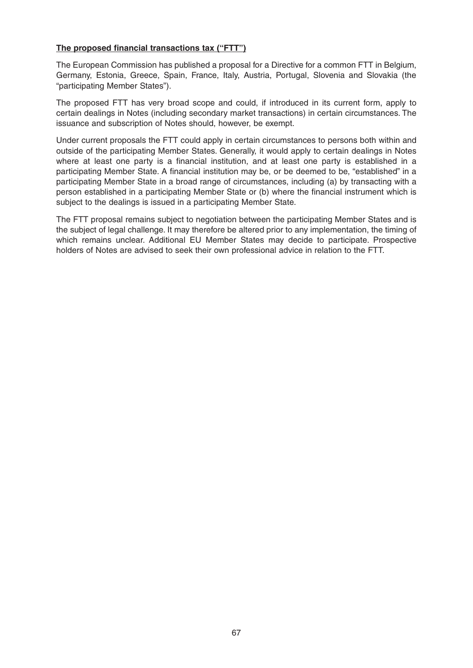## **The proposed financial transactions tax ("FTT")**

The European Commission has published a proposal for a Directive for a common FTT in Belgium, Germany, Estonia, Greece, Spain, France, Italy, Austria, Portugal, Slovenia and Slovakia (the "participating Member States").

The proposed FTT has very broad scope and could, if introduced in its current form, apply to certain dealings in Notes (including secondary market transactions) in certain circumstances. The issuance and subscription of Notes should, however, be exempt.

Under current proposals the FTT could apply in certain circumstances to persons both within and outside of the participating Member States. Generally, it would apply to certain dealings in Notes where at least one party is a financial institution, and at least one party is established in a participating Member State. A financial institution may be, or be deemed to be, "established" in a participating Member State in a broad range of circumstances, including (a) by transacting with a person established in a participating Member State or (b) where the financial instrument which is subject to the dealings is issued in a participating Member State.

The FTT proposal remains subject to negotiation between the participating Member States and is the subject of legal challenge. It may therefore be altered prior to any implementation, the timing of which remains unclear. Additional EU Member States may decide to participate. Prospective holders of Notes are advised to seek their own professional advice in relation to the FTT.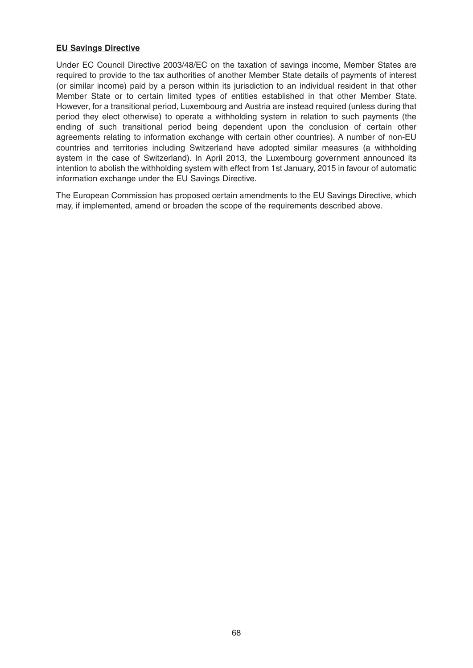## **EU Savings Directive**

Under EC Council Directive 2003/48/EC on the taxation of savings income, Member States are required to provide to the tax authorities of another Member State details of payments of interest (or similar income) paid by a person within its jurisdiction to an individual resident in that other Member State or to certain limited types of entities established in that other Member State. However, for a transitional period, Luxembourg and Austria are instead required (unless during that period they elect otherwise) to operate a withholding system in relation to such payments (the ending of such transitional period being dependent upon the conclusion of certain other agreements relating to information exchange with certain other countries). A number of non-EU countries and territories including Switzerland have adopted similar measures (a withholding system in the case of Switzerland). In April 2013, the Luxembourg government announced its intention to abolish the withholding system with effect from 1st January, 2015 in favour of automatic information exchange under the EU Savings Directive.

The European Commission has proposed certain amendments to the EU Savings Directive, which may, if implemented, amend or broaden the scope of the requirements described above.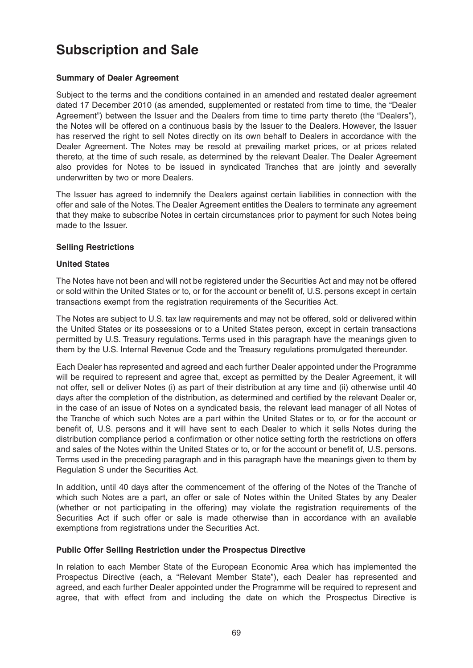# **Subscription and Sale**

## **Summary of Dealer Agreement**

Subject to the terms and the conditions contained in an amended and restated dealer agreement dated 17 December 2010 (as amended, supplemented or restated from time to time, the "Dealer Agreement") between the Issuer and the Dealers from time to time party thereto (the "Dealers"), the Notes will be offered on a continuous basis by the Issuer to the Dealers. However, the Issuer has reserved the right to sell Notes directly on its own behalf to Dealers in accordance with the Dealer Agreement. The Notes may be resold at prevailing market prices, or at prices related thereto, at the time of such resale, as determined by the relevant Dealer. The Dealer Agreement also provides for Notes to be issued in syndicated Tranches that are jointly and severally underwritten by two or more Dealers.

The Issuer has agreed to indemnify the Dealers against certain liabilities in connection with the offer and sale of the Notes. The Dealer Agreement entitles the Dealers to terminate any agreement that they make to subscribe Notes in certain circumstances prior to payment for such Notes being made to the Issuer.

## **Selling Restrictions**

## **United States**

The Notes have not been and will not be registered under the Securities Act and may not be offered or sold within the United States or to, or for the account or benefit of, U.S. persons except in certain transactions exempt from the registration requirements of the Securities Act.

The Notes are subject to U.S. tax law requirements and may not be offered, sold or delivered within the United States or its possessions or to a United States person, except in certain transactions permitted by U.S. Treasury regulations. Terms used in this paragraph have the meanings given to them by the U.S. Internal Revenue Code and the Treasury regulations promulgated thereunder.

Each Dealer has represented and agreed and each further Dealer appointed under the Programme will be required to represent and agree that, except as permitted by the Dealer Agreement, it will not offer, sell or deliver Notes (i) as part of their distribution at any time and (ii) otherwise until 40 days after the completion of the distribution, as determined and certified by the relevant Dealer or, in the case of an issue of Notes on a syndicated basis, the relevant lead manager of all Notes of the Tranche of which such Notes are a part within the United States or to, or for the account or benefit of, U.S. persons and it will have sent to each Dealer to which it sells Notes during the distribution compliance period a confirmation or other notice setting forth the restrictions on offers and sales of the Notes within the United States or to, or for the account or benefit of, U.S. persons. Terms used in the preceding paragraph and in this paragraph have the meanings given to them by Regulation S under the Securities Act.

In addition, until 40 days after the commencement of the offering of the Notes of the Tranche of which such Notes are a part, an offer or sale of Notes within the United States by any Dealer (whether or not participating in the offering) may violate the registration requirements of the Securities Act if such offer or sale is made otherwise than in accordance with an available exemptions from registrations under the Securities Act.

#### **Public Offer Selling Restriction under the Prospectus Directive**

In relation to each Member State of the European Economic Area which has implemented the Prospectus Directive (each, a "Relevant Member State"), each Dealer has represented and agreed, and each further Dealer appointed under the Programme will be required to represent and agree, that with effect from and including the date on which the Prospectus Directive is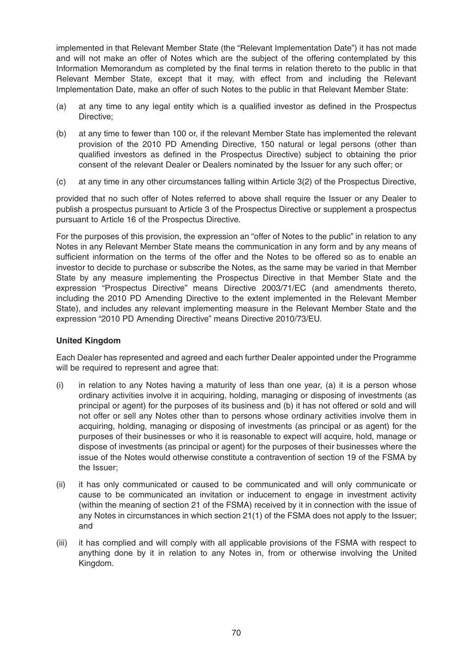implemented in that Relevant Member State (the "Relevant Implementation Date") it has not made and will not make an offer of Notes which are the subject of the offering contemplated by this Information Memorandum as completed by the final terms in relation thereto to the public in that Relevant Member State, except that it may, with effect from and including the Relevant Implementation Date, make an offer of such Notes to the public in that Relevant Member State:

- (a) at any time to any legal entity which is a qualified investor as defined in the Prospectus Directive;
- (b) at any time to fewer than 100 or, if the relevant Member State has implemented the relevant provision of the 2010 PD Amending Directive, 150 natural or legal persons (other than qualified investors as defined in the Prospectus Directive) subject to obtaining the prior consent of the relevant Dealer or Dealers nominated by the Issuer for any such offer; or
- (c) at any time in any other circumstances falling within Article 3(2) of the Prospectus Directive,

provided that no such offer of Notes referred to above shall require the Issuer or any Dealer to publish a prospectus pursuant to Article 3 of the Prospectus Directive or supplement a prospectus pursuant to Article 16 of the Prospectus Directive.

For the purposes of this provision, the expression an "offer of Notes to the public" in relation to any Notes in any Relevant Member State means the communication in any form and by any means of sufficient information on the terms of the offer and the Notes to be offered so as to enable an investor to decide to purchase or subscribe the Notes, as the same may be varied in that Member State by any measure implementing the Prospectus Directive in that Member State and the expression "Prospectus Directive" means Directive 2003/71/EC (and amendments thereto, including the 2010 PD Amending Directive to the extent implemented in the Relevant Member State), and includes any relevant implementing measure in the Relevant Member State and the expression "2010 PD Amending Directive" means Directive 2010/73/EU.

## **United Kingdom**

Each Dealer has represented and agreed and each further Dealer appointed under the Programme will be required to represent and agree that:

- $(i)$  in relation to any Notes having a maturity of less than one year, (a) it is a person whose ordinary activities involve it in acquiring, holding, managing or disposing of investments (as principal or agent) for the purposes of its business and (b) it has not offered or sold and will not offer or sell any Notes other than to persons whose ordinary activities involve them in acquiring, holding, managing or disposing of investments (as principal or as agent) for the purposes of their businesses or who it is reasonable to expect will acquire, hold, manage or dispose of investments (as principal or agent) for the purposes of their businesses where the issue of the Notes would otherwise constitute a contravention of section 19 of the FSMA by the Issuer;
- (ii) it has only communicated or caused to be communicated and will only communicate or cause to be communicated an invitation or inducement to engage in investment activity (within the meaning of section 21 of the FSMA) received by it in connection with the issue of any Notes in circumstances in which section 21(1) of the FSMA does not apply to the Issuer; and
- (iii) it has complied and will comply with all applicable provisions of the FSMA with respect to anything done by it in relation to any Notes in, from or otherwise involving the United Kingdom.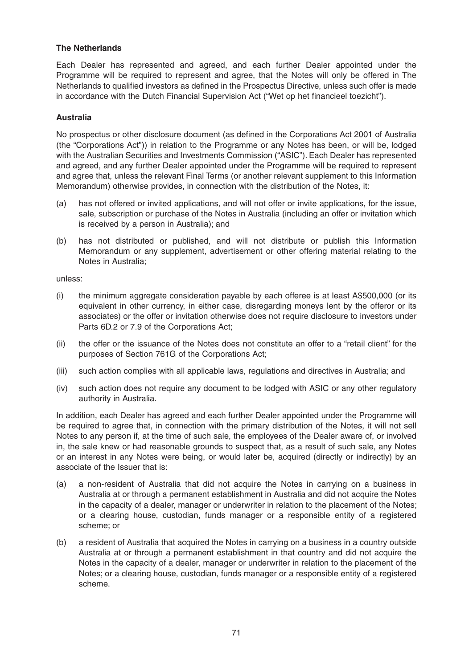## **The Netherlands**

Each Dealer has represented and agreed, and each further Dealer appointed under the Programme will be required to represent and agree, that the Notes will only be offered in The Netherlands to qualified investors as defined in the Prospectus Directive, unless such offer is made in accordance with the Dutch Financial Supervision Act ("Wet op het financieel toezicht").

## **Australia**

No prospectus or other disclosure document (as defined in the Corporations Act 2001 of Australia (the "Corporations Act")) in relation to the Programme or any Notes has been, or will be, lodged with the Australian Securities and Investments Commission ("ASIC"). Each Dealer has represented and agreed, and any further Dealer appointed under the Programme will be required to represent and agree that, unless the relevant Final Terms (or another relevant supplement to this Information Memorandum) otherwise provides, in connection with the distribution of the Notes, it:

- (a) has not offered or invited applications, and will not offer or invite applications, for the issue, sale, subscription or purchase of the Notes in Australia (including an offer or invitation which is received by a person in Australia); and
- (b) has not distributed or published, and will not distribute or publish this Information Memorandum or any supplement, advertisement or other offering material relating to the Notes in Australia;

unless:

- (i) the minimum aggregate consideration payable by each offeree is at least A\$500,000 (or its equivalent in other currency, in either case, disregarding moneys lent by the offeror or its associates) or the offer or invitation otherwise does not require disclosure to investors under Parts 6D.2 or 7.9 of the Corporations Act;
- (ii) the offer or the issuance of the Notes does not constitute an offer to a "retail client" for the purposes of Section 761G of the Corporations Act;
- (iii) such action complies with all applicable laws, regulations and directives in Australia; and
- (iv) such action does not require any document to be lodged with ASIC or any other regulatory authority in Australia.

In addition, each Dealer has agreed and each further Dealer appointed under the Programme will be required to agree that, in connection with the primary distribution of the Notes, it will not sell Notes to any person if, at the time of such sale, the employees of the Dealer aware of, or involved in, the sale knew or had reasonable grounds to suspect that, as a result of such sale, any Notes or an interest in any Notes were being, or would later be, acquired (directly or indirectly) by an associate of the Issuer that is:

- (a) a non-resident of Australia that did not acquire the Notes in carrying on a business in Australia at or through a permanent establishment in Australia and did not acquire the Notes in the capacity of a dealer, manager or underwriter in relation to the placement of the Notes; or a clearing house, custodian, funds manager or a responsible entity of a registered scheme; or
- (b) a resident of Australia that acquired the Notes in carrying on a business in a country outside Australia at or through a permanent establishment in that country and did not acquire the Notes in the capacity of a dealer, manager or underwriter in relation to the placement of the Notes; or a clearing house, custodian, funds manager or a responsible entity of a registered scheme.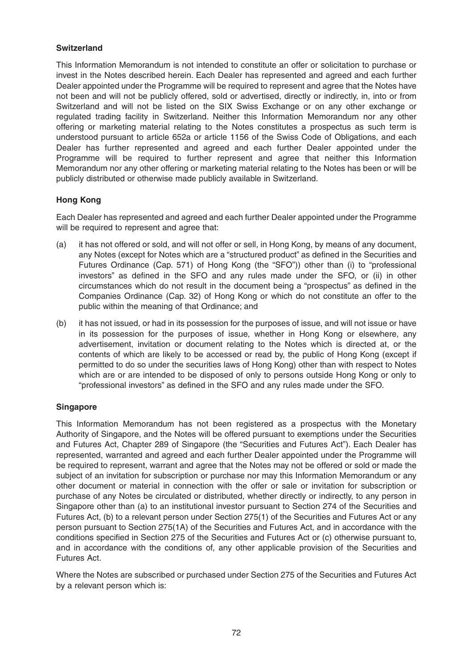## **Switzerland**

This Information Memorandum is not intended to constitute an offer or solicitation to purchase or invest in the Notes described herein. Each Dealer has represented and agreed and each further Dealer appointed under the Programme will be required to represent and agree that the Notes have not been and will not be publicly offered, sold or advertised, directly or indirectly, in, into or from Switzerland and will not be listed on the SIX Swiss Exchange or on any other exchange or regulated trading facility in Switzerland. Neither this Information Memorandum nor any other offering or marketing material relating to the Notes constitutes a prospectus as such term is understood pursuant to article 652a or article 1156 of the Swiss Code of Obligations, and each Dealer has further represented and agreed and each further Dealer appointed under the Programme will be required to further represent and agree that neither this Information Memorandum nor any other offering or marketing material relating to the Notes has been or will be publicly distributed or otherwise made publicly available in Switzerland.

## **Hong Kong**

Each Dealer has represented and agreed and each further Dealer appointed under the Programme will be required to represent and agree that:

- (a) it has not offered or sold, and will not offer or sell, in Hong Kong, by means of any document, any Notes (except for Notes which are a "structured product" as defined in the Securities and Futures Ordinance (Cap. 571) of Hong Kong (the "SFO")) other than (i) to "professional investors" as defined in the SFO and any rules made under the SFO, or (ii) in other circumstances which do not result in the document being a "prospectus" as defined in the Companies Ordinance (Cap. 32) of Hong Kong or which do not constitute an offer to the public within the meaning of that Ordinance; and
- (b) it has not issued, or had in its possession for the purposes of issue, and will not issue or have in its possession for the purposes of issue, whether in Hong Kong or elsewhere, any advertisement, invitation or document relating to the Notes which is directed at, or the contents of which are likely to be accessed or read by, the public of Hong Kong (except if permitted to do so under the securities laws of Hong Kong) other than with respect to Notes which are or are intended to be disposed of only to persons outside Hong Kong or only to "professional investors" as defined in the SFO and any rules made under the SFO.

#### **Singapore**

This Information Memorandum has not been registered as a prospectus with the Monetary Authority of Singapore, and the Notes will be offered pursuant to exemptions under the Securities and Futures Act, Chapter 289 of Singapore (the "Securities and Futures Act"). Each Dealer has represented, warranted and agreed and each further Dealer appointed under the Programme will be required to represent, warrant and agree that the Notes may not be offered or sold or made the subject of an invitation for subscription or purchase nor may this Information Memorandum or any other document or material in connection with the offer or sale or invitation for subscription or purchase of any Notes be circulated or distributed, whether directly or indirectly, to any person in Singapore other than (a) to an institutional investor pursuant to Section 274 of the Securities and Futures Act, (b) to a relevant person under Section 275(1) of the Securities and Futures Act or any person pursuant to Section 275(1A) of the Securities and Futures Act, and in accordance with the conditions specified in Section 275 of the Securities and Futures Act or (c) otherwise pursuant to, and in accordance with the conditions of, any other applicable provision of the Securities and Futures Act.

Where the Notes are subscribed or purchased under Section 275 of the Securities and Futures Act by a relevant person which is: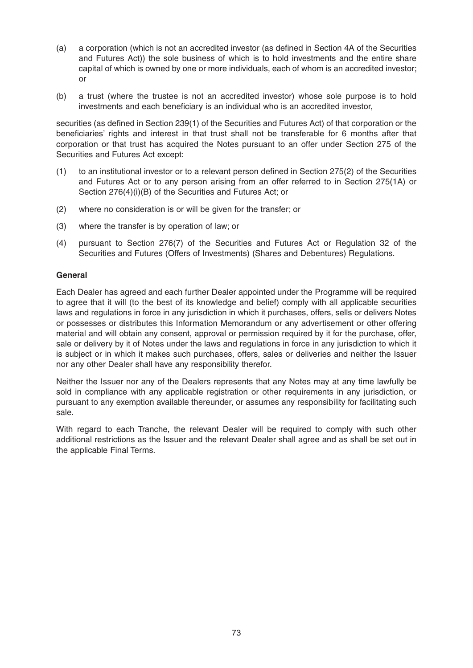- (a) a corporation (which is not an accredited investor (as defined in Section 4A of the Securities and Futures Act)) the sole business of which is to hold investments and the entire share capital of which is owned by one or more individuals, each of whom is an accredited investor; or
- (b) a trust (where the trustee is not an accredited investor) whose sole purpose is to hold investments and each beneficiary is an individual who is an accredited investor,

securities (as defined in Section 239(1) of the Securities and Futures Act) of that corporation or the beneficiaries' rights and interest in that trust shall not be transferable for 6 months after that corporation or that trust has acquired the Notes pursuant to an offer under Section 275 of the Securities and Futures Act except:

- (1) to an institutional investor or to a relevant person defined in Section 275(2) of the Securities and Futures Act or to any person arising from an offer referred to in Section 275(1A) or Section 276(4)(i)(B) of the Securities and Futures Act; or
- (2) where no consideration is or will be given for the transfer; or
- (3) where the transfer is by operation of law; or
- (4) pursuant to Section 276(7) of the Securities and Futures Act or Regulation 32 of the Securities and Futures (Offers of Investments) (Shares and Debentures) Regulations.

### **General**

Each Dealer has agreed and each further Dealer appointed under the Programme will be required to agree that it will (to the best of its knowledge and belief) comply with all applicable securities laws and regulations in force in any jurisdiction in which it purchases, offers, sells or delivers Notes or possesses or distributes this Information Memorandum or any advertisement or other offering material and will obtain any consent, approval or permission required by it for the purchase, offer, sale or delivery by it of Notes under the laws and regulations in force in any jurisdiction to which it is subject or in which it makes such purchases, offers, sales or deliveries and neither the Issuer nor any other Dealer shall have any responsibility therefor.

Neither the Issuer nor any of the Dealers represents that any Notes may at any time lawfully be sold in compliance with any applicable registration or other requirements in any jurisdiction, or pursuant to any exemption available thereunder, or assumes any responsibility for facilitating such sale.

With regard to each Tranche, the relevant Dealer will be required to comply with such other additional restrictions as the Issuer and the relevant Dealer shall agree and as shall be set out in the applicable Final Terms.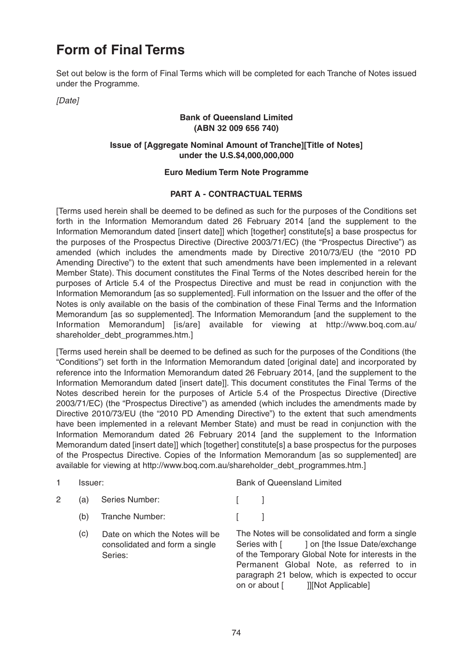# **Form of Final Terms**

Set out below is the form of Final Terms which will be completed for each Tranche of Notes issued under the Programme.

[Date]

### **Bank of Queensland Limited (ABN 32 009 656 740)**

### **Issue of [Aggregate Nominal Amount of Tranche][Title of Notes] under the U.S.\$4,000,000,000**

### **Euro Medium Term Note Programme**

### **PART A - CONTRACTUAL TERMS**

[Terms used herein shall be deemed to be defined as such for the purposes of the Conditions set forth in the Information Memorandum dated 26 February 2014 [and the supplement to the Information Memorandum dated [insert date]] which [together] constitute[s] a base prospectus for the purposes of the Prospectus Directive (Directive 2003/71/EC) (the "Prospectus Directive") as amended (which includes the amendments made by Directive 2010/73/EU (the "2010 PD Amending Directive") to the extent that such amendments have been implemented in a relevant Member State). This document constitutes the Final Terms of the Notes described herein for the purposes of Article 5.4 of the Prospectus Directive and must be read in conjunction with the Information Memorandum [as so supplemented]. Full information on the Issuer and the offer of the Notes is only available on the basis of the combination of these Final Terms and the Information Memorandum [as so supplemented]. The Information Memorandum [and the supplement to the Information Memorandum] [is/are] available for viewing at http://www.boq.com.au/ shareholder\_debt\_programmes.htm.]

[Terms used herein shall be deemed to be defined as such for the purposes of the Conditions (the "Conditions") set forth in the Information Memorandum dated [original date] and incorporated by reference into the Information Memorandum dated 26 February 2014, [and the supplement to the Information Memorandum dated [insert date]]. This document constitutes the Final Terms of the Notes described herein for the purposes of Article 5.4 of the Prospectus Directive (Directive 2003/71/EC) (the "Prospectus Directive") as amended (which includes the amendments made by Directive 2010/73/EU (the "2010 PD Amending Directive") to the extent that such amendments have been implemented in a relevant Member State) and must be read in conjunction with the Information Memorandum dated 26 February 2014 [and the supplement to the Information Memorandum dated [insert date]] which [together] constitute[s] a base prospectus for the purposes of the Prospectus Directive. Copies of the Information Memorandum [as so supplemented] are available for viewing at http://www.boq.com.au/shareholder\_debt\_programmes.htm.]

|   | lssuer: |                                                                              |  | <b>Bank of Queensland Limited</b>                                                                                                                                                                                                                                                      |  |  |
|---|---------|------------------------------------------------------------------------------|--|----------------------------------------------------------------------------------------------------------------------------------------------------------------------------------------------------------------------------------------------------------------------------------------|--|--|
| 2 | (a)     | Series Number:                                                               |  |                                                                                                                                                                                                                                                                                        |  |  |
|   | (b)     | Tranche Number:                                                              |  |                                                                                                                                                                                                                                                                                        |  |  |
|   | (c)     | Date on which the Notes will be<br>consolidated and form a single<br>Series: |  | The Notes will be consolidated and form a single<br>Series with [ ] on [the Issue Date/exchange<br>of the Temporary Global Note for interests in the<br>Permanent Global Note, as referred to in<br>paragraph 21 below, which is expected to occur<br>on or about [ ]][Not Applicable] |  |  |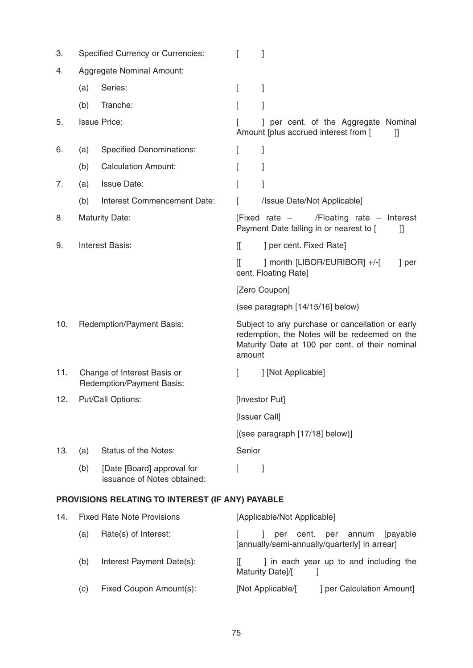| 3.  | <b>Specified Currency or Currencies:</b><br>I                                       |                                                           |                                  |                                                                                                                                                      |  |  |
|-----|-------------------------------------------------------------------------------------|-----------------------------------------------------------|----------------------------------|------------------------------------------------------------------------------------------------------------------------------------------------------|--|--|
| 4.  |                                                                                     | Aggregate Nominal Amount:                                 |                                  |                                                                                                                                                      |  |  |
|     | (a)                                                                                 | Series:                                                   | L                                | 1                                                                                                                                                    |  |  |
|     | (b)                                                                                 | Tranche:                                                  | L                                | 1                                                                                                                                                    |  |  |
| 5.  | <b>Issue Price:</b>                                                                 |                                                           |                                  | ] per cent. of the Aggregate Nominal<br>Amount [plus accrued interest from [<br>II                                                                   |  |  |
| 6.  | (a)                                                                                 | <b>Specified Denominations:</b>                           | L                                | 1                                                                                                                                                    |  |  |
|     | (b)                                                                                 | <b>Calculation Amount:</b>                                | L                                | 1                                                                                                                                                    |  |  |
| 7.  | (a)                                                                                 | <b>Issue Date:</b>                                        |                                  |                                                                                                                                                      |  |  |
|     | (b)                                                                                 | Interest Commencement Date:                               |                                  | /Issue Date/Not Applicable]                                                                                                                          |  |  |
| 8.  | <b>Maturity Date:</b><br>[Fixed rate $-$<br>Payment Date falling in or nearest to [ |                                                           | /Floating rate - Interest<br>II  |                                                                                                                                                      |  |  |
| 9.  | <b>Interest Basis:</b>                                                              |                                                           | $\mathbb{I}$                     | ] per cent. Fixed Rate]                                                                                                                              |  |  |
|     |                                                                                     |                                                           | I                                | ] month [LIBOR/EURIBOR] +/-[<br>] per<br>cent. Floating Rate]                                                                                        |  |  |
|     |                                                                                     |                                                           |                                  | [Zero Coupon]                                                                                                                                        |  |  |
|     |                                                                                     |                                                           | (see paragraph [14/15/16] below) |                                                                                                                                                      |  |  |
| 10. | Redemption/Payment Basis:                                                           |                                                           | amount                           | Subject to any purchase or cancellation or early<br>redemption, the Notes will be redeemed on the<br>Maturity Date at 100 per cent. of their nominal |  |  |
| 11. | Change of Interest Basis or<br>Redemption/Payment Basis:                            |                                                           |                                  | ] [Not Applicable]                                                                                                                                   |  |  |
| 12. | <b>Put/Call Options:</b>                                                            |                                                           |                                  | [Investor Put]                                                                                                                                       |  |  |
|     |                                                                                     |                                                           | [Issuer Call]                    |                                                                                                                                                      |  |  |
|     |                                                                                     |                                                           | [(see paragraph [17/18] below)]  |                                                                                                                                                      |  |  |
| 13. | (a)                                                                                 | Status of the Notes:                                      | Senior                           |                                                                                                                                                      |  |  |
|     | (b)                                                                                 | [Date [Board] approval for<br>issuance of Notes obtained: | L                                | 1                                                                                                                                                    |  |  |
|     |                                                                                     | PROVISIONS RELATING TO INTEREST (IF ANY) PAYABLE          |                                  |                                                                                                                                                      |  |  |
| 14. | <b>Fixed Rate Note Provisions</b>                                                   |                                                           |                                  | [Applicable/Not Applicable]                                                                                                                          |  |  |
|     | (a)                                                                                 | Rate(s) of Interest:                                      |                                  | [payable]<br>per<br>cent. per<br>annum                                                                                                               |  |  |

|     |                           | [annually/semi-annually/quarterly] in arrear]              |
|-----|---------------------------|------------------------------------------------------------|
| (b) | Interest Payment Date(s): | I in each year up to and including the<br>Maturity Date]/[ |

(c) Fixed Coupon Amount(s): [Not Applicable/[ ] per Calculation Amount]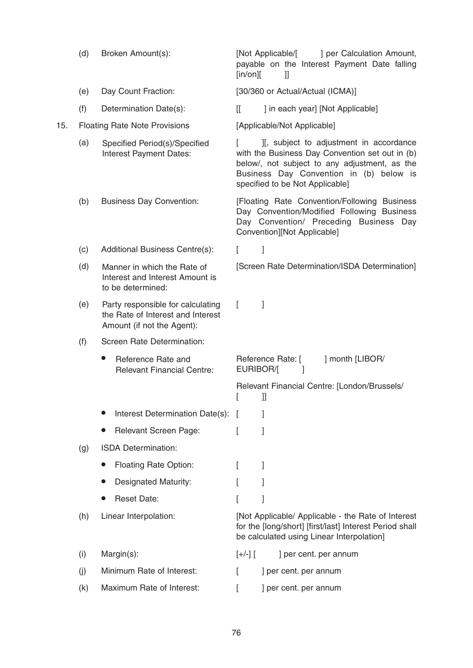(d) Broken Amount(s): [Not Applicable/[ ] per Calculation Amount, payable on the Interest Payment Date falling  $\lceil \mathsf{in}/\mathsf{on} \rceil$   $\lceil \mathsf{in}/\mathsf{on} \rceil$ (e) Day Count Fraction: [30/360 or Actual/Actual (ICMA)] (f) Determination Date(s): [[ ] in each year] [Not Applicable] 15. Floating Rate Note Provisions [Applicable/Not Applicable] (a) Specified Period(s)/Specified  $\begin{bmatrix} 1 \\ 1 \end{bmatrix}$ , subject to adjustment in accordance with the Business Day Convention set out in (b) below/, not subject to any adjustment, as the Business Day Convention in (b) below is specified to be Not Applicable] (b) Business Day Convention: [Floating Rate Convention/Following Business Day Convention/Modified Following Business Day Convention/ Preceding Business Day Convention][Not Applicable] (c) Additional Business Centre(s): [ ] (d) Manner in which the Rate of [Screen Rate Determination/ISDA Determination] (e) Party responsible for calculating [ ] (f) Screen Rate Determination: • Reference Rate and **Reference Rate:** [ ] month [LIBOR/ EURIBOR/[ ] Relevant Financial Centre: the Rate of Interest and Interest Amount (if not the Agent): Manner in which the Rate of Interest and Interest Amount is to be determined: Specified Period(s)/Specified Interest Payment Dates:

 $\lceil$   $\lceil$   $\rceil$ 

(h) Linear Interpolation: [Not Applicable/ Applicable - the Rate of Interest

Interest Determination Date(s): [

**Relevant Screen Page:** [ ]

Floating Rate Option: [ ]

**Designated Maturity:** [ ]

• Reset Date: [ ]

(g) ISDA Determination:

Relevant Financial Centre: [London/Brussels/

for the [long/short] [first/last] Interest Period shall

be calculated using Linear Interpolation]

(i) Margin(s):  $[+/]$  [  $]$  per cent. per annum

(j) Minimum Rate of Interest: [ ] per cent. per annum

(k) Maximum Rate of Interest:  $\qquad \qquad$  [ ] per cent. per annum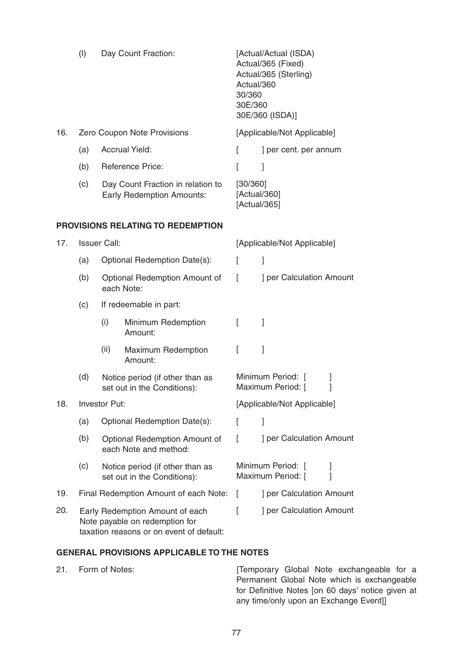|     | (1)                                                                                                           |                                                                       | Day Count Fraction:                      | Actual/360<br>30/360<br>30E/360          | [Actual/Actual (ISDA)<br>Actual/365 (Fixed)<br>Actual/365 (Sterling)<br>30E/360 (ISDA)] |  |  |
|-----|---------------------------------------------------------------------------------------------------------------|-----------------------------------------------------------------------|------------------------------------------|------------------------------------------|-----------------------------------------------------------------------------------------|--|--|
| 16. | Zero Coupon Note Provisions                                                                                   |                                                                       |                                          |                                          | [Applicable/Not Applicable]                                                             |  |  |
|     | (a)                                                                                                           | <b>Accrual Yield:</b>                                                 |                                          | L                                        | ] per cent. per annum                                                                   |  |  |
|     | (b)                                                                                                           |                                                                       | <b>Reference Price:</b>                  | L                                        | 1                                                                                       |  |  |
|     | (c)                                                                                                           | Day Count Fraction in relation to<br><b>Early Redemption Amounts:</b> |                                          | [30/360]<br>[Actual/360]<br>[Actual/365] |                                                                                         |  |  |
|     |                                                                                                               |                                                                       | <b>PROVISIONS RELATING TO REDEMPTION</b> |                                          |                                                                                         |  |  |
| 17. | <b>Issuer Call:</b>                                                                                           |                                                                       |                                          | [Applicable/Not Applicable]              |                                                                                         |  |  |
|     | (a)                                                                                                           | Optional Redemption Date(s):                                          |                                          | L                                        | 1                                                                                       |  |  |
|     | (b)                                                                                                           | ſ<br>Optional Redemption Amount of<br>each Note:                      |                                          | ] per Calculation Amount                 |                                                                                         |  |  |
|     | (c)                                                                                                           |                                                                       | If redeemable in part:                   |                                          |                                                                                         |  |  |
|     |                                                                                                               | (i)                                                                   | Minimum Redemption<br>Amount:            | L                                        | 1                                                                                       |  |  |
|     |                                                                                                               | (ii)                                                                  | Maximum Redemption<br>Amount:            | L                                        | ]                                                                                       |  |  |
|     | (d)                                                                                                           | Notice period (if other than as<br>set out in the Conditions):        |                                          |                                          | Minimum Period: [<br>Maximum Period: [<br>1                                             |  |  |
| 18. | Investor Put:                                                                                                 |                                                                       |                                          |                                          | [Applicable/Not Applicable]                                                             |  |  |
|     | (a)                                                                                                           | Optional Redemption Date(s):                                          |                                          |                                          | 1                                                                                       |  |  |
|     | (b)                                                                                                           | Optional Redemption Amount of<br>each Note and method:                |                                          | L                                        | ] per Calculation Amount                                                                |  |  |
|     | (c)                                                                                                           | Notice period (if other than as<br>set out in the Conditions):        |                                          |                                          | Minimum Period: [<br>Maximum Period: [                                                  |  |  |
| 19. |                                                                                                               |                                                                       | Final Redemption Amount of each Note:    |                                          | ] per Calculation Amount                                                                |  |  |
| 20. | Early Redemption Amount of each<br>Note payable on redemption for<br>taxation reasons or on event of default: |                                                                       | I                                        | ] per Calculation Amount                 |                                                                                         |  |  |

### **GENERAL PROVISIONS APPLICABLE TO THE NOTES**

21. Form of Notes: **Example 21.** [Temporary Global Note exchangeable for a Permanent Global Note which is exchangeable for Definitive Notes [on 60 days' notice given at any time/only upon an Exchange Event]]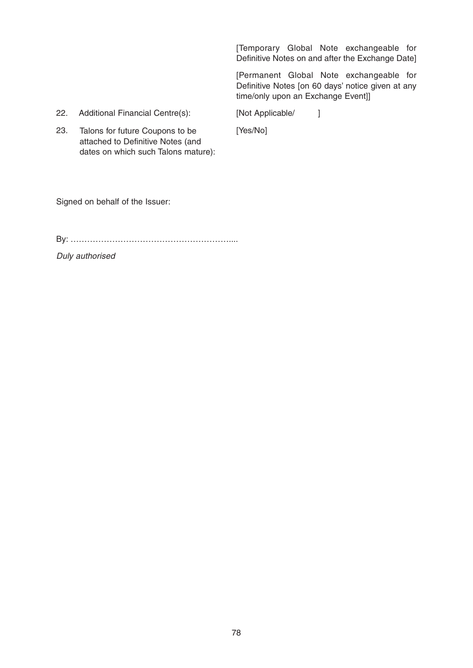[Temporary Global Note exchangeable for Definitive Notes on and after the Exchange Date]

[Permanent Global Note exchangeable for Definitive Notes [on 60 days' notice given at any time/only upon an Exchange Event]]

22. Additional Financial Centre(s): [Not Applicable/ ]

23. [Yes/No] Talons for future Coupons to be attached to Definitive Notes (and dates on which such Talons mature):

Signed on behalf of the Issuer:

By: …………………………………………………....

Duly authorised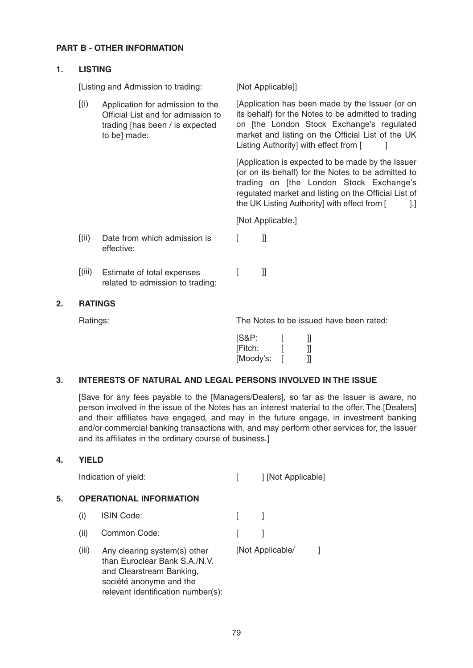### **PART B - OTHER INFORMATION**

### **1. LISTING**

[Listing and Admission to trading: [Not Applicable]]

[(i) Application for admission to the [Application has been made by the Issuer (or on its behalf) for the Notes to be admitted to trading on [the London Stock Exchange's regulated market and listing on the Official List of the UK Listing Authority] with effect from [ Application for admission to the Official List and for admission to trading [has been / is expected to bel made:

> [Application is expected to be made by the Issuer (or on its behalf) for the Notes to be admitted to trading on [the London Stock Exchange's regulated market and listing on the Official List of the UK Listing Authority] with effect from [1.]

[Not Applicable.]

- [(ii) Date from which admission is [ ]] effective:
- [(iii) Estimate of total expenses [ ]] related to admission to trading:

### **2. RATINGS**

Ratings: Ratings: Ratings: Ratings: Ratings: Ratings: Ratings: Ratings: Ratings: Ratings: Ratings: Ratings: Ratings: Ratings: Ratings: Ratings: Ratings: Ratings: Ratings: Ratings: Ratings: Ratings: Ratings: Ratings: Rating

| [S&P:     | Ш  |
|-----------|----|
| [Fitch:   | 11 |
| [Moody's: | 11 |

### **3. INTERESTS OF NATURAL AND LEGAL PERSONS INVOLVED IN THE ISSUE**

[Save for any fees payable to the [Managers/Dealers], so far as the Issuer is aware, no person involved in the issue of the Notes has an interest material to the offer. The [Dealers] and their affiliates have engaged, and may in the future engage, in investment banking and/or commercial banking transactions with, and may perform other services for, the Issuer and its affiliates in the ordinary course of business.]

### **4. YIELD**

| Indication of yield: |  | ] [Not Applicable] |
|----------------------|--|--------------------|
|----------------------|--|--------------------|

### **5. OPERATIONAL INFORMATION**

- (i) ISIN Code: [ ]
- (ii) Common Code: [ ]
- (iii) Any clearing system(s) other [Not Applicable/ ] than Euroclear Bank S.A./N.V. and Clearstream Banking, société anonyme and the relevant identification number(s):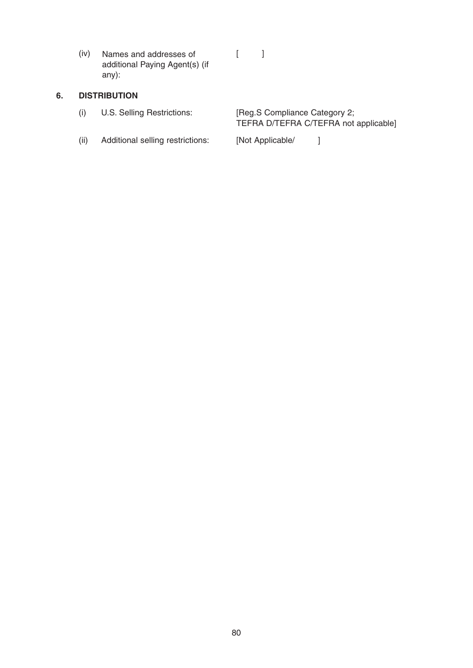(iv) Names and addresses of [ ] additional Paying Agent(s) (if any):

## **6. DISTRIBUTION**

| (i) | U.S. Selling Restrictions: | [Reg.S Compliance Category 2;         |
|-----|----------------------------|---------------------------------------|
|     |                            | TEFRA D/TEFRA C/TEFRA not applicable] |
|     |                            |                                       |

(ii) Additional selling restrictions: [Not Applicable/ ]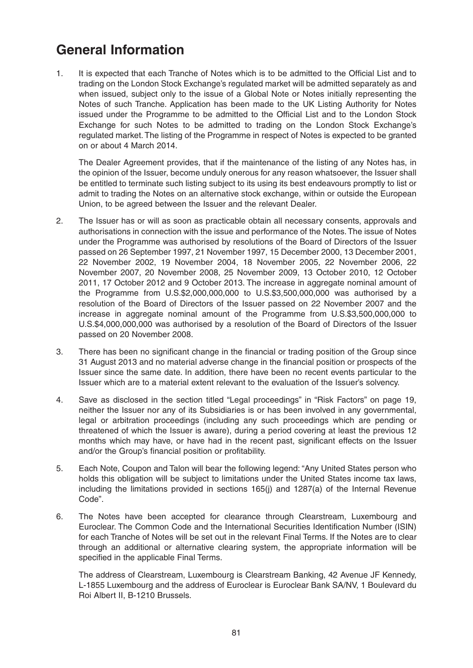# **General Information**

1. It is expected that each Tranche of Notes which is to be admitted to the Official List and to trading on the London Stock Exchange's regulated market will be admitted separately as and when issued, subject only to the issue of a Global Note or Notes initially representing the Notes of such Tranche. Application has been made to the UK Listing Authority for Notes issued under the Programme to be admitted to the Official List and to the London Stock Exchange for such Notes to be admitted to trading on the London Stock Exchange's regulated market. The listing of the Programme in respect of Notes is expected to be granted on or about 4 March 2014.

The Dealer Agreement provides, that if the maintenance of the listing of any Notes has, in the opinion of the Issuer, become unduly onerous for any reason whatsoever, the Issuer shall be entitled to terminate such listing subject to its using its best endeavours promptly to list or admit to trading the Notes on an alternative stock exchange, within or outside the European Union, to be agreed between the Issuer and the relevant Dealer.

- 2. The Issuer has or will as soon as practicable obtain all necessary consents, approvals and authorisations in connection with the issue and performance of the Notes. The issue of Notes under the Programme was authorised by resolutions of the Board of Directors of the Issuer passed on 26 September 1997, 21 November 1997, 15 December 2000, 13 December 2001, 22 November 2002, 19 November 2004, 18 November 2005, 22 November 2006, 22 November 2007, 20 November 2008, 25 November 2009, 13 October 2010, 12 October 2011, 17 October 2012 and 9 October 2013. The increase in aggregate nominal amount of the Programme from U.S.\$2,000,000,000 to U.S.\$3,500,000,000 was authorised by a resolution of the Board of Directors of the Issuer passed on 22 November 2007 and the increase in aggregate nominal amount of the Programme from U.S.\$3,500,000,000 to U.S.\$4,000,000,000 was authorised by a resolution of the Board of Directors of the Issuer passed on 20 November 2008.
- 3. There has been no significant change in the financial or trading position of the Group since 31 August 2013 and no material adverse change in the financial position or prospects of the Issuer since the same date. In addition, there have been no recent events particular to the Issuer which are to a material extent relevant to the evaluation of the Issuer's solvency.
- 4. Save as disclosed in the section titled "Legal proceedings" in "Risk Factors" on page 19, neither the Issuer nor any of its Subsidiaries is or has been involved in any governmental, legal or arbitration proceedings (including any such proceedings which are pending or threatened of which the Issuer is aware), during a period covering at least the previous 12 months which may have, or have had in the recent past, significant effects on the Issuer and/or the Group's financial position or profitability.
- 5. Each Note, Coupon and Talon will bear the following legend: "Any United States person who holds this obligation will be subject to limitations under the United States income tax laws, including the limitations provided in sections 165(j) and 1287(a) of the Internal Revenue Code".
- 6. The Notes have been accepted for clearance through Clearstream, Luxembourg and Euroclear. The Common Code and the International Securities Identification Number (ISIN) for each Tranche of Notes will be set out in the relevant Final Terms. If the Notes are to clear through an additional or alternative clearing system, the appropriate information will be specified in the applicable Final Terms.

The address of Clearstream, Luxembourg is Clearstream Banking, 42 Avenue JF Kennedy, L-1855 Luxembourg and the address of Euroclear is Euroclear Bank SA/NV, 1 Boulevard du Roi Albert II, B-1210 Brussels.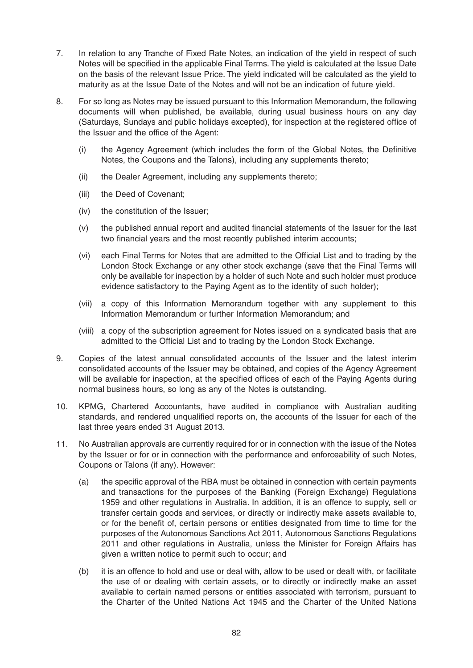- 7. In relation to any Tranche of Fixed Rate Notes, an indication of the yield in respect of such Notes will be specified in the applicable Final Terms. The yield is calculated at the Issue Date on the basis of the relevant Issue Price. The yield indicated will be calculated as the yield to maturity as at the Issue Date of the Notes and will not be an indication of future yield.
- 8. For so long as Notes may be issued pursuant to this Information Memorandum, the following documents will when published, be available, during usual business hours on any day (Saturdays, Sundays and public holidays excepted), for inspection at the registered office of the Issuer and the office of the Agent:
	- (i) the Agency Agreement (which includes the form of the Global Notes, the Definitive Notes, the Coupons and the Talons), including any supplements thereto;
	- (ii) the Dealer Agreement, including any supplements thereto;
	- (iii) the Deed of Covenant;
	- (iv) the constitution of the Issuer;
	- (v) the published annual report and audited financial statements of the Issuer for the last two financial years and the most recently published interim accounts;
	- (vi) each Final Terms for Notes that are admitted to the Official List and to trading by the London Stock Exchange or any other stock exchange (save that the Final Terms will only be available for inspection by a holder of such Note and such holder must produce evidence satisfactory to the Paying Agent as to the identity of such holder);
	- (vii) a copy of this Information Memorandum together with any supplement to this Information Memorandum or further Information Memorandum; and
	- (viii) a copy of the subscription agreement for Notes issued on a syndicated basis that are admitted to the Official List and to trading by the London Stock Exchange.
- 9. Copies of the latest annual consolidated accounts of the Issuer and the latest interim consolidated accounts of the Issuer may be obtained, and copies of the Agency Agreement will be available for inspection, at the specified offices of each of the Paying Agents during normal business hours, so long as any of the Notes is outstanding.
- 10. KPMG, Chartered Accountants, have audited in compliance with Australian auditing standards, and rendered unqualified reports on, the accounts of the Issuer for each of the last three years ended 31 August 2013.
- 11. No Australian approvals are currently required for or in connection with the issue of the Notes by the Issuer or for or in connection with the performance and enforceability of such Notes, Coupons or Talons (if any). However:
	- (a) the specific approval of the RBA must be obtained in connection with certain payments and transactions for the purposes of the Banking (Foreign Exchange) Regulations 1959 and other regulations in Australia. In addition, it is an offence to supply, sell or transfer certain goods and services, or directly or indirectly make assets available to, or for the benefit of, certain persons or entities designated from time to time for the purposes of the Autonomous Sanctions Act 2011, Autonomous Sanctions Regulations 2011 and other regulations in Australia, unless the Minister for Foreign Affairs has given a written notice to permit such to occur; and
	- (b) it is an offence to hold and use or deal with, allow to be used or dealt with, or facilitate the use of or dealing with certain assets, or to directly or indirectly make an asset available to certain named persons or entities associated with terrorism, pursuant to the Charter of the United Nations Act 1945 and the Charter of the United Nations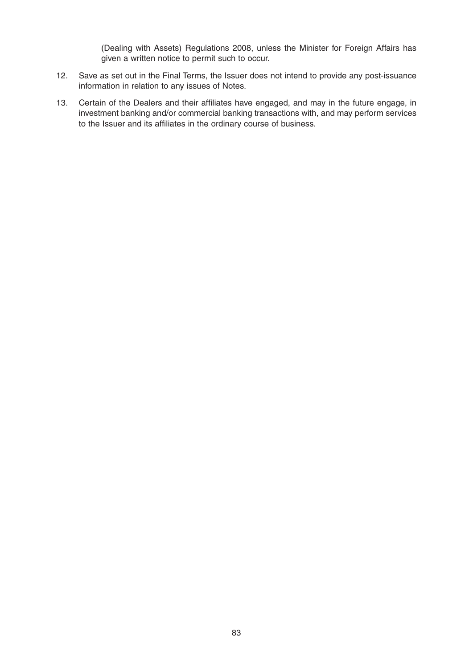(Dealing with Assets) Regulations 2008, unless the Minister for Foreign Affairs has given a written notice to permit such to occur.

- 12. Save as set out in the Final Terms, the Issuer does not intend to provide any post-issuance information in relation to any issues of Notes.
- 13. Certain of the Dealers and their affiliates have engaged, and may in the future engage, in investment banking and/or commercial banking transactions with, and may perform services to the Issuer and its affiliates in the ordinary course of business.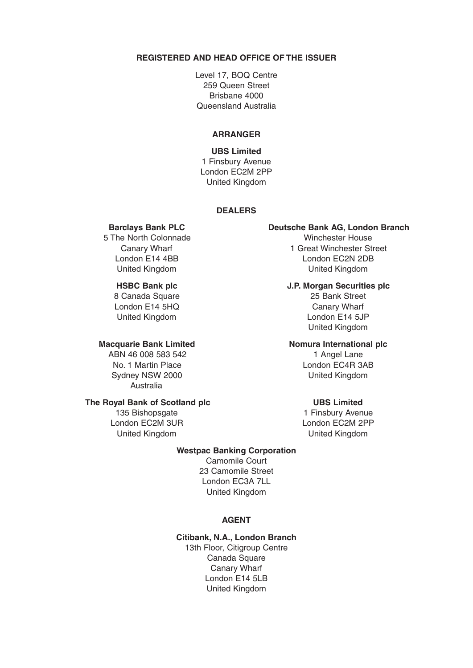### **REGISTERED AND HEAD OFFICE OF THE ISSUER**

Level 17, BOQ Centre 259 Queen Street Brisbane 4000 Queensland Australia

### **ARRANGER**

**UBS Limited**  1 Finsbury Avenue London EC2M 2PP United Kingdom

### **DEALERS**

5 The North Colonnade Winchester House

8 Canada Square 25 Bank Street<br>
1991 - London E14 5HQ<br>
25 Bank Street<br>
25 Bank Street London E14 5HQ

ABN 46 008 583 542 1 Angel Lane Sydney NSW 2000 **United Kingdom** Australia

### **The Royal Bank of Scotland plc** UBS Limited

London EC2M 3UR London EC2M 2PP

### Barclays Bank PLC **Deutsche Bank AG, London Branch**

Canary Wharf **1 Great Winchester Street** London E14 4BB London EC2N 2DB United Kingdom United Kingdom

### **HSBC Bank plc J.P. Morgan Securities plc**

United Kingdom **London E14 5JP** United Kingdom

### **Macquarie Bank Limited Momura International plc**

No. 1 Martin Place London EC4R 3AB

135 Bishopsgate 135 and 1 Finsbury Avenue United Kingdom United Kingdom

### **Westpac Banking Corporation**

Camomile Court 23 Camomile Street London EC3A 7LL United Kingdom

### **AGENT**

### **Citibank, N.A., London Branch**

13th Floor, Citigroup Centre Canada Square Canary Wharf London E14 5LB United Kingdom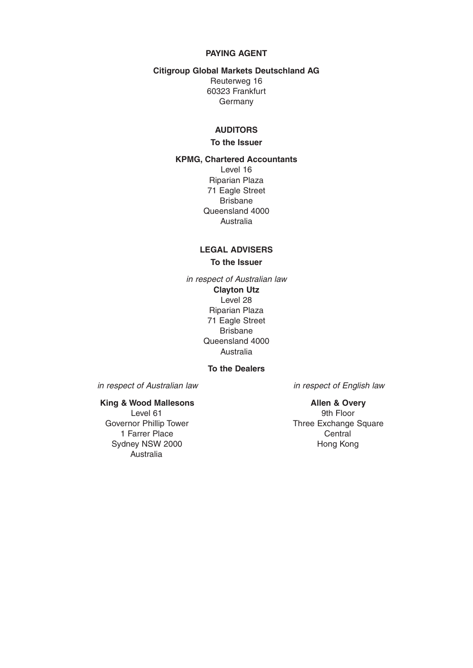### **PAYING AGENT**

### **Citigroup Global Markets Deutschland AG**

Reuterweg 16 60323 Frankfurt Germany

### **AUDITORS**

### **To the Issuer**

**KPMG, Chartered Accountants** Level 16 Riparian Plaza 71 Eagle Street Brisbane Queensland 4000 Australia

## **LEGAL ADVISERS**

**To the Issuer**

in respect of Australian law **Clayton Utz** Level 28 Riparian Plaza 71 Eagle Street Brisbane Queensland 4000 Australia

### **To the Dealers**

in respect of Australian law in respect of English law

1 Farrer Place Central Sydney NSW 2000 **Hong Kong** Australia

**King & Wood Mallesons**<br>Level 61 **Allen & Overy** 9th Floor Governor Phillip Tower Three Exchange Square